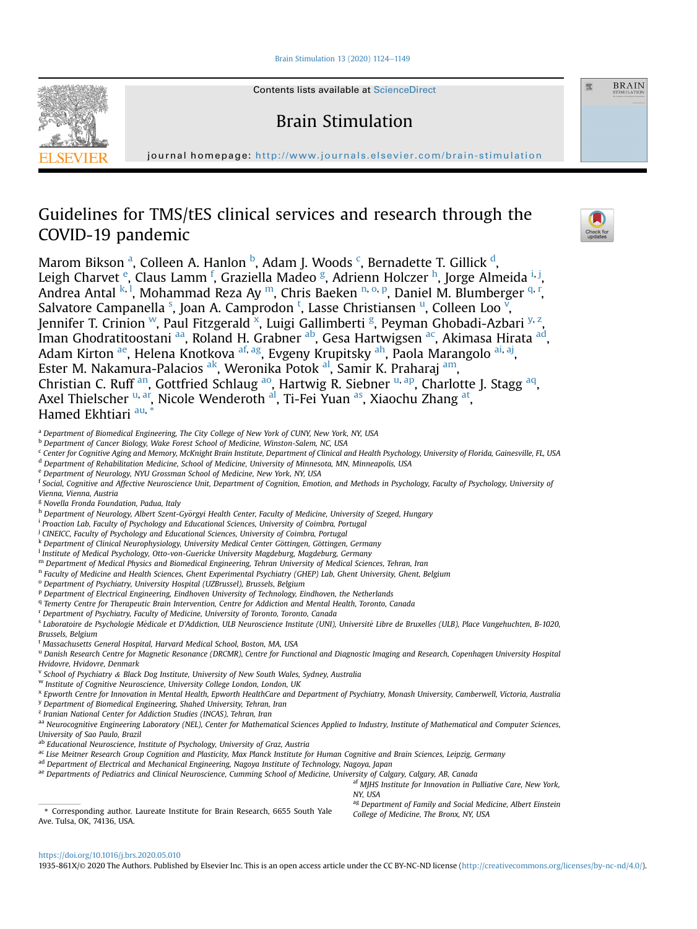[Brain Stimulation 13 \(2020\) 1124](https://doi.org/10.1016/j.brs.2020.05.010)-[1149](https://doi.org/10.1016/j.brs.2020.05.010)



Contents lists available at ScienceDirect

Brain Stimulation

journal homepage: <http://www.journals.elsevier.com/brain-stimulation>

# Guidelines for TMS/tES clinical services and research through the COVID-19 pandemic



<span id="page-0-0"></span>a Department of Biomedical Engineering, The City College of New York of CUNY, New York, NY, USA

- <span id="page-0-1"></span><sup>b</sup> Department of Cancer Biology, Wake Forest School of Medicine, Winston-Salem, NC, USA
- <span id="page-0-2"></span><sup>c</sup> Center for Cognitive Aging and Memory, McKnight Brain Institute, Department of Clinical and Health Psychology, University of Florida, Gainesville, FL, USA
- <span id="page-0-3"></span><sup>d</sup> Department of Rehabilitation Medicine, School of Medicine, University of Minnesota, MN, Minneapolis, USA
- <span id="page-0-4"></span><sup>e</sup> Department of Neurology, NYU Grossman School of Medicine, New York, NY, USA
- <span id="page-0-5"></span><sup>f</sup> Social, Cognitive and Affective Neuroscience Unit, Department of Cognition, Emotion, and Methods in Psychology, Faculty of Psychology, University of Vienna, Vienna, Austria
- <span id="page-0-6"></span><sup>g</sup> Novella Fronda Foundation, Padua, Italy
- <span id="page-0-7"></span>h Department of Neurology, Albert Szent-Györgyi Health Center, Faculty of Medicine, University of Szeged, Hungary
- <span id="page-0-8"></span><sup>i</sup> Proaction Lab, Faculty of Psychology and Educational Sciences, University of Coimbra, Portugal
- <span id="page-0-9"></span><sup>j</sup> CINEICC, Faculty of Psychology and Educational Sciences, University of Coimbra, Portugal
- <span id="page-0-10"></span>k Department of Clinical Neurophysiology, University Medical Center Göttingen, Göttingen, Germany
- <span id="page-0-11"></span><sup>1</sup> Institute of Medical Psychology, Otto-von-Guericke University Magdeburg, Magdeburg, Germany
- <span id="page-0-12"></span><sup>m</sup> Department of Medical Physics and Biomedical Engineering, Tehran University of Medical Sciences, Tehran, Iran
- <span id="page-0-13"></span><sup>n</sup> Faculty of Medicine and Health Sciences, Ghent Experimental Psychiatry (GHEP) Lab, Ghent University, Ghent, Belgium
- <span id="page-0-14"></span><sup>o</sup> Department of Psychiatry, University Hospital (UZBrussel), Brussels, Belgium
- <span id="page-0-15"></span><sup>p</sup> Department of Electrical Engineering, Eindhoven University of Technology, Eindhoven, the Netherlands
- <span id="page-0-16"></span><sup>q</sup> Temerty Centre for Therapeutic Brain Intervention, Centre for Addiction and Mental Health, Toronto, Canada
- <span id="page-0-17"></span><sup>r</sup> Department of Psychiatry, Faculty of Medicine, University of Toronto, Toronto, Canada

<span id="page-0-18"></span>s Laboratoire de Psychologie Médicale et D'Addiction, ULB Neuroscience Institute (UNI), Université Libre de Bruxelles (ULB), Place Vangehuchten, B-1020, Brussels, Belgium

- <span id="page-0-19"></span><sup>t</sup> Massachusetts General Hospital, Harvard Medical School, Boston, MA, USA
- <span id="page-0-20"></span>u Danish Research Centre for Magnetic Resonance (DRCMR), Centre for Functional and Diagnostic Imaging and Research, Copenhagen University Hospital Hvidovre, Hvidovre, Denmark
- <span id="page-0-21"></span><sup>v</sup> School of Psychiatry & Black Dog Institute, University of New South Wales, Sydney, Australia
- <span id="page-0-22"></span><sup>w</sup> Institute of Cognitive Neuroscience, University College London, London, UK

<span id="page-0-24"></span><span id="page-0-23"></span><sup>x</sup> Epworth Centre for Innovation in Mental Health, Epworth HealthCare and Department of Psychiatry, Monash University, Camberwell, Victoria, Australia y Department of Biomedical Engineering, Shahed University, Tehran, Iran

<span id="page-0-25"></span><sup>2</sup> Iranian National Center for Addiction Studies (INCAS), Tehran, Iran

<span id="page-0-26"></span>aa Neurocognitive Engineering Laboratory (NEL), Center for Mathematical Sciences Applied to Industry, Institute of Mathematical and Computer Sciences, University of Sao Paulo, Brazil

<span id="page-0-27"></span>ab Educational Neuroscience, Institute of Psychology, University of Graz, Austria

- <span id="page-0-28"></span>ac Lise Meitner Research Group Cognition and Plasticity, Max Planck Institute for Human Cognitive and Brain Sciences, Leipzig, Germany
- <span id="page-0-29"></span>ad Department of Electrical and Mechanical Engineering, Nagoya Institute of Technology, Nagoya, Japan

<span id="page-0-31"></span>af MJHS Institute for Innovation in Palliative Care, New York, NY, USA

<span id="page-0-33"></span>\* Corresponding author. Laureate Institute for Brain Research, 6655 South Yale Ave. Tulsa, OK, 74136, USA.

<span id="page-0-32"></span><sup>ag</sup> Department of Family and Social Medicine, Albert Einstein<br>College of Medicine, The Bronx, NY, USA





聚

**BRAIN** 

1935-861X/© 2020 The Authors. Published by Elsevier Inc. This is an open access article under the CC BY-NC-ND license ([http://creativecommons.org/licenses/by-nc-nd/4.0/\)](http://creativecommons.org/licenses/by-nc-nd/4.0/).

<span id="page-0-30"></span>ae Departments of Pediatrics and Clinical Neuroscience, Cumming School of Medicine, University of Calgary, Calgary, AB, Canada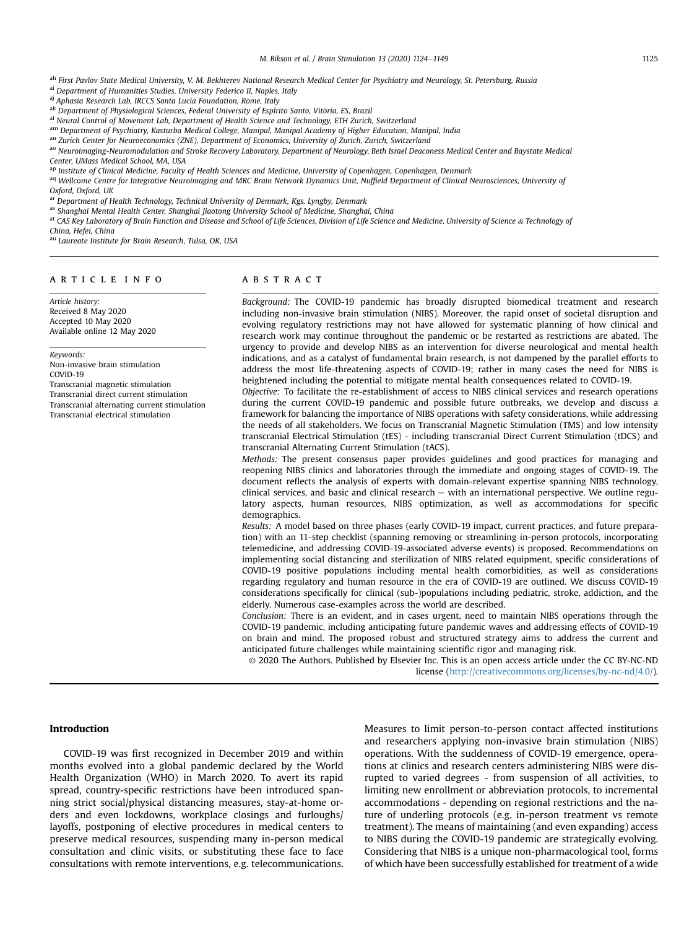<span id="page-1-0"></span>ah First Pavlov State Medical University, V. M. Bekhterev National Research Medical Center for Psychiatry and Neurology, St. Petersburg, Russia

<span id="page-1-1"></span>ai Department of Humanities Studies, University Federico II, Naples, Italy

<span id="page-1-2"></span>aj Aphasia Research Lab, IRCCS Santa Lucia Foundation, Rome, Italy

<span id="page-1-3"></span><sup>ak</sup> Department of Physiological Sciences, Federal University of Espírito Santo, Vitória, ES, Brazil

<span id="page-1-4"></span>al Neural Control of Movement Lab, Department of Health Science and Technology, ETH Zurich, Switzerland

<span id="page-1-5"></span>am Department of Psychiatry, Kasturba Medical College, Manipal, Manipal Academy of Higher Education, Manipal, India

<span id="page-1-6"></span>an Zurich Center for Neuroeconomics (ZNE), Department of Economics, University of Zurich, Zurich, Switzerland

<span id="page-1-7"></span>ao Neuroimaging-Neuromodulation and Stroke Recovery Laboratory, Department of Neurology, Beth Israel Deaconess Medical Center and Baystate Medical

Center, UMass Medical School, MA, USA

<span id="page-1-8"></span>ap Institute of Clinical Medicine, Faculty of Health Sciences and Medicine, University of Copenhagen, Copenhagen, Denmark

<span id="page-1-9"></span><sup>aq</sup> Wellcome Centre for Integrative Neuroimaging and MRC Brain Network Dynamics Unit, Nuffield Department of Clinical Neurosciences, University of Oxford, Oxford, UK

<span id="page-1-10"></span>ar Department of Health Technology, Technical University of Denmark, Kgs. Lyngby, Denmark

<span id="page-1-11"></span>as Shanghai Mental Health Center, Shanghai Jiaotong University School of Medicine, Shanghai, China

<span id="page-1-12"></span>at CAS Key Laboratory of Brain Function and Disease and School of Life Sciences, Division of Life Science and Medicine, University of Science & Technology of

China, Hefei, China

<span id="page-1-13"></span>au Laureate Institute for Brain Research, Tulsa, OK, USA

# article info

Article history: Received 8 May 2020 Accepted 10 May 2020 Available online 12 May 2020

#### Keywords:

Non-invasive brain stimulation COVID-19 Transcranial magnetic stimulation Transcranial direct current stimulation Transcranial alternating current stimulation Transcranial electrical stimulation

# **ABSTRACT**

Background: The COVID-19 pandemic has broadly disrupted biomedical treatment and research including non-invasive brain stimulation (NIBS). Moreover, the rapid onset of societal disruption and evolving regulatory restrictions may not have allowed for systematic planning of how clinical and research work may continue throughout the pandemic or be restarted as restrictions are abated. The urgency to provide and develop NIBS as an intervention for diverse neurological and mental health indications, and as a catalyst of fundamental brain research, is not dampened by the parallel efforts to address the most life-threatening aspects of COVID-19; rather in many cases the need for NIBS is heightened including the potential to mitigate mental health consequences related to COVID-19.

Objective: To facilitate the re-establishment of access to NIBS clinical services and research operations during the current COVID-19 pandemic and possible future outbreaks, we develop and discuss a framework for balancing the importance of NIBS operations with safety considerations, while addressing the needs of all stakeholders. We focus on Transcranial Magnetic Stimulation (TMS) and low intensity transcranial Electrical Stimulation (tES) - including transcranial Direct Current Stimulation (tDCS) and transcranial Alternating Current Stimulation (tACS).

Methods: The present consensus paper provides guidelines and good practices for managing and reopening NIBS clinics and laboratories through the immediate and ongoing stages of COVID-19. The document reflects the analysis of experts with domain-relevant expertise spanning NIBS technology, clinical services, and basic and clinical research  $-$  with an international perspective. We outline regulatory aspects, human resources, NIBS optimization, as well as accommodations for specific demographics.

Results: A model based on three phases (early COVID-19 impact, current practices, and future preparation) with an 11-step checklist (spanning removing or streamlining in-person protocols, incorporating telemedicine, and addressing COVID-19-associated adverse events) is proposed. Recommendations on implementing social distancing and sterilization of NIBS related equipment, specific considerations of COVID-19 positive populations including mental health comorbidities, as well as considerations regarding regulatory and human resource in the era of COVID-19 are outlined. We discuss COVID-19 considerations specifically for clinical (sub-)populations including pediatric, stroke, addiction, and the elderly. Numerous case-examples across the world are described.

Conclusion: There is an evident, and in cases urgent, need to maintain NIBS operations through the COVID-19 pandemic, including anticipating future pandemic waves and addressing effects of COVID-19 on brain and mind. The proposed robust and structured strategy aims to address the current and anticipated future challenges while maintaining scientific rigor and managing risk.

© 2020 The Authors. Published by Elsevier Inc. This is an open access article under the CC BY-NC-ND license [\(http://creativecommons.org/licenses/by-nc-nd/4.0/](http://creativecommons.org/licenses/by-nc-nd/4.0/)).

## Introduction

COVID-19 was first recognized in December 2019 and within months evolved into a global pandemic declared by the World Health Organization (WHO) in March 2020. To avert its rapid spread, country-specific restrictions have been introduced spanning strict social/physical distancing measures, stay-at-home orders and even lockdowns, workplace closings and furloughs/ layoffs, postponing of elective procedures in medical centers to preserve medical resources, suspending many in-person medical consultation and clinic visits, or substituting these face to face consultations with remote interventions, e.g. telecommunications. Measures to limit person-to-person contact affected institutions and researchers applying non-invasive brain stimulation (NIBS) operations. With the suddenness of COVID-19 emergence, operations at clinics and research centers administering NIBS were disrupted to varied degrees - from suspension of all activities, to limiting new enrollment or abbreviation protocols, to incremental accommodations - depending on regional restrictions and the nature of underling protocols (e.g. in-person treatment vs remote treatment). The means of maintaining (and even expanding) access to NIBS during the COVID-19 pandemic are strategically evolving. Considering that NIBS is a unique non-pharmacological tool, forms of which have been successfully established for treatment of a wide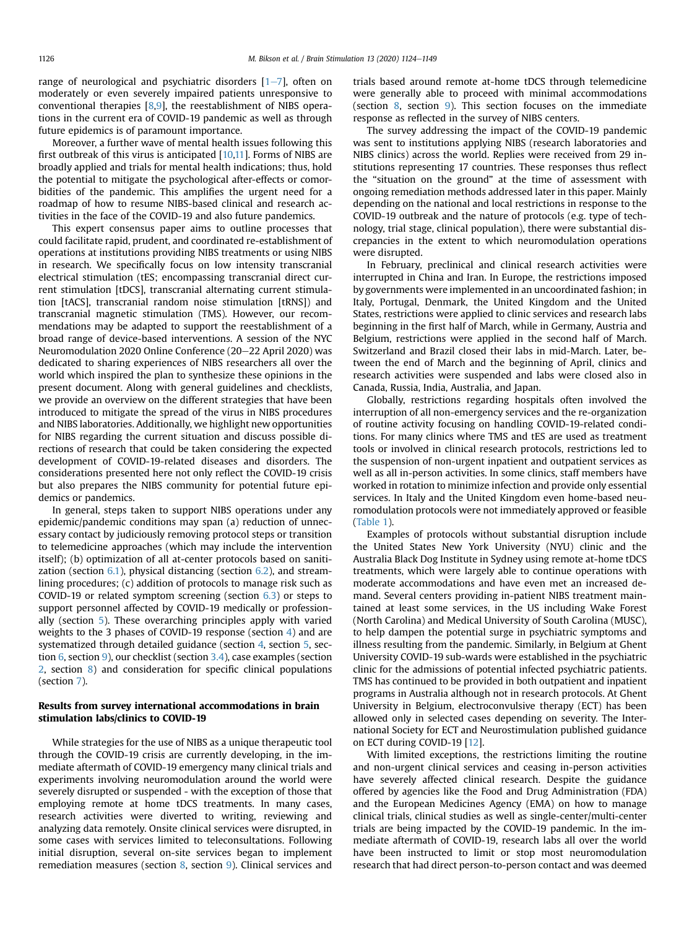range of neurological and psychiatric disorders  $[1-7]$  $[1-7]$  $[1-7]$  $[1-7]$ , often on moderately or even severely impaired patients unresponsive to conventional therapies [[8,](#page-22-1)[9](#page-22-2)], the reestablishment of NIBS operations in the current era of COVID-19 pandemic as well as through future epidemics is of paramount importance.

Moreover, a further wave of mental health issues following this first outbreak of this virus is anticipated [\[10](#page-22-3)[,11](#page-22-4)]. Forms of NIBS are broadly applied and trials for mental health indications; thus, hold the potential to mitigate the psychological after-effects or comorbidities of the pandemic. This amplifies the urgent need for a roadmap of how to resume NIBS-based clinical and research activities in the face of the COVID-19 and also future pandemics.

This expert consensus paper aims to outline processes that could facilitate rapid, prudent, and coordinated re-establishment of operations at institutions providing NIBS treatments or using NIBS in research. We specifically focus on low intensity transcranial electrical stimulation (tES; encompassing transcranial direct current stimulation [tDCS], transcranial alternating current stimulation [tACS], transcranial random noise stimulation [tRNS]) and transcranial magnetic stimulation (TMS). However, our recommendations may be adapted to support the reestablishment of a broad range of device-based interventions. A session of the NYC Neuromodulation 2020 Online Conference (20–22 April 2020) was dedicated to sharing experiences of NIBS researchers all over the world which inspired the plan to synthesize these opinions in the present document. Along with general guidelines and checklists, we provide an overview on the different strategies that have been introduced to mitigate the spread of the virus in NIBS procedures and NIBS laboratories. Additionally, we highlight new opportunities for NIBS regarding the current situation and discuss possible directions of research that could be taken considering the expected development of COVID-19-related diseases and disorders. The considerations presented here not only reflect the COVID-19 crisis but also prepares the NIBS community for potential future epidemics or pandemics.

In general, steps taken to support NIBS operations under any epidemic/pandemic conditions may span (a) reduction of unnecessary contact by judiciously removing protocol steps or transition to telemedicine approaches (which may include the intervention itself); (b) optimization of all at-center protocols based on sanitization (section  $6.1$ ), physical distancing (section  $6.2$ ), and streamlining procedures; (c) addition of protocols to manage risk such as COVID-19 or related symptom screening (section [6.3](#page-14-0)) or steps to support personnel affected by COVID-19 medically or professionally (section [5](#page-12-0)). These overarching principles apply with varied weights to the 3 phases of COVID-19 response (section 4) and are systematized through detailed guidance (section 4, section [5](#page-12-0), section [6,](#page-13-2) section [9\)](#page-18-0), our checklist (section [3.4\)](#page-5-0), case examples (section [2,](#page-2-0) section [8\)](#page-16-0) and consideration for specific clinical populations (section [7\)](#page-15-0).

# <span id="page-2-0"></span>Results from survey international accommodations in brain stimulation labs/clinics to COVID-19

While strategies for the use of NIBS as a unique therapeutic tool through the COVID-19 crisis are currently developing, in the immediate aftermath of COVID-19 emergency many clinical trials and experiments involving neuromodulation around the world were severely disrupted or suspended - with the exception of those that employing remote at home tDCS treatments. In many cases, research activities were diverted to writing, reviewing and analyzing data remotely. Onsite clinical services were disrupted, in some cases with services limited to teleconsultations. Following initial disruption, several on-site services began to implement remediation measures (section [8,](#page-16-0) section [9](#page-18-0)). Clinical services and trials based around remote at-home tDCS through telemedicine were generally able to proceed with minimal accommodations (section [8](#page-16-0), section [9](#page-18-0)). This section focuses on the immediate response as reflected in the survey of NIBS centers.

The survey addressing the impact of the COVID-19 pandemic was sent to institutions applying NIBS (research laboratories and NIBS clinics) across the world. Replies were received from 29 institutions representing 17 countries. These responses thus reflect the "situation on the ground" at the time of assessment with ongoing remediation methods addressed later in this paper. Mainly depending on the national and local restrictions in response to the COVID-19 outbreak and the nature of protocols (e.g. type of technology, trial stage, clinical population), there were substantial discrepancies in the extent to which neuromodulation operations were disrupted.

In February, preclinical and clinical research activities were interrupted in China and Iran. In Europe, the restrictions imposed by governments were implemented in an uncoordinated fashion; in Italy, Portugal, Denmark, the United Kingdom and the United States, restrictions were applied to clinic services and research labs beginning in the first half of March, while in Germany, Austria and Belgium, restrictions were applied in the second half of March. Switzerland and Brazil closed their labs in mid-March. Later, between the end of March and the beginning of April, clinics and research activities were suspended and labs were closed also in Canada, Russia, India, Australia, and Japan.

Globally, restrictions regarding hospitals often involved the interruption of all non-emergency services and the re-organization of routine activity focusing on handling COVID-19-related conditions. For many clinics where TMS and tES are used as treatment tools or involved in clinical research protocols, restrictions led to the suspension of non-urgent inpatient and outpatient services as well as all in-person activities. In some clinics, staff members have worked in rotation to minimize infection and provide only essential services. In Italy and the United Kingdom even home-based neuromodulation protocols were not immediately approved or feasible ([Table 1\)](#page-4-0).

Examples of protocols without substantial disruption include the United States New York University (NYU) clinic and the Australia Black Dog Institute in Sydney using remote at-home tDCS treatments, which were largely able to continue operations with moderate accommodations and have even met an increased demand. Several centers providing in-patient NIBS treatment maintained at least some services, in the US including Wake Forest (North Carolina) and Medical University of South Carolina (MUSC), to help dampen the potential surge in psychiatric symptoms and illness resulting from the pandemic. Similarly, in Belgium at Ghent University COVID-19 sub-wards were established in the psychiatric clinic for the admissions of potential infected psychiatric patients. TMS has continued to be provided in both outpatient and inpatient programs in Australia although not in research protocols. At Ghent University in Belgium, electroconvulsive therapy (ECT) has been allowed only in selected cases depending on severity. The International Society for ECT and Neurostimulation published guidance on ECT during COVID-19 [\[12](#page-22-5)].

With limited exceptions, the restrictions limiting the routine and non-urgent clinical services and ceasing in-person activities have severely affected clinical research. Despite the guidance offered by agencies like the Food and Drug Administration (FDA) and the European Medicines Agency (EMA) on how to manage clinical trials, clinical studies as well as single-center/multi-center trials are being impacted by the COVID-19 pandemic. In the immediate aftermath of COVID-19, research labs all over the world have been instructed to limit or stop most neuromodulation research that had direct person-to-person contact and was deemed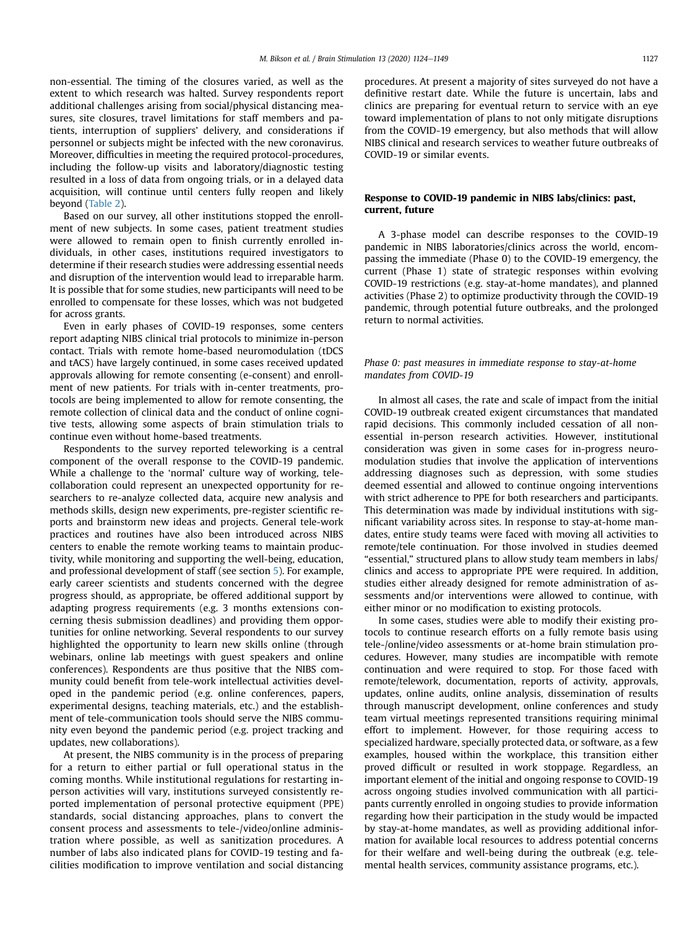non-essential. The timing of the closures varied, as well as the extent to which research was halted. Survey respondents report additional challenges arising from social/physical distancing measures, site closures, travel limitations for staff members and patients, interruption of suppliers' delivery, and considerations if personnel or subjects might be infected with the new coronavirus. Moreover, difficulties in meeting the required protocol-procedures, including the follow-up visits and laboratory/diagnostic testing resulted in a loss of data from ongoing trials, or in a delayed data acquisition, will continue until centers fully reopen and likely beyond ([Table 2](#page-6-0)).

Based on our survey, all other institutions stopped the enrollment of new subjects. In some cases, patient treatment studies were allowed to remain open to finish currently enrolled individuals, in other cases, institutions required investigators to determine if their research studies were addressing essential needs and disruption of the intervention would lead to irreparable harm. It is possible that for some studies, new participants will need to be enrolled to compensate for these losses, which was not budgeted for across grants.

Even in early phases of COVID-19 responses, some centers report adapting NIBS clinical trial protocols to minimize in-person contact. Trials with remote home-based neuromodulation (tDCS and tACS) have largely continued, in some cases received updated approvals allowing for remote consenting (e-consent) and enrollment of new patients. For trials with in-center treatments, protocols are being implemented to allow for remote consenting, the remote collection of clinical data and the conduct of online cognitive tests, allowing some aspects of brain stimulation trials to continue even without home-based treatments.

Respondents to the survey reported teleworking is a central component of the overall response to the COVID-19 pandemic. While a challenge to the 'normal' culture way of working, telecollaboration could represent an unexpected opportunity for researchers to re-analyze collected data, acquire new analysis and methods skills, design new experiments, pre-register scientific reports and brainstorm new ideas and projects. General tele-work practices and routines have also been introduced across NIBS centers to enable the remote working teams to maintain productivity, while monitoring and supporting the well-being, education, and professional development of staff (see section [5](#page-12-0)). For example, early career scientists and students concerned with the degree progress should, as appropriate, be offered additional support by adapting progress requirements (e.g. 3 months extensions concerning thesis submission deadlines) and providing them opportunities for online networking. Several respondents to our survey highlighted the opportunity to learn new skills online (through webinars, online lab meetings with guest speakers and online conferences). Respondents are thus positive that the NIBS community could benefit from tele-work intellectual activities developed in the pandemic period (e.g. online conferences, papers, experimental designs, teaching materials, etc.) and the establishment of tele-communication tools should serve the NIBS community even beyond the pandemic period (e.g. project tracking and updates, new collaborations).

At present, the NIBS community is in the process of preparing for a return to either partial or full operational status in the coming months. While institutional regulations for restarting inperson activities will vary, institutions surveyed consistently reported implementation of personal protective equipment (PPE) standards, social distancing approaches, plans to convert the consent process and assessments to tele-/video/online administration where possible, as well as sanitization procedures. A number of labs also indicated plans for COVID-19 testing and facilities modification to improve ventilation and social distancing procedures. At present a majority of sites surveyed do not have a definitive restart date. While the future is uncertain, labs and clinics are preparing for eventual return to service with an eye toward implementation of plans to not only mitigate disruptions from the COVID-19 emergency, but also methods that will allow NIBS clinical and research services to weather future outbreaks of COVID-19 or similar events.

# Response to COVID-19 pandemic in NIBS labs/clinics: past, current, future

A 3-phase model can describe responses to the COVID-19 pandemic in NIBS laboratories/clinics across the world, encompassing the immediate (Phase 0) to the COVID-19 emergency, the current (Phase 1) state of strategic responses within evolving COVID-19 restrictions (e.g. stay-at-home mandates), and planned activities (Phase 2) to optimize productivity through the COVID-19 pandemic, through potential future outbreaks, and the prolonged return to normal activities.

# Phase 0: past measures in immediate response to stay-at-home mandates from COVID-19

In almost all cases, the rate and scale of impact from the initial COVID-19 outbreak created exigent circumstances that mandated rapid decisions. This commonly included cessation of all nonessential in-person research activities. However, institutional consideration was given in some cases for in-progress neuromodulation studies that involve the application of interventions addressing diagnoses such as depression, with some studies deemed essential and allowed to continue ongoing interventions with strict adherence to PPE for both researchers and participants. This determination was made by individual institutions with significant variability across sites. In response to stay-at-home mandates, entire study teams were faced with moving all activities to remote/tele continuation. For those involved in studies deemed "essential," structured plans to allow study team members in labs/ clinics and access to appropriate PPE were required. In addition, studies either already designed for remote administration of assessments and/or interventions were allowed to continue, with either minor or no modification to existing protocols.

In some cases, studies were able to modify their existing protocols to continue research efforts on a fully remote basis using tele-/online/video assessments or at-home brain stimulation procedures. However, many studies are incompatible with remote continuation and were required to stop. For those faced with remote/telework, documentation, reports of activity, approvals, updates, online audits, online analysis, dissemination of results through manuscript development, online conferences and study team virtual meetings represented transitions requiring minimal effort to implement. However, for those requiring access to specialized hardware, specially protected data, or software, as a few examples, housed within the workplace, this transition either proved difficult or resulted in work stoppage. Regardless, an important element of the initial and ongoing response to COVID-19 across ongoing studies involved communication with all participants currently enrolled in ongoing studies to provide information regarding how their participation in the study would be impacted by stay-at-home mandates, as well as providing additional information for available local resources to address potential concerns for their welfare and well-being during the outbreak (e.g. telemental health services, community assistance programs, etc.).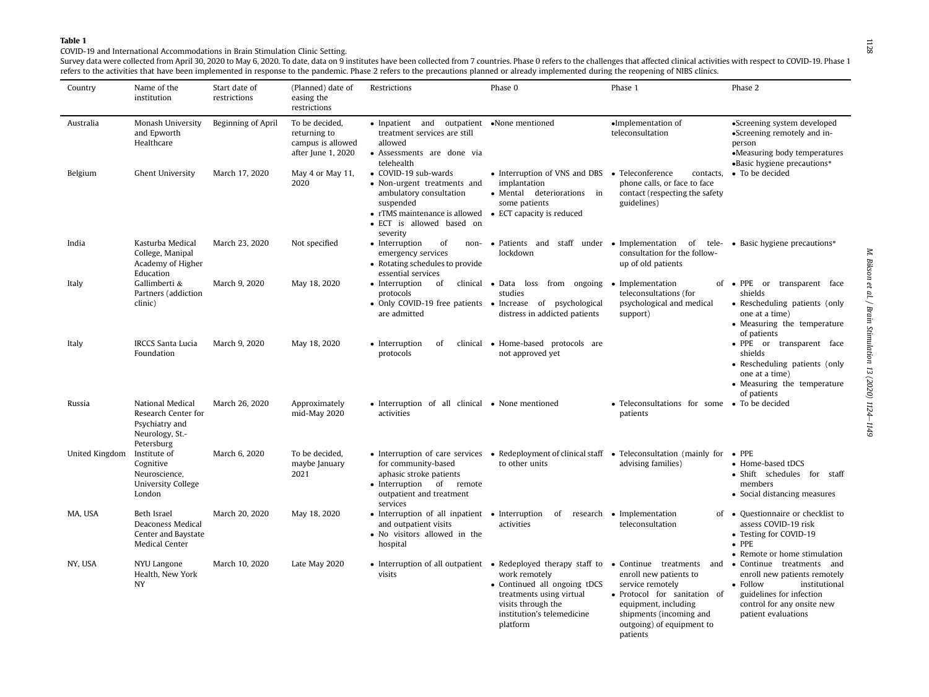COVID-19 and International Accommodations in Brain Stimulation Clinic Setting.

Survey data were collected from April 30, 2020 to May 6, 2020. To date, data on 9 institutes have been collected from 7 countries. Phase 0 refers to the challenges that affected clinical activities with respect to COVID-19 refers to the activities that have been implemented in response to the pandemic. Phase 2 refers to the precautions planned or already implemented during the reopening of NIBS clinics.

<span id="page-4-0"></span>

| Country        | Name of the<br>institution                                                                 | Start date of<br>restrictions | (Planned) date of<br>easing the<br>restrictions                           | Restrictions                                                                                                                                                                                    | Phase 0                                                                                                                                                                                                                               | Phase 1                                                                                                                                                                | Phase 2                                                                                                                                                                 |
|----------------|--------------------------------------------------------------------------------------------|-------------------------------|---------------------------------------------------------------------------|-------------------------------------------------------------------------------------------------------------------------------------------------------------------------------------------------|---------------------------------------------------------------------------------------------------------------------------------------------------------------------------------------------------------------------------------------|------------------------------------------------------------------------------------------------------------------------------------------------------------------------|-------------------------------------------------------------------------------------------------------------------------------------------------------------------------|
| Australia      | Monash University<br>and Epworth<br>Healthcare                                             | Beginning of April            | To be decided,<br>returning to<br>campus is allowed<br>after June 1, 2020 | • Inpatient and outpatient •None mentioned<br>treatment services are still<br>allowed<br>• Assessments are done via<br>telehealth                                                               |                                                                                                                                                                                                                                       | •Implementation of<br>teleconsultation                                                                                                                                 | •Screening system developed<br>•Screening remotely and in-<br>person<br>•Measuring body temperatures<br>•Basic hygiene precautions*                                     |
| Belgium        | <b>Ghent University</b>                                                                    | March 17, 2020                | May 4 or May 11,<br>2020                                                  | • COVID-19 sub-wards<br>• Non-urgent treatments and<br>ambulatory consultation<br>suspended<br>• rTMS maintenance is allowed • ECT capacity is reduced<br>• ECT is allowed based on<br>severity | • Interruption of VNS and DBS • Teleconference<br>implantation<br>• Mental deteriorations in<br>some patients                                                                                                                         | contacts,<br>phone calls, or face to face<br>contact (respecting the safety<br>guidelines)                                                                             | • To be decided                                                                                                                                                         |
| India          | Kasturba Medical<br>College, Manipal<br>Academy of Higher<br>Education                     | March 23, 2020                | Not specified                                                             | • Interruption<br>of<br>emergency services<br>• Rotating schedules to provide<br>essential services                                                                                             | non- • Patients and staff under • Implementation of tele- • Basic hygiene precautions*<br>lockdown                                                                                                                                    | consultation for the follow-<br>up of old patients                                                                                                                     |                                                                                                                                                                         |
| Italy          | Gallimberti &<br>Partners (addiction<br>clinic)                                            | March 9, 2020                 | May 18, 2020                                                              | protocols<br>• Only COVID-19 free patients • Increase of psychological<br>are admitted                                                                                                          | • Interruption of clinical • Data loss from ongoing<br>studies<br>distress in addicted patients                                                                                                                                       | Implementation<br>teleconsultations (for<br>psychological and medical<br>support)                                                                                      | of • PPE or transparent face<br>shields<br>• Rescheduling patients (only<br>one at a time)<br>• Measuring the temperature<br>of patients                                |
| Italy          | <b>IRCCS Santa Lucia</b><br>Foundation                                                     | March 9, 2020                 | May 18, 2020                                                              | • Interruption<br>of<br>protocols                                                                                                                                                               | clinical • Home-based protocols are<br>not approved yet                                                                                                                                                                               |                                                                                                                                                                        | • PPE or transparent face<br>shields<br>• Rescheduling patients (only<br>one at a time)<br>• Measuring the temperature<br>of patients                                   |
| Russia         | National Medical<br>Research Center for<br>Psychiatry and<br>Neurology, St.-<br>Petersburg | March 26, 2020                | Approximately<br>mid-May 2020                                             | • Interruption of all clinical • None mentioned<br>activities                                                                                                                                   |                                                                                                                                                                                                                                       | • Teleconsultations for some • To be decided<br>patients                                                                                                               |                                                                                                                                                                         |
| United Kingdom | Institute of<br>Cognitive<br>Neuroscience,<br><b>University College</b><br>London          | March 6, 2020                 | To be decided,<br>maybe January<br>2021                                   | for community-based<br>aphasic stroke patients<br>• Interruption of remote<br>outpatient and treatment<br>services                                                                              | • Interruption of care services • Redeployment of clinical staff • Teleconsultation (mainly for • PPE<br>to other units                                                                                                               | advising families)                                                                                                                                                     | • Home-based tDCS<br>• Shift schedules for staff<br>members<br>• Social distancing measures                                                                             |
| MA, USA        | Beth Israel<br>Deaconess Medical<br>Center and Baystate<br><b>Medical Center</b>           | March 20, 2020                | May 18, 2020                                                              | • Interruption of all inpatient • Interruption<br>and outpatient visits<br>• No visitors allowed in the<br>hospital                                                                             | activities                                                                                                                                                                                                                            | of research • Implementation<br>teleconsultation                                                                                                                       | of • Questionnaire or checklist to<br>assess COVID-19 risk<br>• Testing for COVID-19<br>$\bullet$ PPE<br>• Remote or home stimulation                                   |
| NY, USA        | NYU Langone<br>Health, New York<br><b>NY</b>                                               | March 10, 2020                | Late May 2020                                                             | visits                                                                                                                                                                                          | • Interruption of all outpatient • Redeployed therapy staff to • Continue treatments and<br>work remotely<br>• Continued all ongoing tDCS<br>treatments using virtual<br>visits through the<br>institution's telemedicine<br>platform | enroll new patients to<br>service remotely<br>· Protocol for sanitation of<br>equipment, including<br>shipments (incoming and<br>outgoing) of equipment to<br>patients | • Continue treatments and<br>enroll new patients remotely<br>• Follow<br>institutional<br>guidelines for infection<br>control for any onsite new<br>patient evaluations |

1128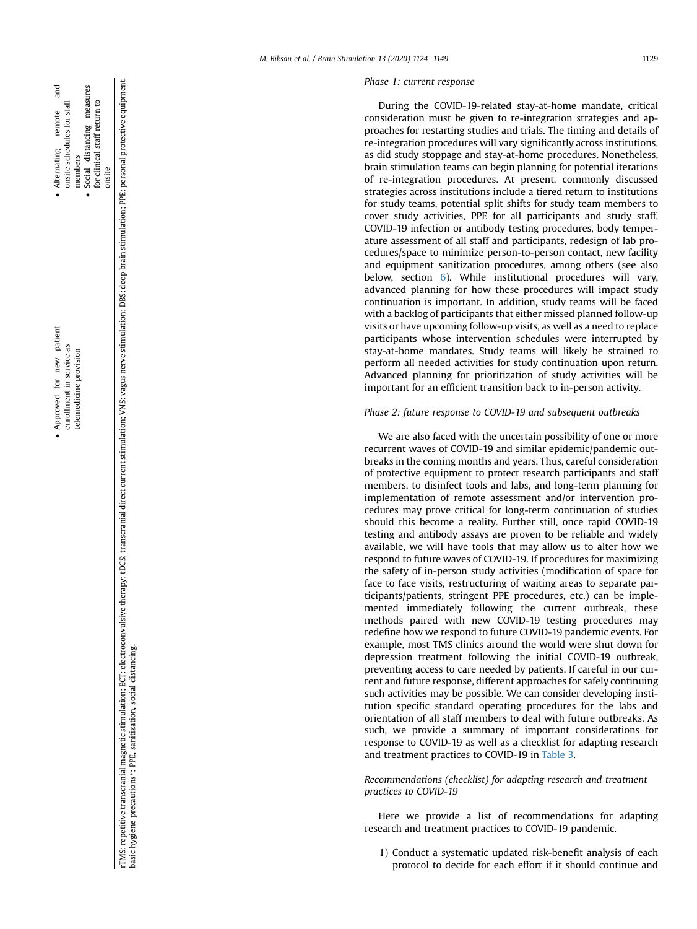nd<br>Fi

remote

onsite

rTMS: repetitive transcranial magnetic stimulation; ECT: electroconvulsive therapy; tDCS: transcranial direct current stimulation; VNS: vagus nerve stimulation; DBS: deep brain stimulation; PPE: personal protective equipme rTMS: repetitive transcranial magnetic stimulation; ECT: electroconvulsive therapy; tDCS: transcranial direct current stimulation; VNS: vagus nerve stimulation; DBS: deep brain stimulation; PPE: personal protective equipme basic hygiene precautions\*: PPE, sanitization, social distancing.

#### Phase 1: current response

During the COVID-19-related stay-at-home mandate, critical consideration must be given to re-integration strategies and approaches for restarting studies and trials. The timing and details of re-integration procedures will vary signi ficantly across institutions, as did study stoppage and stay-at-home procedures. Nonetheless, brain stimulation teams can begin planning for potential iterations of re-integration procedures. At present, commonly discussed strategies across institutions include a tiered return to institutions for study teams, potential split shifts for study team members to cover study activities, PPE for all participants and study staff, COVID-19 infection or antibody testing procedures, body temperature assessment of all staff and participants, redesign of lab procedures/space to minimize person-to-person contact, new facility and equipment sanitization procedures, among others (see also below, section [6](#page-13-2)). While institutional procedures will vary, advanced planning for how these procedures will impact study continuation is important. In addition, study teams will be faced with a backlog of participants that either missed planned follow-up visits or have upcoming follow-up visits, as well as a need to replace participants whose intervention schedules were interrupted by stay-at-home mandates. Study teams will likely be strained to perform all needed activities for study continuation upon return. Advanced planning for prioritization of study activities will be important for an efficient transition back to in-person activity.

# Phase 2: future response to COVID-19 and subsequent outbreaks

We are also faced with the uncertain possibility of one or more recurrent waves of COVID-19 and similar epidemic/pandemic outbreaks in the coming months and years. Thus, careful consideration of protective equipment to protect research participants and staff members, to disinfect tools and labs, and long-term planning for implementation of remote assessment and/or intervention procedures may prove critical for long-term continuation of studies should this become a reality. Further still, once rapid COVID-19 testing and antibody assays are proven to be reliable and widely available, we will have tools that may allow us to alter how we respond to future waves of COVID-19. If procedures for maximizing the safety of in-person study activities (modi fication of space for face to face visits, restructuring of waiting areas to separate participants/patients, stringent PPE procedures, etc.) can be implemented immediately following the current outbreak, these methods paired with new COVID-19 testing procedures may rede fine how we respond to future COVID-19 pandemic events. For example, most TMS clinics around the world were shut down for depression treatment following the initial COVID-19 outbreak, preventing access to care needed by patients. If careful in our current and future response, different approaches for safely continuing such activities may be possible. We can consider developing institution specific standard operating procedures for the labs and orientation of all staff members to deal with future outbreaks. As such, we provide a summary of important considerations for response to COVID-19 as well as a checklist for adapting research and treatment practices to COVID-19 in [Table 3](#page-11-0) .

<span id="page-5-0"></span>Recommendations (checklist) for adapting research and treatment practices to COVID-19

Here we provide a list of recommendations for adapting research and treatment practices to COVID-19 pandemic.

1) Conduct a systematic updated risk-bene fit analysis of each protocol to decide for each effort if it should continue and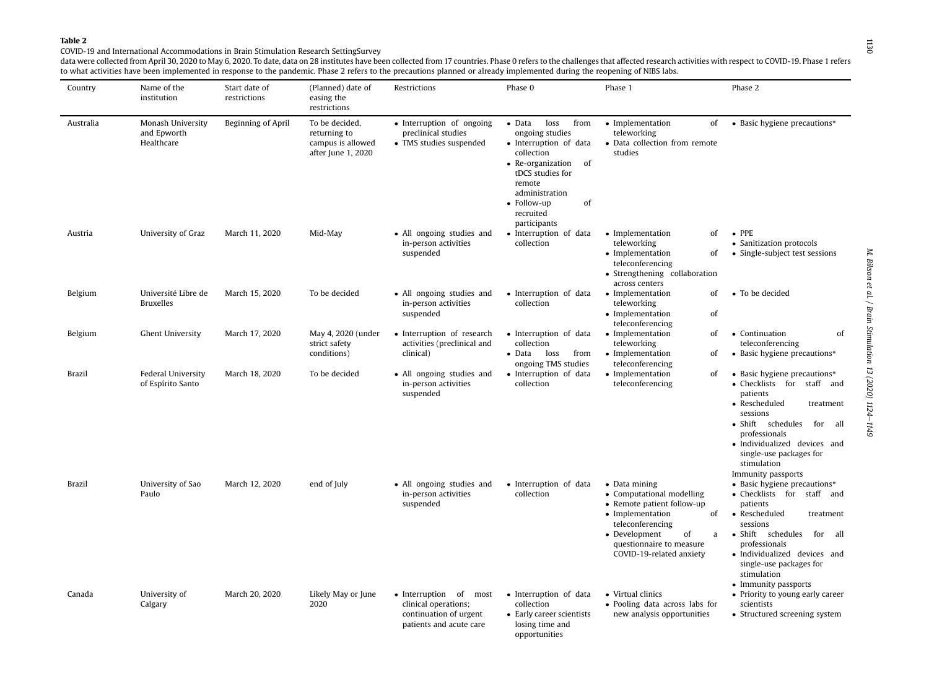# COVID-19 and International Accommodations in Brain Stimulation Research SettingSurvey

data were collected from April 30, 2020 to May 6, 2020. To date, data on 28 institutes have been collected from 17 countries. Phase 0 refers to the challenges that affected research activities with respect to COVID-19. Pha to what activities have been implemented in response to the pandemic. Phase 2 refers to the precautions planned or already implemented during the reopening of NIBS labs.

<span id="page-6-0"></span>

| Country       | Name of the<br>institution                     | Start date of<br>restrictions | (Planned) date of<br>easing the<br>restrictions                           | Restrictions                                                                                           | Phase 0                                                                                                                                                                                                                  | Phase 1                                                                                                                                                                                                    | Phase 2                                                                                                                                                                                                                                                              |
|---------------|------------------------------------------------|-------------------------------|---------------------------------------------------------------------------|--------------------------------------------------------------------------------------------------------|--------------------------------------------------------------------------------------------------------------------------------------------------------------------------------------------------------------------------|------------------------------------------------------------------------------------------------------------------------------------------------------------------------------------------------------------|----------------------------------------------------------------------------------------------------------------------------------------------------------------------------------------------------------------------------------------------------------------------|
| Australia     | Monash University<br>and Epworth<br>Healthcare | Beginning of April            | To be decided,<br>returning to<br>campus is allowed<br>after June 1, 2020 | • Interruption of ongoing<br>preclinical studies<br>• TMS studies suspended                            | loss<br>from<br>$\bullet$ Data<br>ongoing studies<br>· Interruption of data<br>collection<br>• Re-organization<br>- of<br>tDCS studies for<br>remote<br>administration<br>• Follow-up<br>of<br>recruited<br>participants | • Implementation<br>of<br>teleworking<br>• Data collection from remote<br>studies                                                                                                                          | • Basic hygiene precautions*                                                                                                                                                                                                                                         |
| Austria       | University of Graz                             | March 11, 2020                | Mid-May                                                                   | • All ongoing studies and<br>in-person activities<br>suspended                                         | • Interruption of data<br>collection                                                                                                                                                                                     | • Implementation<br>of<br>teleworking<br>• Implementation<br>of<br>teleconferencing<br>• Strengthening collaboration<br>across centers                                                                     | $\bullet$ PPE<br>• Sanitization protocols<br>• Single-subject test sessions                                                                                                                                                                                          |
| Belgium       | Université Libre de<br><b>Bruxelles</b>        | March 15, 2020                | To be decided                                                             | • All ongoing studies and<br>in-person activities<br>suspended                                         | · Interruption of data<br>collection                                                                                                                                                                                     | • Implementation<br>of<br>teleworking<br>• Implementation<br>of<br>teleconferencing                                                                                                                        | • To be decided                                                                                                                                                                                                                                                      |
| Belgium       | <b>Ghent University</b>                        | March 17, 2020                | May 4, 2020 (under<br>strict safety<br>conditions)                        | • Interruption of research<br>activities (preclinical and<br>clinical)                                 | • Interruption of data<br>collection<br>$\bullet$ Data<br>loss<br>from<br>ongoing TMS studies                                                                                                                            | • Implementation<br>of<br>teleworking<br>• Implementation<br>of<br>teleconferencing                                                                                                                        | • Continuation<br>of<br>teleconferencing<br>• Basic hygiene precautions*                                                                                                                                                                                             |
| <b>Brazil</b> | Federal University<br>of Espírito Santo        | March 18, 2020                | To be decided                                                             | • All ongoing studies and<br>in-person activities<br>suspended                                         | • Interruption of data<br>collection                                                                                                                                                                                     | • Implementation<br>of<br>teleconferencing                                                                                                                                                                 | • Basic hygiene precautions*<br>• Checklists for staff and<br>patients<br>• Rescheduled<br>treatment<br>sessions<br>• Shift schedules<br>for<br>all<br>professionals<br>· Individualized devices and<br>single-use packages for<br>stimulation<br>Immunity passports |
| Brazil        | University of Sao<br>Paulo                     | March 12, 2020                | end of July                                                               | • All ongoing studies and<br>in-person activities<br>suspended                                         | • Interruption of data<br>collection                                                                                                                                                                                     | • Data mining<br>• Computational modelling<br>• Remote patient follow-up<br>• Implementation<br>of<br>teleconferencing<br>• Development<br>of<br>a<br>questionnaire to measure<br>COVID-19-related anxiety | • Basic hygiene precautions*<br>• Checklists for staff and<br>patients<br>• Rescheduled<br>treatment<br>sessions<br>· Shift schedules<br>for all<br>professionals<br>· Individualized devices and<br>single-use packages for<br>stimulation<br>• Immunity passports  |
| Canada        | University of<br>Calgary                       | March 20, 2020                | Likely May or June<br>2020                                                | • Interruption of<br>most<br>clinical operations;<br>continuation of urgent<br>patients and acute care | • Interruption of data<br>collection<br>• Early career scientists<br>losing time and<br>opportunities                                                                                                                    | • Virtual clinics<br>• Pooling data across labs for<br>new analysis opportunities                                                                                                                          | • Priority to young early career<br>scientists<br>• Structured screening system                                                                                                                                                                                      |

ΙIJΟ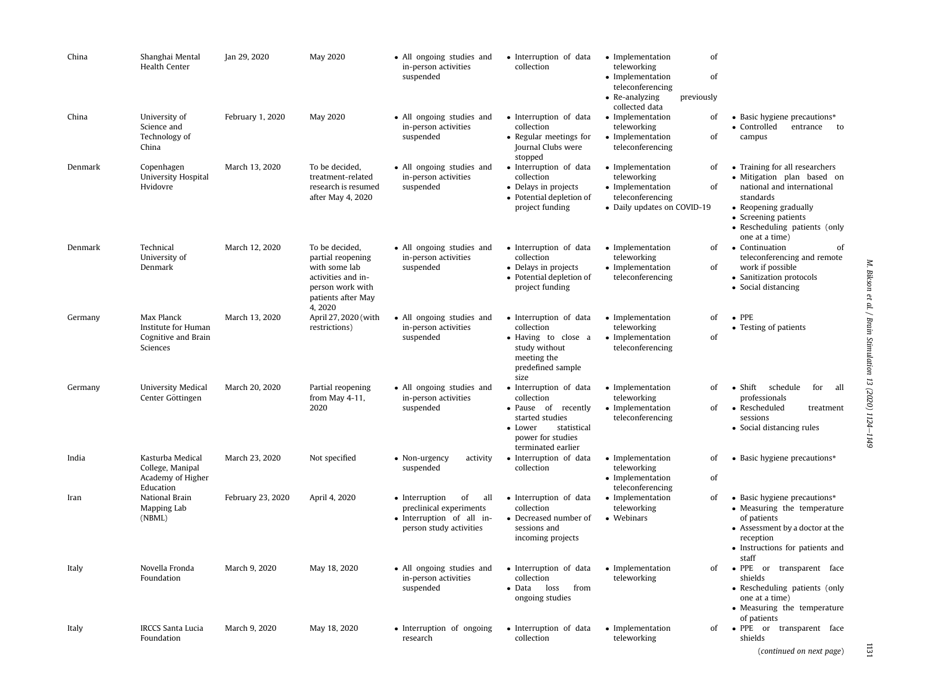| China   | Shanghai Mental<br>Health Center                                       | Jan 29, 2020      | <b>May 2020</b>                                                                                                                | • All ongoing studies and<br>in-person activities<br>suspended                                                 | · Interruption of data<br>collection                                                                                                                | • Implementation<br>teleworking<br>• Implementation<br>teleconferencing<br>• Re-analyzing              | of<br>of<br>previously |                                                                                                                                                                                                             |
|---------|------------------------------------------------------------------------|-------------------|--------------------------------------------------------------------------------------------------------------------------------|----------------------------------------------------------------------------------------------------------------|-----------------------------------------------------------------------------------------------------------------------------------------------------|--------------------------------------------------------------------------------------------------------|------------------------|-------------------------------------------------------------------------------------------------------------------------------------------------------------------------------------------------------------|
| China   | University of<br>Science and<br>Technology of<br>China                 | February 1, 2020  | May 2020                                                                                                                       | • All ongoing studies and<br>in-person activities<br>suspended                                                 | • Interruption of data<br>collection<br>• Regular meetings for<br>Journal Clubs were<br>stopped                                                     | collected data<br>• Implementation<br>teleworking<br>• Implementation<br>teleconferencing              | of<br>of               | • Basic hygiene precautions*<br>• Controlled<br>entrance to<br>campus                                                                                                                                       |
| Denmark | Copenhagen<br>University Hospital<br>Hvidovre                          | March 13, 2020    | To be decided,<br>treatment-related<br>research is resumed<br>after May 4, 2020                                                | • All ongoing studies and<br>in-person activities<br>suspended                                                 | • Interruption of data<br>collection<br>• Delays in projects<br>• Potential depletion of<br>project funding                                         | • Implementation<br>teleworking<br>• Implementation<br>teleconferencing<br>• Daily updates on COVID-19 | of<br>of               | • Training for all researchers<br>· Mitigation plan based on<br>national and international<br>standards<br>• Reopening gradually<br>• Screening patients<br>• Rescheduling patients (only<br>one at a time) |
| Denmark | Technical<br>University of<br>Denmark                                  | March 12, 2020    | To be decided,<br>partial reopening<br>with some lab<br>activities and in-<br>person work with<br>patients after May<br>4,2020 | • All ongoing studies and<br>in-person activities<br>suspended                                                 | • Interruption of data<br>collection<br>• Delays in projects<br>• Potential depletion of<br>project funding                                         | • Implementation<br>teleworking<br>• Implementation<br>teleconferencing                                | of<br>of               | • Continuation<br>of<br>teleconferencing and remote<br>work if possible<br>• Sanitization protocols<br>• Social distancing                                                                                  |
| Germany | Max Planck<br>Institute for Human<br>Cognitive and Brain<br>Sciences   | March 13, 2020    | April 27, 2020 (with<br>restrictions)                                                                                          | • All ongoing studies and<br>in-person activities<br>suspended                                                 | • Interruption of data<br>collection<br>· Having to close a<br>study without<br>meeting the<br>predefined sample<br>size                            | • Implementation<br>teleworking<br>• Implementation<br>teleconferencing                                | of<br>of               | $\bullet$ PPE<br>• Testing of patients                                                                                                                                                                      |
| Germany | University Medical<br>Center Göttingen                                 | March 20, 2020    | Partial reopening<br>from May 4-11,<br>2020                                                                                    | • All ongoing studies and<br>in-person activities<br>suspended                                                 | • Interruption of data<br>collection<br>• Pause of recently<br>started studies<br>• Lower<br>statistical<br>power for studies<br>terminated earlier | • Implementation<br>teleworking<br>• Implementation<br>teleconferencing                                | of<br>of               | · Shift schedule<br>for all<br>professionals<br>• Rescheduled<br>treatment<br>sessions<br>• Social distancing rules                                                                                         |
| India   | Kasturba Medical<br>College, Manipal<br>Academy of Higher<br>Education | March 23, 2020    | Not specified                                                                                                                  | • Non-urgency<br>activity<br>suspended                                                                         | · Interruption of data<br>collection                                                                                                                | • Implementation<br>teleworking<br>• Implementation<br>teleconferencing                                | of<br>of               | • Basic hygiene precautions*                                                                                                                                                                                |
| Iran    | National Brain<br>Mapping Lab<br>(NBML)                                | February 23, 2020 | April 4, 2020                                                                                                                  | • Interruption<br>of<br>all<br>preclinical experiments<br>· Interruption of all in-<br>person study activities | • Interruption of data<br>collection<br>• Decreased number of<br>sessions and<br>incoming projects                                                  | • Implementation<br>teleworking<br>• Webinars                                                          | of                     | • Basic hygiene precautions*<br>• Measuring the temperature<br>of patients<br>• Assessment by a doctor at the<br>reception<br>• Instructions for patients and<br>staff                                      |
| Italy   | Novella Fronda<br>Foundation                                           | March 9, 2020     | May 18, 2020                                                                                                                   | • All ongoing studies and<br>in-person activities<br>suspended                                                 | • Interruption of data<br>collection<br>$\bullet$ Data<br>loss<br>from<br>ongoing studies                                                           | • Implementation<br>teleworking                                                                        | of                     | • PPE or transparent face<br>shields<br>• Rescheduling patients (only<br>one at a time)<br>• Measuring the temperature<br>of patients                                                                       |
| Italy   | <b>IRCCS Santa Lucia</b><br>Foundation                                 | March 9, 2020     | May 18, 2020                                                                                                                   | • Interruption of ongoing<br>research                                                                          | • Interruption of data<br>collection                                                                                                                | • Implementation<br>teleworking                                                                        | of                     | $\bullet$ PPE<br>or transparent face<br>shields<br>(continued on next page)                                                                                                                                 |

1131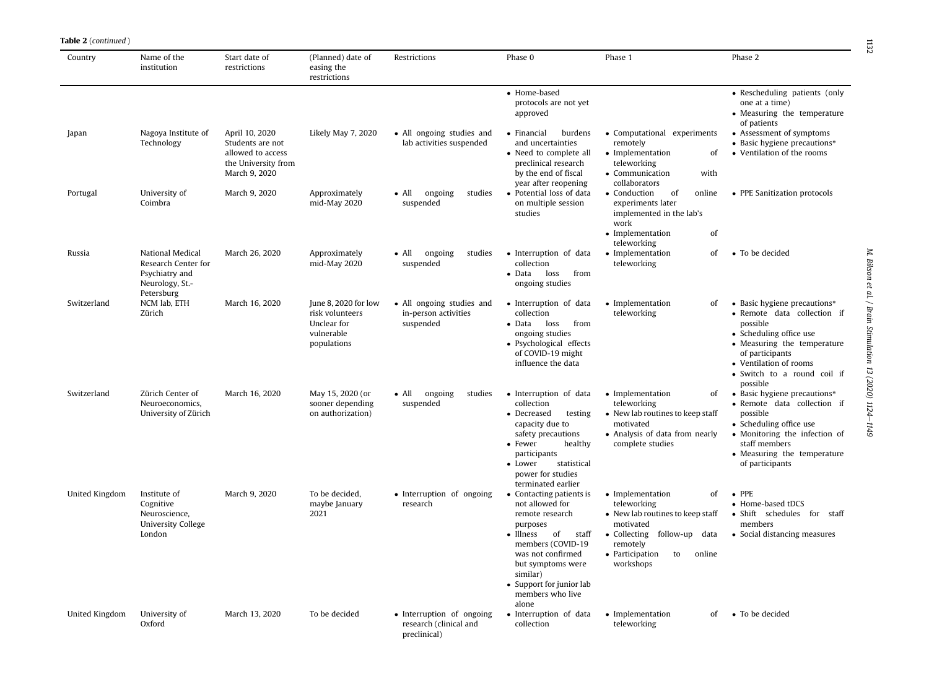| Country        | Name of the<br>institution                                                        | Start date of<br>restrictions                                                                   | (Planned) date of<br>easing the<br>restrictions                                     | Restrictions                                                        | Phase 0                                                                                                                                                                                                                                            | Phase 1                                                                                                                                                                              | Phase 2                                                                                                                                                                                                                   |
|----------------|-----------------------------------------------------------------------------------|-------------------------------------------------------------------------------------------------|-------------------------------------------------------------------------------------|---------------------------------------------------------------------|----------------------------------------------------------------------------------------------------------------------------------------------------------------------------------------------------------------------------------------------------|--------------------------------------------------------------------------------------------------------------------------------------------------------------------------------------|---------------------------------------------------------------------------------------------------------------------------------------------------------------------------------------------------------------------------|
|                |                                                                                   |                                                                                                 |                                                                                     |                                                                     | • Home-based<br>protocols are not yet<br>approved                                                                                                                                                                                                  |                                                                                                                                                                                      | • Rescheduling patients (only<br>one at a time)<br>• Measuring the temperature<br>of patients                                                                                                                             |
| Japan          | Nagoya Institute of<br>Technology                                                 | April 10, 2020<br>Students are not<br>allowed to access<br>the University from<br>March 9, 2020 | Likely May 7, 2020                                                                  | • All ongoing studies and<br>lab activities suspended               | • Financial<br>burdens<br>and uncertainties<br>• Need to complete all<br>preclinical research<br>by the end of fiscal                                                                                                                              | • Computational experiments<br>remotely<br>• Implementation<br>of<br>teleworking<br>• Communication<br>with                                                                          | • Assessment of symptoms<br>• Basic hygiene precautions*<br>• Ventilation of the rooms                                                                                                                                    |
| Portugal       | University of<br>Coimbra                                                          | March 9, 2020                                                                                   | Approximately<br>mid-May 2020                                                       | $\bullet$ All<br>ongoing<br>studies<br>suspended                    | year after reopening<br>• Potential loss of data<br>on multiple session<br>studies                                                                                                                                                                 | collaborators<br>• Conduction<br>of<br>online<br>experiments later<br>implemented in the lab's<br>work<br>• Implementation<br>of                                                     | • PPE Sanitization protocols                                                                                                                                                                                              |
| Russia         | National Medical<br>Research Center for<br>Psychiatry and<br>Neurology, St.-      | March 26, 2020                                                                                  | Approximately<br>mid-May 2020                                                       | studies<br>$\bullet$ All<br>ongoing<br>suspended                    | · Interruption of data<br>collection<br>$\bullet$ Data<br>loss<br>from<br>ongoing studies                                                                                                                                                          | teleworking<br>• Implementation<br>of<br>teleworking                                                                                                                                 | • To be decided                                                                                                                                                                                                           |
| Switzerland    | Petersburg<br>NCM lab, ETH<br>Zürich                                              | March 16, 2020                                                                                  | June 8, 2020 for low<br>risk volunteers<br>Unclear for<br>vulnerable<br>populations | • All ongoing studies and<br>in-person activities<br>suspended      | • Interruption of data<br>collection<br>from<br>$\bullet$ Data<br>loss<br>ongoing studies<br>· Psychological effects<br>of COVID-19 might<br>influence the data                                                                                    | • Implementation<br>οf<br>teleworking                                                                                                                                                | • Basic hygiene precautions*<br>· Remote data collection if<br>possible<br>• Scheduling office use<br>• Measuring the temperature<br>of participants<br>• Ventilation of rooms<br>• Switch to a round coil if<br>possible |
| Switzerland    | Zürich Center of<br>Neuroeconomics,<br>University of Zürich                       | March 16, 2020                                                                                  | May 15, 2020 (or<br>sooner depending<br>on authorization)                           | ongoing<br>studies<br>$\bullet$ All<br>suspended                    | • Interruption of data<br>collection<br>• Decreased<br>testing<br>capacity due to<br>safety precautions<br>• Fewer<br>healthy<br>participants<br>statistical<br>• Lower<br>power for studies<br>terminated earlier                                 | • Implementation<br>of<br>teleworking<br>• New lab routines to keep staff<br>motivated<br>• Analysis of data from nearly<br>complete studies                                         | • Basic hygiene precautions*<br>• Remote data collection if<br>possible<br>• Scheduling office use<br>• Monitoring the infection of<br>staff members<br>• Measuring the temperature<br>of participants                    |
| United Kingdom | Institute of<br>Cognitive<br>Neuroscience,<br><b>University College</b><br>London | March 9, 2020                                                                                   | To be decided,<br>maybe January<br>2021                                             | • Interruption of ongoing<br>research                               | • Contacting patients is<br>not allowed for<br>remote research<br>purposes<br>$\bullet$ Illness<br>of<br>staff<br>members (COVID-19<br>was not confirmed<br>but symptoms were<br>similar)<br>• Support for junior lab<br>members who live<br>alone | • Implementation<br>of<br>teleworking<br>• New lab routines to keep staff<br>motivated<br>• Collecting follow-up<br>data<br>remotely<br>• Participation<br>to<br>online<br>workshops | $\bullet$ PPE<br>• Home-based tDCS<br>· Shift schedules for staff<br>members<br>• Social distancing measures                                                                                                              |
| United Kingdom | University of<br>Oxford                                                           | March 13, 2020                                                                                  | To be decided                                                                       | • Interruption of ongoing<br>research (clinical and<br>preclinical) | • Interruption of data<br>collection                                                                                                                                                                                                               | • Implementation<br>οf<br>teleworking                                                                                                                                                | • To be decided                                                                                                                                                                                                           |

**Table 2** (continued )

e1149 1132M. Bikson et al. / Brain Stimulation 13 (2020) 1124-1149 M. Bikson et al. / Brain Stimulation 13 (2020) 1124

 $1132$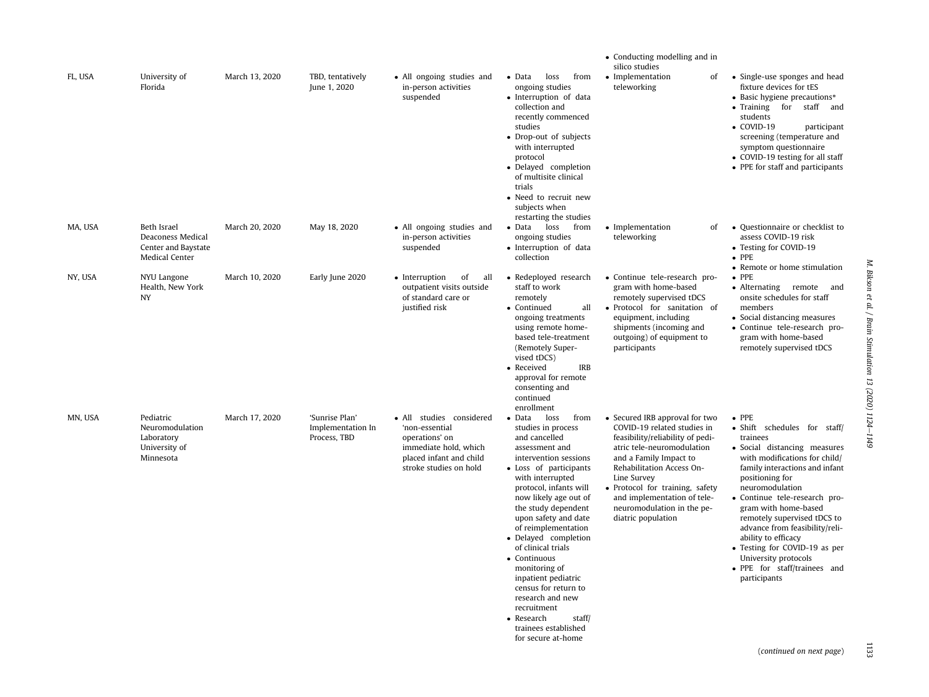|         |                                                                           |                |                                                     |                                                                                                                                            |                                                                                                                                                                                                                                                                                                                                                                                                                                                                                                                      | • Conducting modelling and in<br>silico studies                                                                                                                                                                                                                                                                             |                                                                                                                                                                                                                                                                                                                                                                                                                                                              |
|---------|---------------------------------------------------------------------------|----------------|-----------------------------------------------------|--------------------------------------------------------------------------------------------------------------------------------------------|----------------------------------------------------------------------------------------------------------------------------------------------------------------------------------------------------------------------------------------------------------------------------------------------------------------------------------------------------------------------------------------------------------------------------------------------------------------------------------------------------------------------|-----------------------------------------------------------------------------------------------------------------------------------------------------------------------------------------------------------------------------------------------------------------------------------------------------------------------------|--------------------------------------------------------------------------------------------------------------------------------------------------------------------------------------------------------------------------------------------------------------------------------------------------------------------------------------------------------------------------------------------------------------------------------------------------------------|
| FL, USA | University of<br>Florida                                                  | March 13, 2020 | TBD, tentatively<br>June 1, 2020                    | • All ongoing studies and<br>in-person activities<br>suspended                                                                             | $\bullet$ Data<br>loss<br>from<br>ongoing studies<br>· Interruption of data<br>collection and<br>recently commenced<br>studies<br>• Drop-out of subjects<br>with interrupted<br>protocol<br>· Delayed completion<br>of multisite clinical<br>trials<br>• Need to recruit new<br>subjects when<br>restarting the studies                                                                                                                                                                                              | • Implementation<br>οf<br>teleworking                                                                                                                                                                                                                                                                                       | • Single-use sponges and head<br>fixture devices for tES<br>• Basic hygiene precautions*<br>• Training for staff<br>and<br>students<br>$\bullet$ COVID-19<br>participant<br>screening (temperature and<br>symptom questionnaire<br>• COVID-19 testing for all staff<br>• PPE for staff and participants                                                                                                                                                      |
| MA, USA | Beth Israel<br>Deaconess Medical<br>Center and Baystate<br>Medical Center | March 20, 2020 | May 18, 2020                                        | • All ongoing studies and<br>in-person activities<br>suspended                                                                             | $\bullet$ Data<br>loss<br>from<br>ongoing studies<br>· Interruption of data<br>collection                                                                                                                                                                                                                                                                                                                                                                                                                            | • Implementation<br>of<br>teleworking                                                                                                                                                                                                                                                                                       | • Questionnaire or checklist to<br>assess COVID-19 risk<br>• Testing for COVID-19<br>$\bullet$ PPE<br>• Remote or home stimulation                                                                                                                                                                                                                                                                                                                           |
| NY, USA | NYU Langone<br>Health, New York<br>NY                                     | March 10, 2020 | Early June 2020                                     | • Interruption<br>of<br>all<br>outpatient visits outside<br>of standard care or<br>justified risk                                          | • Redeployed research<br>staff to work<br>remotely<br>all<br>• Continued<br>ongoing treatments<br>using remote home-<br>based tele-treatment<br>(Remotely Super-<br>vised tDCS)<br>• Received<br><b>IRB</b><br>approval for remote<br>consenting and<br>continued<br>enrollment                                                                                                                                                                                                                                      | • Continue tele-research pro-<br>gram with home-based<br>remotely supervised tDCS<br>· Protocol for sanitation of<br>equipment, including<br>shipments (incoming and<br>outgoing) of equipment to<br>participants                                                                                                           | $\bullet$ PPE<br>• Alternating remote<br>and<br>onsite schedules for staff<br>members<br>• Social distancing measures<br>· Continue tele-research pro-<br>gram with home-based<br>remotely supervised tDCS                                                                                                                                                                                                                                                   |
| MN. USA | Pediatric<br>Neuromodulation<br>Laboratory<br>University of<br>Minnesota  | March 17, 2020 | 'Sunrise Plan'<br>Implementation In<br>Process. TBD | • All studies considered<br>'non-essential<br>operations' on<br>immediate hold, which<br>placed infant and child<br>stroke studies on hold | Data<br>loss<br>from<br>studies in process<br>and cancelled<br>assessment and<br>intervention sessions<br>• Loss of participants<br>with interrupted<br>protocol, infants will<br>now likely age out of<br>the study dependent<br>upon safety and date<br>of reimplementation<br>· Delayed completion<br>of clinical trials<br>• Continuous<br>monitoring of<br>inpatient pediatric<br>census for return to<br>research and new<br>recruitment<br>• Research<br>staff/<br>trainees established<br>for secure at-home | • Secured IRB approval for two<br>COVID-19 related studies in<br>feasibility/reliability of pedi-<br>atric tele-neuromodulation<br>and a Family Impact to<br>Rehabilitation Access On-<br>Line Survey<br>• Protocol for training, safety<br>and implementation of tele-<br>neuromodulation in the pe-<br>diatric population | $\bullet$ PPE<br>· Shift schedules for staff/<br>trainees<br>· Social distancing measures<br>with modifications for child/<br>family interactions and infant<br>positioning for<br>neuromodulation<br>· Continue tele-research pro-<br>gram with home-based<br>remotely supervised tDCS to<br>advance from feasibility/reli-<br>ability to efficacy<br>• Testing for COVID-19 as per<br>University protocols<br>• PPE for staff/trainees and<br>participants |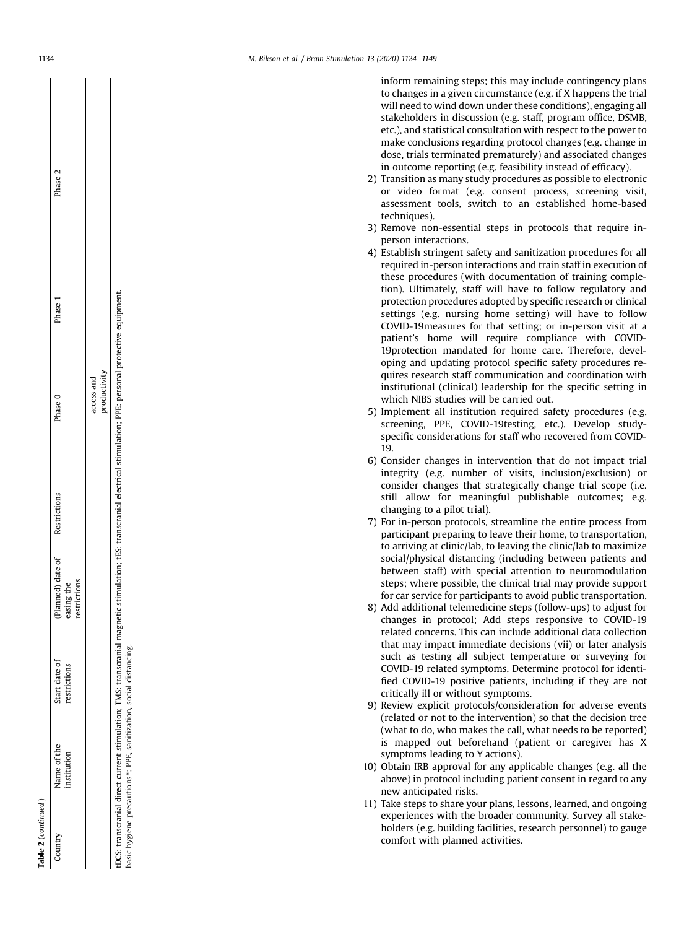|           | Phase 2<br>Phase 1<br>Phase 0<br>(Planned) date of Restrictions<br>easing the<br>restrictions<br>Start date of<br>restrictions | productivity<br>access and |
|-----------|--------------------------------------------------------------------------------------------------------------------------------|----------------------------|
|           | Vame of the<br>nstitution                                                                                                      |                            |
| continued | ountry                                                                                                                         |                            |

tDCS: transcranial direct current stimulation; TMS: transcranial magnetic stimulation; tES: transcranial electrical stimulation; PPE: personal protective equipment.

DCS: transcranial direct current stimulation; TMS: transcranial magnetic stimulation; tES: transcranial electrical stimulation; PPE: personal protective equipment.

basic hygiene precautions\*: PPE, sanitization, social distancing.

pasic hygiene precautions\*: PPE, sanitization, social distancing.

inform remaining steps; this may include contingency plans to changes in a given circumstance (e.g. if X happens the trial will need to wind down under these conditions), engaging all stakeholders in discussion (e.g. staff, program office, DSMB, etc.), and statistical consultation with respect to the power to make conclusions regarding protocol changes (e.g. change in dose, trials terminated prematurely) and associated changes in outcome reporting (e.g. feasibility instead of efficacy).

- 2) Transition as many study procedures as possible to electronic or video format (e.g. consent process, screening visit, assessment tools, switch to an established home-based techniques).
- 3) Remove non-essential steps in protocols that require inperson interactions.
- 4) Establish stringent safety and sanitization procedures for all required in-person interactions and train staff in execution of these procedures (with documentation of training completion). Ultimately, staff will have to follow regulatory and protection procedures adopted by speci fic research or clinical settings (e.g. nursing home setting) will have to follow COVID-19measures for that setting; or in-person visit at a patient 's home will require compliance with COVID-19protection mandated for home care. Therefore, developing and updating protocol specific safety procedures requires research staff communication and coordination with institutional (clinical) leadership for the specific setting in which NIBS studies will be carried out.
- 5) Implement all institution required safety procedures (e.g. screening, PPE, COVID-19testing, etc.). Develop studyspecific considerations for staff who recovered from COVID-19.
- 6) Consider changes in intervention that do not impact trial integrity (e.g. number of visits, inclusion/exclusion) or consider changes that strategically change trial scope (i.e. still allow for meaningful publishable outcomes; e.g. changing to a pilot trial).
- 7) For in-person protocols, streamline the entire process from participant preparing to leave their home, to transportation, to arriving at clinic/lab, to leaving the clinic/lab to maximize social/physical distancing (including between patients and between staff) with special attention to neuromodulation steps; where possible, the clinical trial may provide support for car service for participants to avoid public transportation.
- 8) Add additional telemedicine steps (follow-ups) to adjust for changes in protocol; Add steps responsive to COVID-19 related concerns. This can include additional data collection that may impact immediate decisions (vii) or later analysis such as testing all subject temperature or surveying for COVID-19 related symptoms. Determine protocol for identi fied COVID-19 positive patients, including if they are not critically ill or without symptoms.
- 9) Review explicit protocols/consideration for adverse events (related or not to the intervention) so that the decision tree (what to do, who makes the call, what needs to be reported) is mapped out beforehand (patient or caregiver has X symptoms leading to Y actions).
- 10) Obtain IRB approval for any applicable changes (e.g. all the above) in protocol including patient consent in regard to any new anticipated risks.
- 11) Take steps to share your plans, lessons, learned, and ongoing experiences with the broader community. Survey all stakeholders (e.g. building facilities, research personnel) to gauge comfort with planned activities.

 $\overline{1}$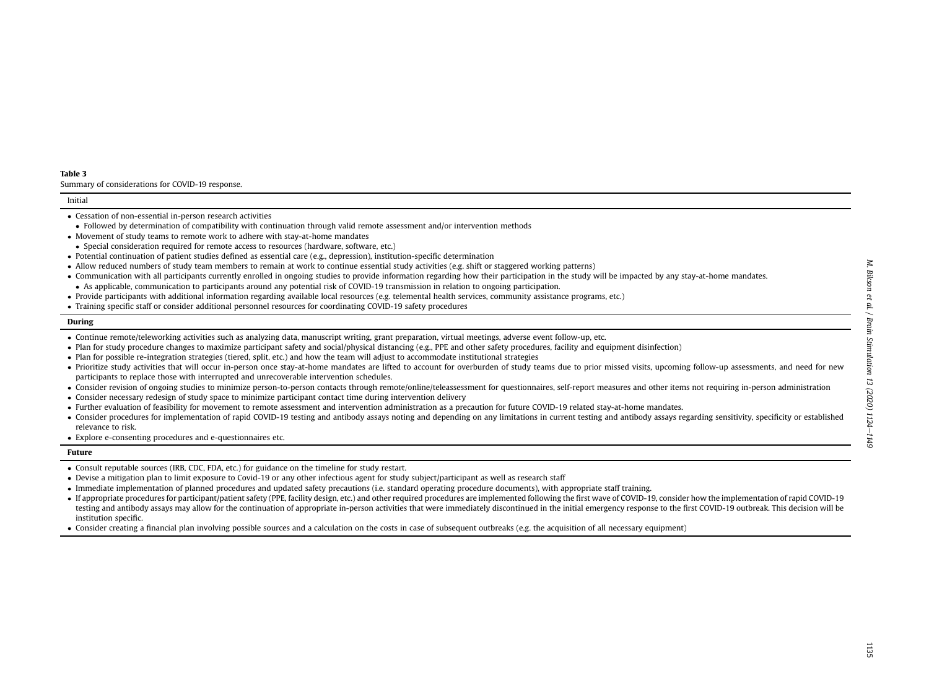#### <span id="page-11-0"></span>Table 3

Summary of considerations for COVID-19 response.

#### Initial

- Followed by determination of compatibility with continuation through valid remote assessment and/or intervention methods
- Movement of study teams to remote work to adhere with stay-at-home mandates
- Special consideration required for remote access to resources (hardware, software, etc.)
- Potential continuation of patient studies defined as essential care (e.g., depression), institution-specifi<sup>c</sup> determination
- Allow reduced numbers of study team members to remain at work to continue essential study activities (e.g. shift or staggered working patterns)
- Communication with all participants currently enrolled in ongoing studies to provide information regarding how their participation in the study will be impacted by any stay-at-home mandates.
- As applicable, communication to participants around any potential risk of COVID-19 transmission in relation to ongoing participation.
- Provide participants with additional information regarding available local resources (e.g. telemental health services, community assistance programs, etc.)
- Training specifi<sup>c</sup> staff or consider additional personnel resources for coordinating COVID-19 safety procedures

#### During

- Continue remote/teleworking activities such as analyzing data, manuscript writing, grant preparation, virtual meetings, adverse event follow-up, etc.
- Plan for study procedure changes to maximize participant safety and social/physical distancing (e.g., PPE and other safety procedures, facility and equipment disinfection)
- Plan for possible re-integration strategies (tiered, split, etc.) and how the team will adjust to accommodate institutional strategies
- Prioritize study activities that will occur in-person once stay-at-home mandates are lifted to account for overburden of study teams due to prior missed visits, upcoming follow-up assessments, and need for new participants to replace those with interrupted and unrecoverable intervention schedules.
- Consider revision of ongoing studies to minimize person-to-person contacts through remote/online/teleassessment for questionnaires, self-report measures and other items not requiring in-person administration
- Consider necessary redesign of study space to minimize participant contact time during intervention delivery
- Further evaluation of feasibility for movement to remote assessment and intervention administration as <sup>a</sup> precaution for future COVID-19 related stay-at-home mandates.
- Consider procedures for implementation of rapid COVID-19 testing and antibody assays noting and depending on any limitations in current testing and antibody assays regarding sensitivity, specificity or established relevance to risk.

Explore e-consenting procedures and e-questionnaires etc.

#### Future

- Consult reputable sources (IRB, CDC, FDA, etc.) for guidance on the timeline for study restart.
- Devise <sup>a</sup> mitigation plan to limit exposure to Covid-19 or any other infectious agent for study subject/participant as well as research staff
- Immediate implementation of planned procedures and updated safety precautions (i.e. standard operating procedure documents), with appropriate staff training.
- If appropriate procedures for participant/patient safety (PPE, facility design, etc.) and other required procedures are implemented following the first wave of COVID-19, consider how the implementation of rapid COVID-19 testing and antibody assays may allow for the continuation of appropriate in-person activities that were immediately discontinued in the initial emergency response to the first COVID-19 outbreak. This decision will be institution specific.
- Consider creating <sup>a</sup> financial plan involving possible sources and <sup>a</sup> calculation on the costs in case of subsequent outbreaks (e.g. the acquisition of all necessary equipment)

Cessation of non-essential in-person research activities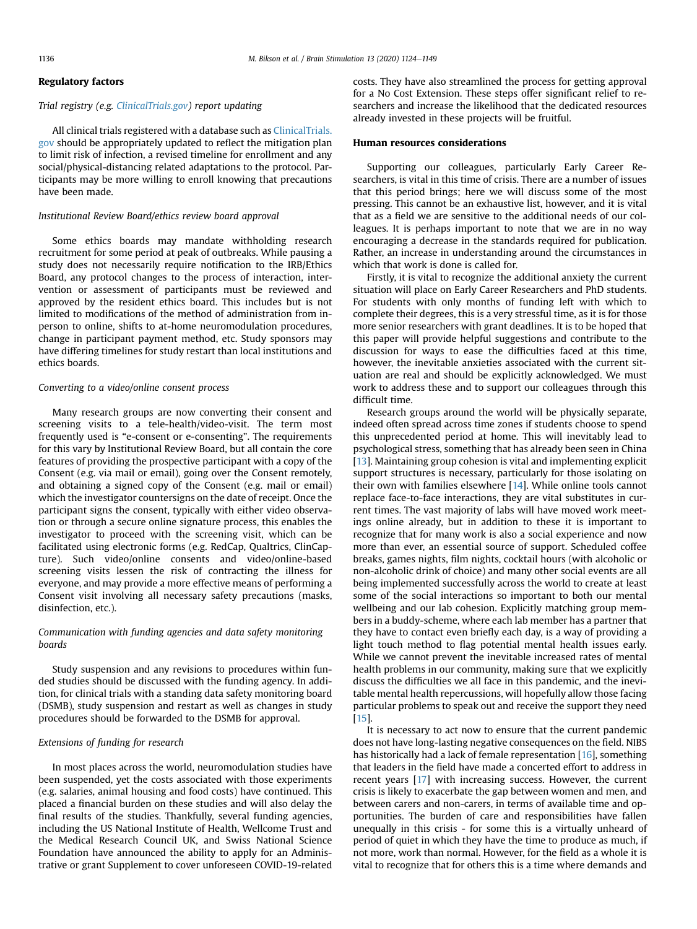## Regulatory factors

## Trial registry (e.g. [ClinicalTrials.gov\)](http://ClinicalTrials.gov) report updating

All clinical trials registered with a database such as [ClinicalTrials.](http://ClinicalTrials.gov) [gov](http://ClinicalTrials.gov) should be appropriately updated to reflect the mitigation plan to limit risk of infection, a revised timeline for enrollment and any social/physical-distancing related adaptations to the protocol. Participants may be more willing to enroll knowing that precautions have been made.

## Institutional Review Board/ethics review board approval

Some ethics boards may mandate withholding research recruitment for some period at peak of outbreaks. While pausing a study does not necessarily require notification to the IRB/Ethics Board, any protocol changes to the process of interaction, intervention or assessment of participants must be reviewed and approved by the resident ethics board. This includes but is not limited to modifications of the method of administration from inperson to online, shifts to at-home neuromodulation procedures, change in participant payment method, etc. Study sponsors may have differing timelines for study restart than local institutions and ethics boards.

# Converting to a video/online consent process

Many research groups are now converting their consent and screening visits to a tele-health/video-visit. The term most frequently used is "e-consent or e-consenting". The requirements for this vary by Institutional Review Board, but all contain the core features of providing the prospective participant with a copy of the Consent (e.g. via mail or email), going over the Consent remotely, and obtaining a signed copy of the Consent (e.g. mail or email) which the investigator countersigns on the date of receipt. Once the participant signs the consent, typically with either video observation or through a secure online signature process, this enables the investigator to proceed with the screening visit, which can be facilitated using electronic forms (e.g. RedCap, Qualtrics, ClinCapture). Such video/online consents and video/online-based screening visits lessen the risk of contracting the illness for everyone, and may provide a more effective means of performing a Consent visit involving all necessary safety precautions (masks, disinfection, etc.).

# Communication with funding agencies and data safety monitoring boards

Study suspension and any revisions to procedures within funded studies should be discussed with the funding agency. In addition, for clinical trials with a standing data safety monitoring board (DSMB), study suspension and restart as well as changes in study procedures should be forwarded to the DSMB for approval.

# Extensions of funding for research

In most places across the world, neuromodulation studies have been suspended, yet the costs associated with those experiments (e.g. salaries, animal housing and food costs) have continued. This placed a financial burden on these studies and will also delay the final results of the studies. Thankfully, several funding agencies, including the US National Institute of Health, Wellcome Trust and the Medical Research Council UK, and Swiss National Science Foundation have announced the ability to apply for an Administrative or grant Supplement to cover unforeseen COVID-19-related costs. They have also streamlined the process for getting approval for a No Cost Extension. These steps offer significant relief to researchers and increase the likelihood that the dedicated resources already invested in these projects will be fruitful.

# <span id="page-12-0"></span>Human resources considerations

Supporting our colleagues, particularly Early Career Researchers, is vital in this time of crisis. There are a number of issues that this period brings; here we will discuss some of the most pressing. This cannot be an exhaustive list, however, and it is vital that as a field we are sensitive to the additional needs of our colleagues. It is perhaps important to note that we are in no way encouraging a decrease in the standards required for publication. Rather, an increase in understanding around the circumstances in which that work is done is called for.

Firstly, it is vital to recognize the additional anxiety the current situation will place on Early Career Researchers and PhD students. For students with only months of funding left with which to complete their degrees, this is a very stressful time, as it is for those more senior researchers with grant deadlines. It is to be hoped that this paper will provide helpful suggestions and contribute to the discussion for ways to ease the difficulties faced at this time, however, the inevitable anxieties associated with the current situation are real and should be explicitly acknowledged. We must work to address these and to support our colleagues through this difficult time.

Research groups around the world will be physically separate, indeed often spread across time zones if students choose to spend this unprecedented period at home. This will inevitably lead to psychological stress, something that has already been seen in China [[13\]](#page-22-6). Maintaining group cohesion is vital and implementing explicit support structures is necessary, particularly for those isolating on their own with families elsewhere [[14\]](#page-22-7). While online tools cannot replace face-to-face interactions, they are vital substitutes in current times. The vast majority of labs will have moved work meetings online already, but in addition to these it is important to recognize that for many work is also a social experience and now more than ever, an essential source of support. Scheduled coffee breaks, games nights, film nights, cocktail hours (with alcoholic or non-alcoholic drink of choice) and many other social events are all being implemented successfully across the world to create at least some of the social interactions so important to both our mental wellbeing and our lab cohesion. Explicitly matching group members in a buddy-scheme, where each lab member has a partner that they have to contact even briefly each day, is a way of providing a light touch method to flag potential mental health issues early. While we cannot prevent the inevitable increased rates of mental health problems in our community, making sure that we explicitly discuss the difficulties we all face in this pandemic, and the inevitable mental health repercussions, will hopefully allow those facing particular problems to speak out and receive the support they need [[15\]](#page-22-8).

It is necessary to act now to ensure that the current pandemic does not have long-lasting negative consequences on the field. NIBS has historically had a lack of female representation [[16\]](#page-22-9), something that leaders in the field have made a concerted effort to address in recent years [\[17\]](#page-22-10) with increasing success. However, the current crisis is likely to exacerbate the gap between women and men, and between carers and non-carers, in terms of available time and opportunities. The burden of care and responsibilities have fallen unequally in this crisis - for some this is a virtually unheard of period of quiet in which they have the time to produce as much, if not more, work than normal. However, for the field as a whole it is vital to recognize that for others this is a time where demands and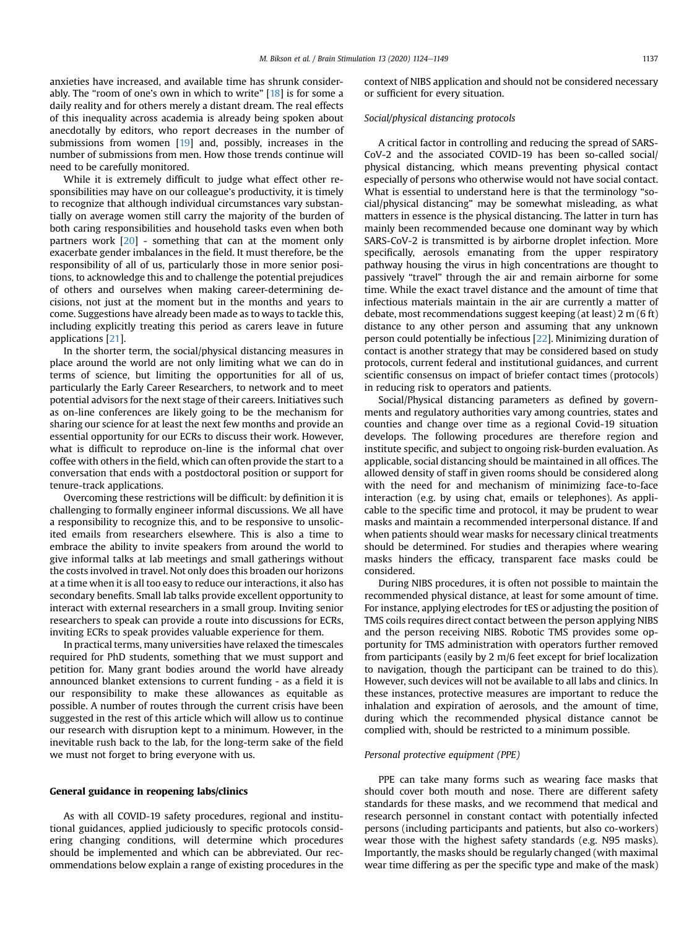anxieties have increased, and available time has shrunk considerably. The "room of one's own in which to write" [[18](#page-22-11)] is for some a daily reality and for others merely a distant dream. The real effects of this inequality across academia is already being spoken about anecdotally by editors, who report decreases in the number of submissions from women [\[19](#page-22-12)] and, possibly, increases in the number of submissions from men. How those trends continue will need to be carefully monitored.

While it is extremely difficult to judge what effect other responsibilities may have on our colleague's productivity, it is timely to recognize that although individual circumstances vary substantially on average women still carry the majority of the burden of both caring responsibilities and household tasks even when both partners work [[20](#page-22-13)] - something that can at the moment only exacerbate gender imbalances in the field. It must therefore, be the responsibility of all of us, particularly those in more senior positions, to acknowledge this and to challenge the potential prejudices of others and ourselves when making career-determining decisions, not just at the moment but in the months and years to come. Suggestions have already been made as to ways to tackle this, including explicitly treating this period as carers leave in future applications [[21\]](#page-22-14).

In the shorter term, the social/physical distancing measures in place around the world are not only limiting what we can do in terms of science, but limiting the opportunities for all of us, particularly the Early Career Researchers, to network and to meet potential advisors for the next stage of their careers. Initiatives such as on-line conferences are likely going to be the mechanism for sharing our science for at least the next few months and provide an essential opportunity for our ECRs to discuss their work. However, what is difficult to reproduce on-line is the informal chat over coffee with others in the field, which can often provide the start to a conversation that ends with a postdoctoral position or support for tenure-track applications.

Overcoming these restrictions will be difficult: by definition it is challenging to formally engineer informal discussions. We all have a responsibility to recognize this, and to be responsive to unsolicited emails from researchers elsewhere. This is also a time to embrace the ability to invite speakers from around the world to give informal talks at lab meetings and small gatherings without the costs involved in travel. Not only does this broaden our horizons at a time when it is all too easy to reduce our interactions, it also has secondary benefits. Small lab talks provide excellent opportunity to interact with external researchers in a small group. Inviting senior researchers to speak can provide a route into discussions for ECRs, inviting ECRs to speak provides valuable experience for them.

In practical terms, many universities have relaxed the timescales required for PhD students, something that we must support and petition for. Many grant bodies around the world have already announced blanket extensions to current funding - as a field it is our responsibility to make these allowances as equitable as possible. A number of routes through the current crisis have been suggested in the rest of this article which will allow us to continue our research with disruption kept to a minimum. However, in the inevitable rush back to the lab, for the long-term sake of the field we must not forget to bring everyone with us.

#### <span id="page-13-2"></span>General guidance in reopening labs/clinics

As with all COVID-19 safety procedures, regional and institutional guidances, applied judiciously to specific protocols considering changing conditions, will determine which procedures should be implemented and which can be abbreviated. Our recommendations below explain a range of existing procedures in the context of NIBS application and should not be considered necessary or sufficient for every situation.

# <span id="page-13-0"></span>Social/physical distancing protocols

A critical factor in controlling and reducing the spread of SARS-CoV-2 and the associated COVID-19 has been so-called social/ physical distancing, which means preventing physical contact especially of persons who otherwise would not have social contact. What is essential to understand here is that the terminology "social/physical distancing" may be somewhat misleading, as what matters in essence is the physical distancing. The latter in turn has mainly been recommended because one dominant way by which SARS-CoV-2 is transmitted is by airborne droplet infection. More specifically, aerosols emanating from the upper respiratory pathway housing the virus in high concentrations are thought to passively "travel" through the air and remain airborne for some time. While the exact travel distance and the amount of time that infectious materials maintain in the air are currently a matter of debate, most recommendations suggest keeping (at least) 2 m (6 ft) distance to any other person and assuming that any unknown person could potentially be infectious [[22](#page-22-15)]. Minimizing duration of contact is another strategy that may be considered based on study protocols, current federal and institutional guidances, and current scientific consensus on impact of briefer contact times (protocols) in reducing risk to operators and patients.

Social/Physical distancing parameters as defined by governments and regulatory authorities vary among countries, states and counties and change over time as a regional Covid-19 situation develops. The following procedures are therefore region and institute specific, and subject to ongoing risk-burden evaluation. As applicable, social distancing should be maintained in all offices. The allowed density of staff in given rooms should be considered along with the need for and mechanism of minimizing face-to-face interaction (e.g. by using chat, emails or telephones). As applicable to the specific time and protocol, it may be prudent to wear masks and maintain a recommended interpersonal distance. If and when patients should wear masks for necessary clinical treatments should be determined. For studies and therapies where wearing masks hinders the efficacy, transparent face masks could be considered.

During NIBS procedures, it is often not possible to maintain the recommended physical distance, at least for some amount of time. For instance, applying electrodes for tES or adjusting the position of TMS coils requires direct contact between the person applying NIBS and the person receiving NIBS. Robotic TMS provides some opportunity for TMS administration with operators further removed from participants (easily by 2 m/6 feet except for brief localization to navigation, though the participant can be trained to do this). However, such devices will not be available to all labs and clinics. In these instances, protective measures are important to reduce the inhalation and expiration of aerosols, and the amount of time, during which the recommended physical distance cannot be complied with, should be restricted to a minimum possible.

## <span id="page-13-1"></span>Personal protective equipment (PPE)

PPE can take many forms such as wearing face masks that should cover both mouth and nose. There are different safety standards for these masks, and we recommend that medical and research personnel in constant contact with potentially infected persons (including participants and patients, but also co-workers) wear those with the highest safety standards (e.g. N95 masks). Importantly, the masks should be regularly changed (with maximal wear time differing as per the specific type and make of the mask)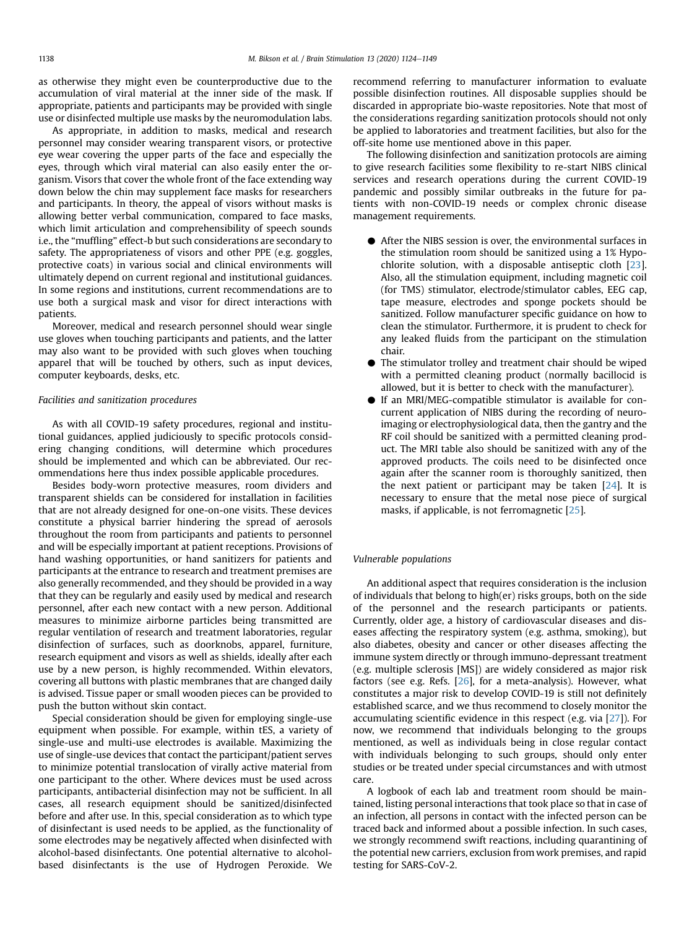as otherwise they might even be counterproductive due to the accumulation of viral material at the inner side of the mask. If appropriate, patients and participants may be provided with single use or disinfected multiple use masks by the neuromodulation labs.

As appropriate, in addition to masks, medical and research personnel may consider wearing transparent visors, or protective eye wear covering the upper parts of the face and especially the eyes, through which viral material can also easily enter the organism. Visors that cover the whole front of the face extending way down below the chin may supplement face masks for researchers and participants. In theory, the appeal of visors without masks is allowing better verbal communication, compared to face masks, which limit articulation and comprehensibility of speech sounds i.e., the "muffling" effect-b but such considerations are secondary to safety. The appropriateness of visors and other PPE (e.g. goggles, protective coats) in various social and clinical environments will ultimately depend on current regional and institutional guidances. In some regions and institutions, current recommendations are to use both a surgical mask and visor for direct interactions with patients.

Moreover, medical and research personnel should wear single use gloves when touching participants and patients, and the latter may also want to be provided with such gloves when touching apparel that will be touched by others, such as input devices, computer keyboards, desks, etc.

## <span id="page-14-0"></span>Facilities and sanitization procedures

As with all COVID-19 safety procedures, regional and institutional guidances, applied judiciously to specific protocols considering changing conditions, will determine which procedures should be implemented and which can be abbreviated. Our recommendations here thus index possible applicable procedures.

Besides body-worn protective measures, room dividers and transparent shields can be considered for installation in facilities that are not already designed for one-on-one visits. These devices constitute a physical barrier hindering the spread of aerosols throughout the room from participants and patients to personnel and will be especially important at patient receptions. Provisions of hand washing opportunities, or hand sanitizers for patients and participants at the entrance to research and treatment premises are also generally recommended, and they should be provided in a way that they can be regularly and easily used by medical and research personnel, after each new contact with a new person. Additional measures to minimize airborne particles being transmitted are regular ventilation of research and treatment laboratories, regular disinfection of surfaces, such as doorknobs, apparel, furniture, research equipment and visors as well as shields, ideally after each use by a new person, is highly recommended. Within elevators, covering all buttons with plastic membranes that are changed daily is advised. Tissue paper or small wooden pieces can be provided to push the button without skin contact.

Special consideration should be given for employing single-use equipment when possible. For example, within tES, a variety of single-use and multi-use electrodes is available. Maximizing the use of single-use devices that contact the participant/patient serves to minimize potential translocation of virally active material from one participant to the other. Where devices must be used across participants, antibacterial disinfection may not be sufficient. In all cases, all research equipment should be sanitized/disinfected before and after use. In this, special consideration as to which type of disinfectant is used needs to be applied, as the functionality of some electrodes may be negatively affected when disinfected with alcohol-based disinfectants. One potential alternative to alcoholbased disinfectants is the use of Hydrogen Peroxide. We recommend referring to manufacturer information to evaluate possible disinfection routines. All disposable supplies should be discarded in appropriate bio-waste repositories. Note that most of the considerations regarding sanitization protocols should not only be applied to laboratories and treatment facilities, but also for the off-site home use mentioned above in this paper.

The following disinfection and sanitization protocols are aiming to give research facilities some flexibility to re-start NIBS clinical services and research operations during the current COVID-19 pandemic and possibly similar outbreaks in the future for patients with non-COVID-19 needs or complex chronic disease management requirements.

- C After the NIBS session is over, the environmental surfaces in the stimulation room should be sanitized using a 1% Hypochlorite solution, with a disposable antiseptic cloth [[23](#page-22-16)]. Also, all the stimulation equipment, including magnetic coil (for TMS) stimulator, electrode/stimulator cables, EEG cap, tape measure, electrodes and sponge pockets should be sanitized. Follow manufacturer specific guidance on how to clean the stimulator. Furthermore, it is prudent to check for any leaked fluids from the participant on the stimulation chair.
- The stimulator trolley and treatment chair should be wiped with a permitted cleaning product (normally bacillocid is allowed, but it is better to check with the manufacturer).
- C If an MRI/MEG-compatible stimulator is available for concurrent application of NIBS during the recording of neuroimaging or electrophysiological data, then the gantry and the RF coil should be sanitized with a permitted cleaning product. The MRI table also should be sanitized with any of the approved products. The coils need to be disinfected once again after the scanner room is thoroughly sanitized, then the next patient or participant may be taken  $[24]$  $[24]$  $[24]$ . It is necessary to ensure that the metal nose piece of surgical masks, if applicable, is not ferromagnetic [\[25\]](#page-23-1).

# Vulnerable populations

An additional aspect that requires consideration is the inclusion of individuals that belong to high(er) risks groups, both on the side of the personnel and the research participants or patients. Currently, older age, a history of cardiovascular diseases and diseases affecting the respiratory system (e.g. asthma, smoking), but also diabetes, obesity and cancer or other diseases affecting the immune system directly or through immuno-depressant treatment (e.g. multiple sclerosis [MS]) are widely considered as major risk factors (see e.g. Refs. [\[26\]](#page-23-2), for a meta-analysis). However, what constitutes a major risk to develop COVID-19 is still not definitely established scarce, and we thus recommend to closely monitor the accumulating scientific evidence in this respect (e.g. via [[27](#page-23-3)]). For now, we recommend that individuals belonging to the groups mentioned, as well as individuals being in close regular contact with individuals belonging to such groups, should only enter studies or be treated under special circumstances and with utmost care.

A logbook of each lab and treatment room should be maintained, listing personal interactions that took place so that in case of an infection, all persons in contact with the infected person can be traced back and informed about a possible infection. In such cases, we strongly recommend swift reactions, including quarantining of the potential new carriers, exclusion from work premises, and rapid testing for SARS-CoV-2.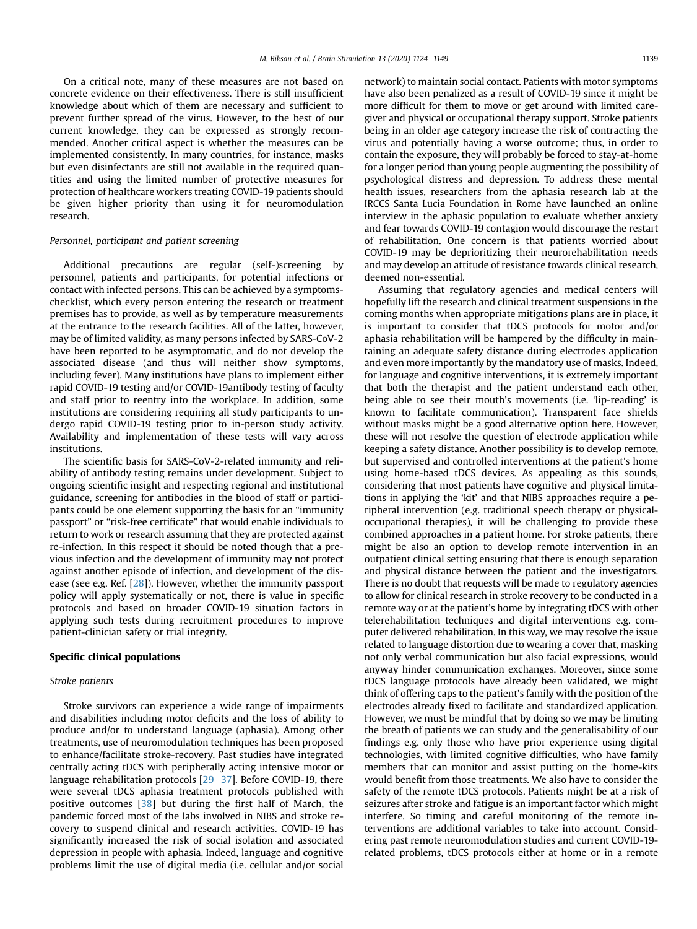On a critical note, many of these measures are not based on concrete evidence on their effectiveness. There is still insufficient knowledge about which of them are necessary and sufficient to prevent further spread of the virus. However, to the best of our current knowledge, they can be expressed as strongly recommended. Another critical aspect is whether the measures can be implemented consistently. In many countries, for instance, masks but even disinfectants are still not available in the required quantities and using the limited number of protective measures for protection of healthcare workers treating COVID-19 patients should be given higher priority than using it for neuromodulation research.

#### Personnel, participant and patient screening

Additional precautions are regular (self-)screening by personnel, patients and participants, for potential infections or contact with infected persons. This can be achieved by a symptomschecklist, which every person entering the research or treatment premises has to provide, as well as by temperature measurements at the entrance to the research facilities. All of the latter, however, may be of limited validity, as many persons infected by SARS-CoV-2 have been reported to be asymptomatic, and do not develop the associated disease (and thus will neither show symptoms, including fever). Many institutions have plans to implement either rapid COVID-19 testing and/or COVID-19antibody testing of faculty and staff prior to reentry into the workplace. In addition, some institutions are considering requiring all study participants to undergo rapid COVID-19 testing prior to in-person study activity. Availability and implementation of these tests will vary across institutions.

The scientific basis for SARS-CoV-2-related immunity and reliability of antibody testing remains under development. Subject to ongoing scientific insight and respecting regional and institutional guidance, screening for antibodies in the blood of staff or participants could be one element supporting the basis for an "immunity passport" or "risk-free certificate" that would enable individuals to return to work or research assuming that they are protected against re-infection. In this respect it should be noted though that a previous infection and the development of immunity may not protect against another episode of infection, and development of the disease (see e.g. Ref. [[28](#page-23-4)]). However, whether the immunity passport policy will apply systematically or not, there is value in specific protocols and based on broader COVID-19 situation factors in applying such tests during recruitment procedures to improve patient-clinician safety or trial integrity.

# <span id="page-15-0"></span>Specific clinical populations

## Stroke patients

Stroke survivors can experience a wide range of impairments and disabilities including motor deficits and the loss of ability to produce and/or to understand language (aphasia). Among other treatments, use of neuromodulation techniques has been proposed to enhance/facilitate stroke-recovery. Past studies have integrated centrally acting tDCS with peripherally acting intensive motor or language rehabilitation protocols  $[29-37]$  $[29-37]$  $[29-37]$  $[29-37]$ . Before COVID-19, there were several tDCS aphasia treatment protocols published with positive outcomes [[38](#page-23-6)] but during the first half of March, the pandemic forced most of the labs involved in NIBS and stroke recovery to suspend clinical and research activities. COVID-19 has significantly increased the risk of social isolation and associated depression in people with aphasia. Indeed, language and cognitive problems limit the use of digital media (i.e. cellular and/or social network) to maintain social contact. Patients with motor symptoms have also been penalized as a result of COVID-19 since it might be more difficult for them to move or get around with limited caregiver and physical or occupational therapy support. Stroke patients being in an older age category increase the risk of contracting the virus and potentially having a worse outcome; thus, in order to contain the exposure, they will probably be forced to stay-at-home for a longer period than young people augmenting the possibility of psychological distress and depression. To address these mental health issues, researchers from the aphasia research lab at the IRCCS Santa Lucia Foundation in Rome have launched an online interview in the aphasic population to evaluate whether anxiety and fear towards COVID-19 contagion would discourage the restart of rehabilitation. One concern is that patients worried about COVID-19 may be deprioritizing their neurorehabilitation needs and may develop an attitude of resistance towards clinical research, deemed non-essential.

Assuming that regulatory agencies and medical centers will hopefully lift the research and clinical treatment suspensions in the coming months when appropriate mitigations plans are in place, it is important to consider that tDCS protocols for motor and/or aphasia rehabilitation will be hampered by the difficulty in maintaining an adequate safety distance during electrodes application and even more importantly by the mandatory use of masks. Indeed, for language and cognitive interventions, it is extremely important that both the therapist and the patient understand each other, being able to see their mouth's movements (i.e. 'lip-reading' is known to facilitate communication). Transparent face shields without masks might be a good alternative option here. However, these will not resolve the question of electrode application while keeping a safety distance. Another possibility is to develop remote, but supervised and controlled interventions at the patient's home using home-based tDCS devices. As appealing as this sounds, considering that most patients have cognitive and physical limitations in applying the 'kit' and that NIBS approaches require a peripheral intervention (e.g. traditional speech therapy or physicaloccupational therapies), it will be challenging to provide these combined approaches in a patient home. For stroke patients, there might be also an option to develop remote intervention in an outpatient clinical setting ensuring that there is enough separation and physical distance between the patient and the investigators. There is no doubt that requests will be made to regulatory agencies to allow for clinical research in stroke recovery to be conducted in a remote way or at the patient's home by integrating tDCS with other telerehabilitation techniques and digital interventions e.g. computer delivered rehabilitation. In this way, we may resolve the issue related to language distortion due to wearing a cover that, masking not only verbal communication but also facial expressions, would anyway hinder communication exchanges. Moreover, since some tDCS language protocols have already been validated, we might think of offering caps to the patient's family with the position of the electrodes already fixed to facilitate and standardized application. However, we must be mindful that by doing so we may be limiting the breath of patients we can study and the generalisability of our findings e.g. only those who have prior experience using digital technologies, with limited cognitive difficulties, who have family members that can monitor and assist putting on the 'home-kits would benefit from those treatments. We also have to consider the safety of the remote tDCS protocols. Patients might be at a risk of seizures after stroke and fatigue is an important factor which might interfere. So timing and careful monitoring of the remote interventions are additional variables to take into account. Considering past remote neuromodulation studies and current COVID-19 related problems, tDCS protocols either at home or in a remote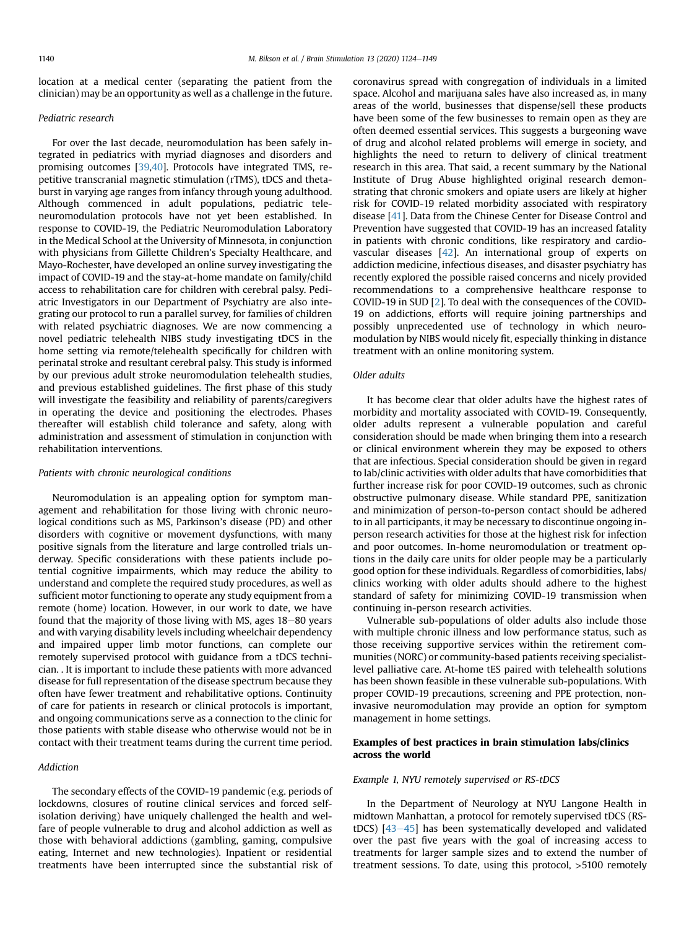location at a medical center (separating the patient from the clinician) may be an opportunity as well as a challenge in the future.

# Pediatric research

For over the last decade, neuromodulation has been safely integrated in pediatrics with myriad diagnoses and disorders and promising outcomes [\[39,](#page-23-7)[40](#page-23-8)]. Protocols have integrated TMS, repetitive transcranial magnetic stimulation (rTMS), tDCS and thetaburst in varying age ranges from infancy through young adulthood. Although commenced in adult populations, pediatric teleneuromodulation protocols have not yet been established. In response to COVID-19, the Pediatric Neuromodulation Laboratory in the Medical School at the University of Minnesota, in conjunction with physicians from Gillette Children's Specialty Healthcare, and Mayo-Rochester, have developed an online survey investigating the impact of COVID-19 and the stay-at-home mandate on family/child access to rehabilitation care for children with cerebral palsy. Pediatric Investigators in our Department of Psychiatry are also integrating our protocol to run a parallel survey, for families of children with related psychiatric diagnoses. We are now commencing a novel pediatric telehealth NIBS study investigating tDCS in the home setting via remote/telehealth specifically for children with perinatal stroke and resultant cerebral palsy. This study is informed by our previous adult stroke neuromodulation telehealth studies, and previous established guidelines. The first phase of this study will investigate the feasibility and reliability of parents/caregivers in operating the device and positioning the electrodes. Phases thereafter will establish child tolerance and safety, along with administration and assessment of stimulation in conjunction with rehabilitation interventions.

## Patients with chronic neurological conditions

Neuromodulation is an appealing option for symptom management and rehabilitation for those living with chronic neurological conditions such as MS, Parkinson's disease (PD) and other disorders with cognitive or movement dysfunctions, with many positive signals from the literature and large controlled trials underway. Specific considerations with these patients include potential cognitive impairments, which may reduce the ability to understand and complete the required study procedures, as well as sufficient motor functioning to operate any study equipment from a remote (home) location. However, in our work to date, we have found that the majority of those living with MS, ages 18-80 years and with varying disability levels including wheelchair dependency and impaired upper limb motor functions, can complete our remotely supervised protocol with guidance from a tDCS technician. . It is important to include these patients with more advanced disease for full representation of the disease spectrum because they often have fewer treatment and rehabilitative options. Continuity of care for patients in research or clinical protocols is important, and ongoing communications serve as a connection to the clinic for those patients with stable disease who otherwise would not be in contact with their treatment teams during the current time period.

## Addiction

The secondary effects of the COVID-19 pandemic (e.g. periods of lockdowns, closures of routine clinical services and forced selfisolation deriving) have uniquely challenged the health and welfare of people vulnerable to drug and alcohol addiction as well as those with behavioral addictions (gambling, gaming, compulsive eating, Internet and new technologies). Inpatient or residential treatments have been interrupted since the substantial risk of coronavirus spread with congregation of individuals in a limited space. Alcohol and marijuana sales have also increased as, in many areas of the world, businesses that dispense/sell these products have been some of the few businesses to remain open as they are often deemed essential services. This suggests a burgeoning wave of drug and alcohol related problems will emerge in society, and highlights the need to return to delivery of clinical treatment research in this area. That said, a recent summary by the National Institute of Drug Abuse highlighted original research demonstrating that chronic smokers and opiate users are likely at higher risk for COVID-19 related morbidity associated with respiratory disease [\[41\]](#page-23-9). Data from the Chinese Center for Disease Control and Prevention have suggested that COVID-19 has an increased fatality in patients with chronic conditions, like respiratory and cardiovascular diseases [[42](#page-23-10)]. An international group of experts on addiction medicine, infectious diseases, and disaster psychiatry has recently explored the possible raised concerns and nicely provided recommendations to a comprehensive healthcare response to COVID-19 in SUD [\[2](#page-22-17)]. To deal with the consequences of the COVID-19 on addictions, efforts will require joining partnerships and possibly unprecedented use of technology in which neuromodulation by NIBS would nicely fit, especially thinking in distance treatment with an online monitoring system.

## Older adults

It has become clear that older adults have the highest rates of morbidity and mortality associated with COVID-19. Consequently, older adults represent a vulnerable population and careful consideration should be made when bringing them into a research or clinical environment wherein they may be exposed to others that are infectious. Special consideration should be given in regard to lab/clinic activities with older adults that have comorbidities that further increase risk for poor COVID-19 outcomes, such as chronic obstructive pulmonary disease. While standard PPE, sanitization and minimization of person-to-person contact should be adhered to in all participants, it may be necessary to discontinue ongoing inperson research activities for those at the highest risk for infection and poor outcomes. In-home neuromodulation or treatment options in the daily care units for older people may be a particularly good option for these individuals. Regardless of comorbidities, labs/ clinics working with older adults should adhere to the highest standard of safety for minimizing COVID-19 transmission when continuing in-person research activities.

Vulnerable sub-populations of older adults also include those with multiple chronic illness and low performance status, such as those receiving supportive services within the retirement communities (NORC) or community-based patients receiving specialistlevel palliative care. At-home tES paired with telehealth solutions has been shown feasible in these vulnerable sub-populations. With proper COVID-19 precautions, screening and PPE protection, noninvasive neuromodulation may provide an option for symptom management in home settings.

# <span id="page-16-0"></span>Examples of best practices in brain stimulation labs/clinics across the world

#### <span id="page-16-1"></span>Example 1, NYU remotely supervised or RS-tDCS

In the Department of Neurology at NYU Langone Health in midtown Manhattan, a protocol for remotely supervised tDCS (RS $tDCS$ ) [[43](#page-23-11)-[45\]](#page-23-11) has been systematically developed and validated over the past five years with the goal of increasing access to treatments for larger sample sizes and to extend the number of treatment sessions. To date, using this protocol, >5100 remotely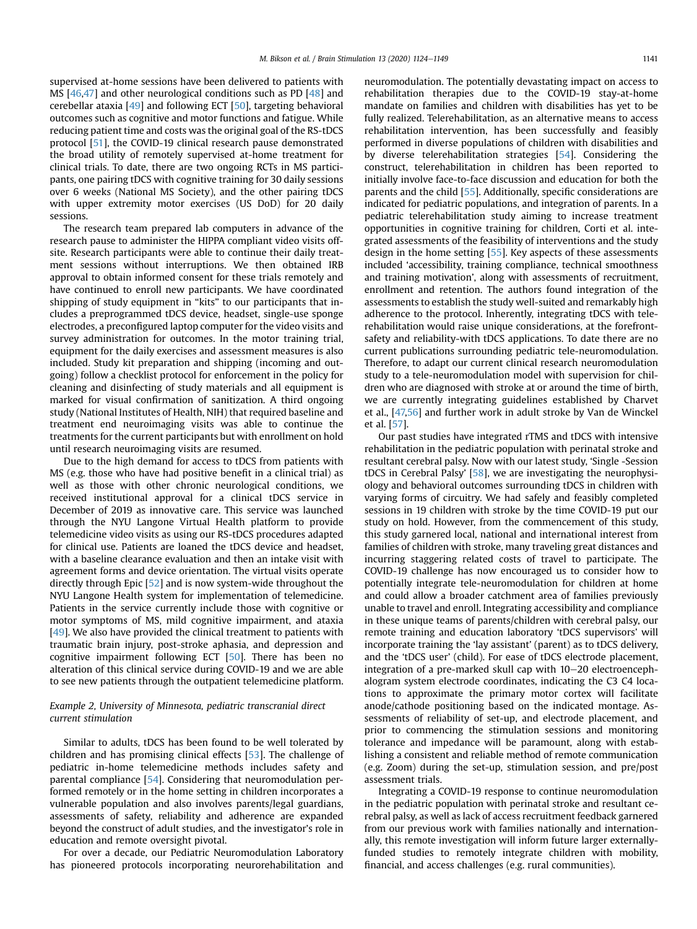supervised at-home sessions have been delivered to patients with MS [\[46](#page-23-12)[,47\]](#page-23-13) and other neurological conditions such as PD [\[48\]](#page-23-14) and cerebellar ataxia [\[49](#page-23-15)] and following ECT [\[50\]](#page-23-16), targeting behavioral outcomes such as cognitive and motor functions and fatigue. While reducing patient time and costs was the original goal of the RS-tDCS protocol [[51\]](#page-23-17), the COVID-19 clinical research pause demonstrated the broad utility of remotely supervised at-home treatment for clinical trials. To date, there are two ongoing RCTs in MS participants, one pairing tDCS with cognitive training for 30 daily sessions over 6 weeks (National MS Society), and the other pairing tDCS with upper extremity motor exercises (US DoD) for 20 daily sessions.

The research team prepared lab computers in advance of the research pause to administer the HIPPA compliant video visits offsite. Research participants were able to continue their daily treatment sessions without interruptions. We then obtained IRB approval to obtain informed consent for these trials remotely and have continued to enroll new participants. We have coordinated shipping of study equipment in "kits" to our participants that includes a preprogrammed tDCS device, headset, single-use sponge electrodes, a preconfigured laptop computer for the video visits and survey administration for outcomes. In the motor training trial, equipment for the daily exercises and assessment measures is also included. Study kit preparation and shipping (incoming and outgoing) follow a checklist protocol for enforcement in the policy for cleaning and disinfecting of study materials and all equipment is marked for visual confirmation of sanitization. A third ongoing study (National Institutes of Health, NIH) that required baseline and treatment end neuroimaging visits was able to continue the treatments for the current participants but with enrollment on hold until research neuroimaging visits are resumed.

Due to the high demand for access to tDCS from patients with MS (e.g. those who have had positive benefit in a clinical trial) as well as those with other chronic neurological conditions, we received institutional approval for a clinical tDCS service in December of 2019 as innovative care. This service was launched through the NYU Langone Virtual Health platform to provide telemedicine video visits as using our RS-tDCS procedures adapted for clinical use. Patients are loaned the tDCS device and headset, with a baseline clearance evaluation and then an intake visit with agreement forms and device orientation. The virtual visits operate directly through Epic [\[52\]](#page-23-18) and is now system-wide throughout the NYU Langone Health system for implementation of telemedicine. Patients in the service currently include those with cognitive or motor symptoms of MS, mild cognitive impairment, and ataxia [\[49](#page-23-15)]. We also have provided the clinical treatment to patients with traumatic brain injury, post-stroke aphasia, and depression and cognitive impairment following ECT [[50](#page-23-16)]. There has been no alteration of this clinical service during COVID-19 and we are able to see new patients through the outpatient telemedicine platform.

# Example 2, University of Minnesota, pediatric transcranial direct current stimulation

Similar to adults, tDCS has been found to be well tolerated by children and has promising clinical effects [\[53\]](#page-23-19). The challenge of pediatric in-home telemedicine methods includes safety and parental compliance [[54](#page-23-20)]. Considering that neuromodulation performed remotely or in the home setting in children incorporates a vulnerable population and also involves parents/legal guardians, assessments of safety, reliability and adherence are expanded beyond the construct of adult studies, and the investigator's role in education and remote oversight pivotal.

For over a decade, our Pediatric Neuromodulation Laboratory has pioneered protocols incorporating neurorehabilitation and neuromodulation. The potentially devastating impact on access to rehabilitation therapies due to the COVID-19 stay-at-home mandate on families and children with disabilities has yet to be fully realized. Telerehabilitation, as an alternative means to access rehabilitation intervention, has been successfully and feasibly performed in diverse populations of children with disabilities and by diverse telerehabilitation strategies [[54](#page-23-20)]. Considering the construct, telerehabilitation in children has been reported to initially involve face-to-face discussion and education for both the parents and the child [[55](#page-23-21)]. Additionally, specific considerations are indicated for pediatric populations, and integration of parents. In a pediatric telerehabilitation study aiming to increase treatment opportunities in cognitive training for children, Corti et al. integrated assessments of the feasibility of interventions and the study design in the home setting [[55\]](#page-23-21). Key aspects of these assessments included 'accessibility, training compliance, technical smoothness and training motivation', along with assessments of recruitment, enrollment and retention. The authors found integration of the assessments to establish the study well-suited and remarkably high adherence to the protocol. Inherently, integrating tDCS with telerehabilitation would raise unique considerations, at the forefrontsafety and reliability-with tDCS applications. To date there are no current publications surrounding pediatric tele-neuromodulation. Therefore, to adapt our current clinical research neuromodulation study to a tele-neuromodulation model with supervision for children who are diagnosed with stroke at or around the time of birth, we are currently integrating guidelines established by Charvet et al., [[47,](#page-23-13)[56\]](#page-23-22) and further work in adult stroke by Van de Winckel et al. [\[57\]](#page-23-23).

Our past studies have integrated rTMS and tDCS with intensive rehabilitation in the pediatric population with perinatal stroke and resultant cerebral palsy. Now with our latest study, 'Single -Session tDCS in Cerebral Palsy' [\[58\]](#page-23-24), we are investigating the neurophysiology and behavioral outcomes surrounding tDCS in children with varying forms of circuitry. We had safely and feasibly completed sessions in 19 children with stroke by the time COVID-19 put our study on hold. However, from the commencement of this study, this study garnered local, national and international interest from families of children with stroke, many traveling great distances and incurring staggering related costs of travel to participate. The COVID-19 challenge has now encouraged us to consider how to potentially integrate tele-neuromodulation for children at home and could allow a broader catchment area of families previously unable to travel and enroll. Integrating accessibility and compliance in these unique teams of parents/children with cerebral palsy, our remote training and education laboratory 'tDCS supervisors' will incorporate training the 'lay assistant' (parent) as to tDCS delivery, and the 'tDCS user' (child). For ease of tDCS electrode placement, integration of a pre-marked skull cap with  $10-20$  electroencephalogram system electrode coordinates, indicating the C3 C4 locations to approximate the primary motor cortex will facilitate anode/cathode positioning based on the indicated montage. Assessments of reliability of set-up, and electrode placement, and prior to commencing the stimulation sessions and monitoring tolerance and impedance will be paramount, along with establishing a consistent and reliable method of remote communication (e.g. Zoom) during the set-up, stimulation session, and pre/post assessment trials.

Integrating a COVID-19 response to continue neuromodulation in the pediatric population with perinatal stroke and resultant cerebral palsy, as well as lack of access recruitment feedback garnered from our previous work with families nationally and internationally, this remote investigation will inform future larger externallyfunded studies to remotely integrate children with mobility, financial, and access challenges (e.g. rural communities).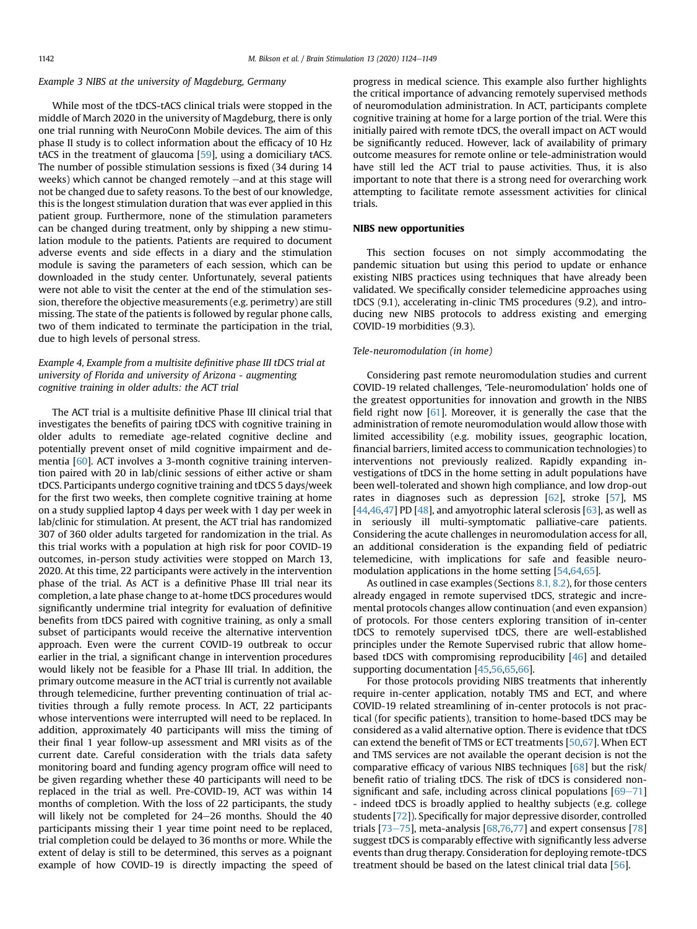# Example 3 NIBS at the university of Magdeburg, Germany

While most of the tDCS-tACS clinical trials were stopped in the middle of March 2020 in the university of Magdeburg, there is only one trial running with NeuroConn Mobile devices. The aim of this phase II study is to collect information about the efficacy of 10 Hz tACS in the treatment of glaucoma [\[59\]](#page-23-25), using a domiciliary tACS. The number of possible stimulation sessions is fixed (34 during 14 weeks) which cannot be changed remotely  $-$  and at this stage will not be changed due to safety reasons. To the best of our knowledge, this is the longest stimulation duration that was ever applied in this patient group. Furthermore, none of the stimulation parameters can be changed during treatment, only by shipping a new stimulation module to the patients. Patients are required to document adverse events and side effects in a diary and the stimulation module is saving the parameters of each session, which can be downloaded in the study center. Unfortunately, several patients were not able to visit the center at the end of the stimulation session, therefore the objective measurements (e.g. perimetry) are still missing. The state of the patients is followed by regular phone calls, two of them indicated to terminate the participation in the trial, due to high levels of personal stress.

# Example 4, Example from a multisite definitive phase III tDCS trial at university of Florida and university of Arizona - augmenting cognitive training in older adults: the ACT trial

The ACT trial is a multisite definitive Phase III clinical trial that investigates the benefits of pairing tDCS with cognitive training in older adults to remediate age-related cognitive decline and potentially prevent onset of mild cognitive impairment and dementia [\[60\]](#page-23-26). ACT involves a 3-month cognitive training intervention paired with 20 in lab/clinic sessions of either active or sham tDCS. Participants undergo cognitive training and tDCS 5 days/week for the first two weeks, then complete cognitive training at home on a study supplied laptop 4 days per week with 1 day per week in lab/clinic for stimulation. At present, the ACT trial has randomized 307 of 360 older adults targeted for randomization in the trial. As this trial works with a population at high risk for poor COVID-19 outcomes, in-person study activities were stopped on March 13, 2020. At this time, 22 participants were actively in the intervention phase of the trial. As ACT is a definitive Phase III trial near its completion, a late phase change to at-home tDCS procedures would significantly undermine trial integrity for evaluation of definitive benefits from tDCS paired with cognitive training, as only a small subset of participants would receive the alternative intervention approach. Even were the current COVID-19 outbreak to occur earlier in the trial, a significant change in intervention procedures would likely not be feasible for a Phase III trial. In addition, the primary outcome measure in the ACT trial is currently not available through telemedicine, further preventing continuation of trial activities through a fully remote process. In ACT, 22 participants whose interventions were interrupted will need to be replaced. In addition, approximately 40 participants will miss the timing of their final 1 year follow-up assessment and MRI visits as of the current date. Careful consideration with the trials data safety monitoring board and funding agency program office will need to be given regarding whether these 40 participants will need to be replaced in the trial as well. Pre-COVID-19, ACT was within 14 months of completion. With the loss of 22 participants, the study will likely not be completed for  $24-26$  months. Should the  $40$ participants missing their 1 year time point need to be replaced, trial completion could be delayed to 36 months or more. While the extent of delay is still to be determined, this serves as a poignant example of how COVID-19 is directly impacting the speed of progress in medical science. This example also further highlights the critical importance of advancing remotely supervised methods of neuromodulation administration. In ACT, participants complete cognitive training at home for a large portion of the trial. Were this initially paired with remote tDCS, the overall impact on ACT would be significantly reduced. However, lack of availability of primary outcome measures for remote online or tele-administration would have still led the ACT trial to pause activities. Thus, it is also important to note that there is a strong need for overarching work attempting to facilitate remote assessment activities for clinical trials.

# <span id="page-18-0"></span>NIBS new opportunities

This section focuses on not simply accommodating the pandemic situation but using this period to update or enhance existing NIBS practices using techniques that have already been validated. We specifically consider telemedicine approaches using tDCS (9.1), accelerating in-clinic TMS procedures (9.2), and introducing new NIBS protocols to address existing and emerging COVID-19 morbidities (9.3).

## <span id="page-18-1"></span>Tele-neuromodulation (in home)

Considering past remote neuromodulation studies and current COVID-19 related challenges, 'Tele-neuromodulation' holds one of the greatest opportunities for innovation and growth in the NIBS field right now [[61](#page-23-27)]. Moreover, it is generally the case that the administration of remote neuromodulation would allow those with limited accessibility (e.g. mobility issues, geographic location, financial barriers, limited access to communication technologies) to interventions not previously realized. Rapidly expanding investigations of tDCS in the home setting in adult populations have been well-tolerated and shown high compliance, and low drop-out rates in diagnoses such as depression [[62](#page-23-28)], stroke [\[57](#page-23-23)], MS  $[44,46,47]$  $[44,46,47]$  $[44,46,47]$  $[44,46,47]$  PD  $[48]$  $[48]$ , and amyotrophic lateral sclerosis  $[63]$ , as well as in seriously ill multi-symptomatic palliative-care patients. Considering the acute challenges in neuromodulation access for all, an additional consideration is the expanding field of pediatric telemedicine, with implications for safe and feasible neuromodulation applications in the home setting [\[54,](#page-23-20)[64](#page-23-31)[,65\]](#page-23-32).

As outlined in case examples (Sections [8.1, 8.2\)](#page-16-1), for those centers already engaged in remote supervised tDCS, strategic and incremental protocols changes allow continuation (and even expansion) of protocols. For those centers exploring transition of in-center tDCS to remotely supervised tDCS, there are well-established principles under the Remote Supervised rubric that allow homebased tDCS with compromising reproducibility [\[46\]](#page-23-12) and detailed supporting documentation [[45](#page-23-33)[,56](#page-23-22)[,65,](#page-23-32)[66](#page-23-34)].

For those protocols providing NIBS treatments that inherently require in-center application, notably TMS and ECT, and where COVID-19 related streamlining of in-center protocols is not practical (for specific patients), transition to home-based tDCS may be considered as a valid alternative option. There is evidence that tDCS can extend the benefit of TMS or ECT treatments [\[50,](#page-23-16)[67](#page-23-35)]. When ECT and TMS services are not available the operant decision is not the comparative efficacy of various NIBS techniques [\[68\]](#page-23-36) but the risk/ benefit ratio of trialing tDCS. The risk of tDCS is considered nonsignificant and safe, including across clinical populations  $[69-71]$  $[69-71]$  $[69-71]$ - indeed tDCS is broadly applied to healthy subjects (e.g. college students [[72](#page-23-38)]). Specifically for major depressive disorder, controlled trials  $[73–75]$  $[73–75]$  $[73–75]$ , meta-analysis  $[68,76,77]$  $[68,76,77]$  $[68,76,77]$  $[68,76,77]$  and expert consensus  $[78]$ suggest tDCS is comparably effective with significantly less adverse events than drug therapy. Consideration for deploying remote-tDCS treatment should be based on the latest clinical trial data [[56](#page-23-22)].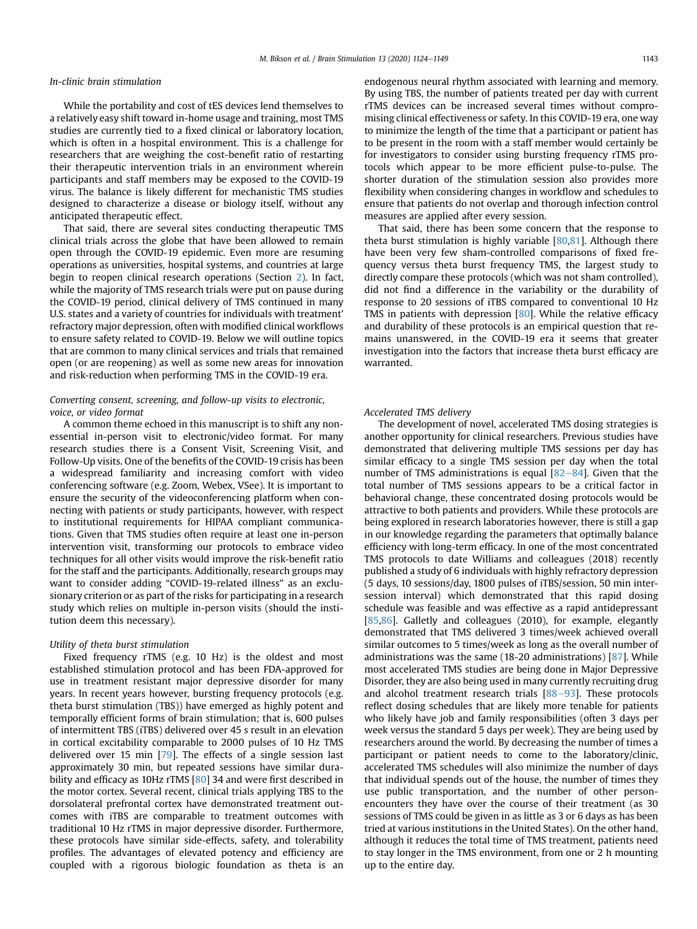## In-clinic brain stimulation

While the portability and cost of tES devices lend themselves to a relatively easy shift toward in-home usage and training, most TMS studies are currently tied to a fixed clinical or laboratory location, which is often in a hospital environment. This is a challenge for researchers that are weighing the cost-benefit ratio of restarting their therapeutic intervention trials in an environment wherein participants and staff members may be exposed to the COVID-19 virus. The balance is likely different for mechanistic TMS studies designed to characterize a disease or biology itself, without any anticipated therapeutic effect.

That said, there are several sites conducting therapeutic TMS clinical trials across the globe that have been allowed to remain open through the COVID-19 epidemic. Even more are resuming operations as universities, hospital systems, and countries at large begin to reopen clinical research operations (Section [2\)](#page-2-0). In fact, while the majority of TMS research trials were put on pause during the COVID-19 period, clinical delivery of TMS continued in many U.S. states and a variety of countries for individuals with treatment' refractory major depression, often with modified clinical workflows to ensure safety related to COVID-19. Below we will outline topics that are common to many clinical services and trials that remained open (or are reopening) as well as some new areas for innovation and risk-reduction when performing TMS in the COVID-19 era.

# Converting consent, screening, and follow-up visits to electronic, voice, or video format

A common theme echoed in this manuscript is to shift any nonessential in-person visit to electronic/video format. For many research studies there is a Consent Visit, Screening Visit, and Follow-Up visits. One of the benefits of the COVID-19 crisis has been a widespread familiarity and increasing comfort with video conferencing software (e.g. Zoom, Webex, VSee). It is important to ensure the security of the videoconferencing platform when connecting with patients or study participants, however, with respect to institutional requirements for HIPAA compliant communications. Given that TMS studies often require at least one in-person intervention visit, transforming our protocols to embrace video techniques for all other visits would improve the risk-benefit ratio for the staff and the participants. Additionally, research groups may want to consider adding "COVID-19-related illness" as an exclusionary criterion or as part of the risks for participating in a research study which relies on multiple in-person visits (should the institution deem this necessary).

# Utility of theta burst stimulation

Fixed frequency rTMS (e.g. 10 Hz) is the oldest and most established stimulation protocol and has been FDA-approved for use in treatment resistant major depressive disorder for many years. In recent years however, bursting frequency protocols (e.g. theta burst stimulation (TBS)) have emerged as highly potent and temporally efficient forms of brain stimulation; that is, 600 pulses of intermittent TBS (iTBS) delivered over 45 s result in an elevation in cortical excitability comparable to 2000 pulses of 10 Hz TMS delivered over 15 min [[79](#page-24-1)]. The effects of a single session last approximately 30 min, but repeated sessions have similar dura-bility and efficacy as 10Hz rTMS [[80](#page-24-2)] 34 and were first described in the motor cortex. Several recent, clinical trials applying TBS to the dorsolateral prefrontal cortex have demonstrated treatment outcomes with iTBS are comparable to treatment outcomes with traditional 10 Hz rTMS in major depressive disorder. Furthermore, these protocols have similar side-effects, safety, and tolerability profiles. The advantages of elevated potency and efficiency are coupled with a rigorous biologic foundation as theta is an endogenous neural rhythm associated with learning and memory. By using TBS, the number of patients treated per day with current rTMS devices can be increased several times without compromising clinical effectiveness or safety. In this COVID-19 era, one way to minimize the length of the time that a participant or patient has to be present in the room with a staff member would certainly be for investigators to consider using bursting frequency rTMS protocols which appear to be more efficient pulse-to-pulse. The shorter duration of the stimulation session also provides more flexibility when considering changes in workflow and schedules to ensure that patients do not overlap and thorough infection control measures are applied after every session.

That said, there has been some concern that the response to theta burst stimulation is highly variable  $[80,81]$  $[80,81]$  $[80,81]$ . Although there have been very few sham-controlled comparisons of fixed frequency versus theta burst frequency TMS, the largest study to directly compare these protocols (which was not sham controlled), did not find a difference in the variability or the durability of response to 20 sessions of iTBS compared to conventional 10 Hz TMS in patients with depression [\[80\]](#page-24-2). While the relative efficacy and durability of these protocols is an empirical question that remains unanswered, in the COVID-19 era it seems that greater investigation into the factors that increase theta burst efficacy are warranted.

## Accelerated TMS delivery

The development of novel, accelerated TMS dosing strategies is another opportunity for clinical researchers. Previous studies have demonstrated that delivering multiple TMS sessions per day has similar efficacy to a single TMS session per day when the total number of TMS administrations is equal  $[82-84]$  $[82-84]$  $[82-84]$ . Given that the total number of TMS sessions appears to be a critical factor in behavioral change, these concentrated dosing protocols would be attractive to both patients and providers. While these protocols are being explored in research laboratories however, there is still a gap in our knowledge regarding the parameters that optimally balance efficiency with long-term efficacy. In one of the most concentrated TMS protocols to date Williams and colleagues (2018) recently published a study of 6 individuals with highly refractory depression (5 days, 10 sessions/day, 1800 pulses of iTBS/session, 50 min intersession interval) which demonstrated that this rapid dosing schedule was feasible and was effective as a rapid antidepressant [\[85,](#page-24-5)[86](#page-24-6)]. Galletly and colleagues (2010), for example, elegantly demonstrated that TMS delivered 3 times/week achieved overall similar outcomes to 5 times/week as long as the overall number of administrations was the same (18-20 administrations) [[87](#page-24-7)]. While most accelerated TMS studies are being done in Major Depressive Disorder, they are also being used in many currently recruiting drug and alcohol treatment research trials  $[88-93]$  $[88-93]$  $[88-93]$  $[88-93]$  $[88-93]$ . These protocols reflect dosing schedules that are likely more tenable for patients who likely have job and family responsibilities (often 3 days per week versus the standard 5 days per week). They are being used by researchers around the world. By decreasing the number of times a participant or patient needs to come to the laboratory/clinic, accelerated TMS schedules will also minimize the number of days that individual spends out of the house, the number of times they use public transportation, and the number of other personencounters they have over the course of their treatment (as 30 sessions of TMS could be given in as little as 3 or 6 days as has been tried at various institutions in the United States). On the other hand, although it reduces the total time of TMS treatment, patients need to stay longer in the TMS environment, from one or 2 h mounting up to the entire day.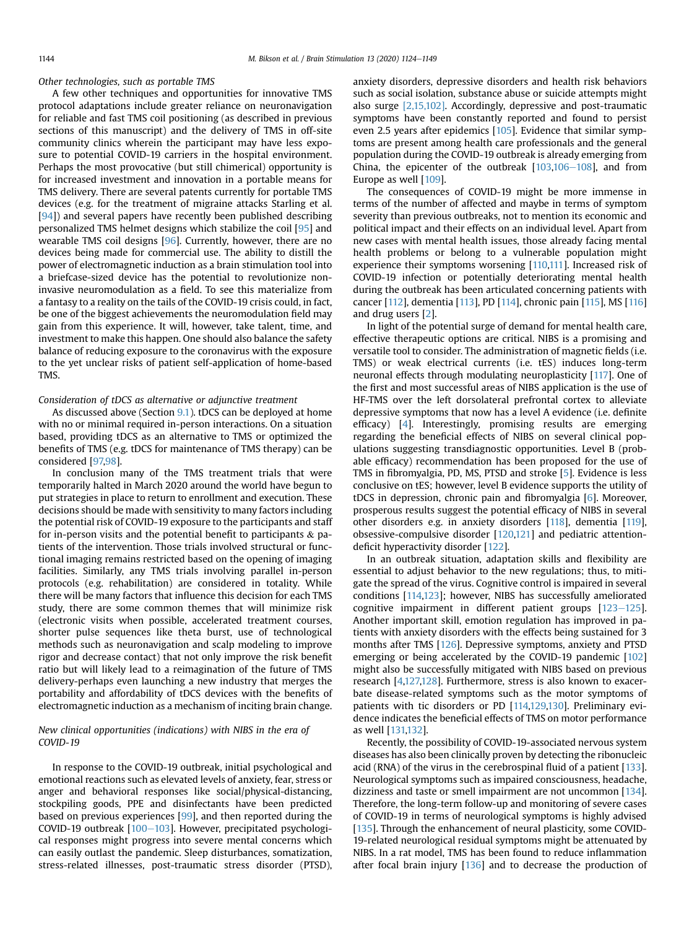Other technologies, such as portable TMS

A few other techniques and opportunities for innovative TMS protocol adaptations include greater reliance on neuronavigation for reliable and fast TMS coil positioning (as described in previous sections of this manuscript) and the delivery of TMS in off-site community clinics wherein the participant may have less exposure to potential COVID-19 carriers in the hospital environment. Perhaps the most provocative (but still chimerical) opportunity is for increased investment and innovation in a portable means for TMS delivery. There are several patents currently for portable TMS devices (e.g. for the treatment of migraine attacks Starling et al. [[94](#page-24-9)]) and several papers have recently been published describing personalized TMS helmet designs which stabilize the coil [[95](#page-24-10)] and wearable TMS coil designs [[96](#page-24-11)]. Currently, however, there are no devices being made for commercial use. The ability to distill the power of electromagnetic induction as a brain stimulation tool into a briefcase-sized device has the potential to revolutionize noninvasive neuromodulation as a field. To see this materialize from a fantasy to a reality on the tails of the COVID-19 crisis could, in fact, be one of the biggest achievements the neuromodulation field may gain from this experience. It will, however, take talent, time, and investment to make this happen. One should also balance the safety balance of reducing exposure to the coronavirus with the exposure to the yet unclear risks of patient self-application of home-based TMS.

## Consideration of tDCS as alternative or adjunctive treatment

As discussed above (Section [9.1](#page-18-1)). tDCS can be deployed at home with no or minimal required in-person interactions. On a situation based, providing tDCS as an alternative to TMS or optimized the benefits of TMS (e.g. tDCS for maintenance of TMS therapy) can be considered [[97,](#page-24-12)[98\]](#page-24-13).

In conclusion many of the TMS treatment trials that were temporarily halted in March 2020 around the world have begun to put strategies in place to return to enrollment and execution. These decisions should be made with sensitivity to many factors including the potential risk of COVID-19 exposure to the participants and staff for in-person visits and the potential benefit to participants  $\&$  patients of the intervention. Those trials involved structural or functional imaging remains restricted based on the opening of imaging facilities. Similarly, any TMS trials involving parallel in-person protocols (e.g. rehabilitation) are considered in totality. While there will be many factors that influence this decision for each TMS study, there are some common themes that will minimize risk (electronic visits when possible, accelerated treatment courses, shorter pulse sequences like theta burst, use of technological methods such as neuronavigation and scalp modeling to improve rigor and decrease contact) that not only improve the risk benefit ratio but will likely lead to a reimagination of the future of TMS delivery-perhaps even launching a new industry that merges the portability and affordability of tDCS devices with the benefits of electromagnetic induction as a mechanism of inciting brain change.

# New clinical opportunities (indications) with NIBS in the era of COVID-19

In response to the COVID-19 outbreak, initial psychological and emotional reactions such as elevated levels of anxiety, fear, stress or anger and behavioral responses like social/physical-distancing, stockpiling goods, PPE and disinfectants have been predicted based on previous experiences [[99](#page-24-14)], and then reported during the COVID-19 outbreak  $[100-103]$  $[100-103]$  $[100-103]$  $[100-103]$  $[100-103]$ . However, precipitated psychological responses might progress into severe mental concerns which can easily outlast the pandemic. Sleep disturbances, somatization, stress-related illnesses, post-traumatic stress disorder (PTSD), anxiety disorders, depressive disorders and health risk behaviors such as social isolation, substance abuse or suicide attempts might also surge [\[2,15,102\]](#page-22-17). Accordingly, depressive and post-traumatic symptoms have been constantly reported and found to persist even 2.5 years after epidemics [[105\]](#page-24-16). Evidence that similar symptoms are present among health care professionals and the general population during the COVID-19 outbreak is already emerging from China, the epicenter of the outbreak  $[103,106-108]$  $[103,106-108]$  $[103,106-108]$  $[103,106-108]$  $[103,106-108]$  $[103,106-108]$ , and from Europe as well [[109\]](#page-24-19).

The consequences of COVID-19 might be more immense in terms of the number of affected and maybe in terms of symptom severity than previous outbreaks, not to mention its economic and political impact and their effects on an individual level. Apart from new cases with mental health issues, those already facing mental health problems or belong to a vulnerable population might experience their symptoms worsening [\[110,](#page-24-20)[111\]](#page-24-21). Increased risk of COVID-19 infection or potentially deteriorating mental health during the outbreak has been articulated concerning patients with cancer [[112\]](#page-24-22), dementia [[113](#page-24-23)], PD [\[114](#page-24-24)], chronic pain [\[115\]](#page-24-25), MS [\[116\]](#page-24-26) and drug users [[2\]](#page-22-17).

In light of the potential surge of demand for mental health care, effective therapeutic options are critical. NIBS is a promising and versatile tool to consider. The administration of magnetic fields (i.e. TMS) or weak electrical currents (i.e. tES) induces long-term neuronal effects through modulating neuroplasticity [\[117\]](#page-24-27). One of the first and most successful areas of NIBS application is the use of HF-TMS over the left dorsolateral prefrontal cortex to alleviate depressive symptoms that now has a level A evidence (i.e. definite efficacy) [\[4\]](#page-22-18). Interestingly, promising results are emerging regarding the beneficial effects of NIBS on several clinical populations suggesting transdiagnostic opportunities. Level B (probable efficacy) recommendation has been proposed for the use of TMS in fibromyalgia, PD, MS, PTSD and stroke [[5](#page-22-19)]. Evidence is less conclusive on tES; however, level B evidence supports the utility of tDCS in depression, chronic pain and fibromyalgia [\[6\]](#page-22-20). Moreover, prosperous results suggest the potential efficacy of NIBS in several other disorders e.g. in anxiety disorders [[118\]](#page-24-28), dementia [\[119](#page-24-29)], obsessive-compulsive disorder [\[120](#page-24-30),[121\]](#page-24-31) and pediatric attentiondeficit hyperactivity disorder [[122\]](#page-24-32).

In an outbreak situation, adaptation skills and flexibility are essential to adjust behavior to the new regulations; thus, to mitigate the spread of the virus. Cognitive control is impaired in several conditions [[114,](#page-24-24)[123\]](#page-24-33); however, NIBS has successfully ameliorated cognitive impairment in different patient groups  $[123-125]$  $[123-125]$  $[123-125]$  $[123-125]$ . Another important skill, emotion regulation has improved in patients with anxiety disorders with the effects being sustained for 3 months after TMS [\[126](#page-24-34)]. Depressive symptoms, anxiety and PTSD emerging or being accelerated by the COVID-19 pandemic [\[102\]](#page-24-35) might also be successfully mitigated with NIBS based on previous research [[4](#page-22-18)[,127,](#page-24-36)[128\]](#page-24-37). Furthermore, stress is also known to exacerbate disease-related symptoms such as the motor symptoms of patients with tic disorders or PD [[114,](#page-24-24)[129,](#page-24-38)[130\]](#page-24-39). Preliminary evidence indicates the beneficial effects of TMS on motor performance as well [[131,](#page-24-40)[132](#page-24-41)].

Recently, the possibility of COVID-19-associated nervous system diseases has also been clinically proven by detecting the ribonucleic acid (RNA) of the virus in the cerebrospinal fluid of a patient [\[133](#page-24-42)]. Neurological symptoms such as impaired consciousness, headache, dizziness and taste or smell impairment are not uncommon [\[134](#page-25-0)]. Therefore, the long-term follow-up and monitoring of severe cases of COVID-19 in terms of neurological symptoms is highly advised [[135](#page-25-1)]. Through the enhancement of neural plasticity, some COVID-19-related neurological residual symptoms might be attenuated by NIBS. In a rat model, TMS has been found to reduce inflammation after focal brain injury [[136](#page-25-2)] and to decrease the production of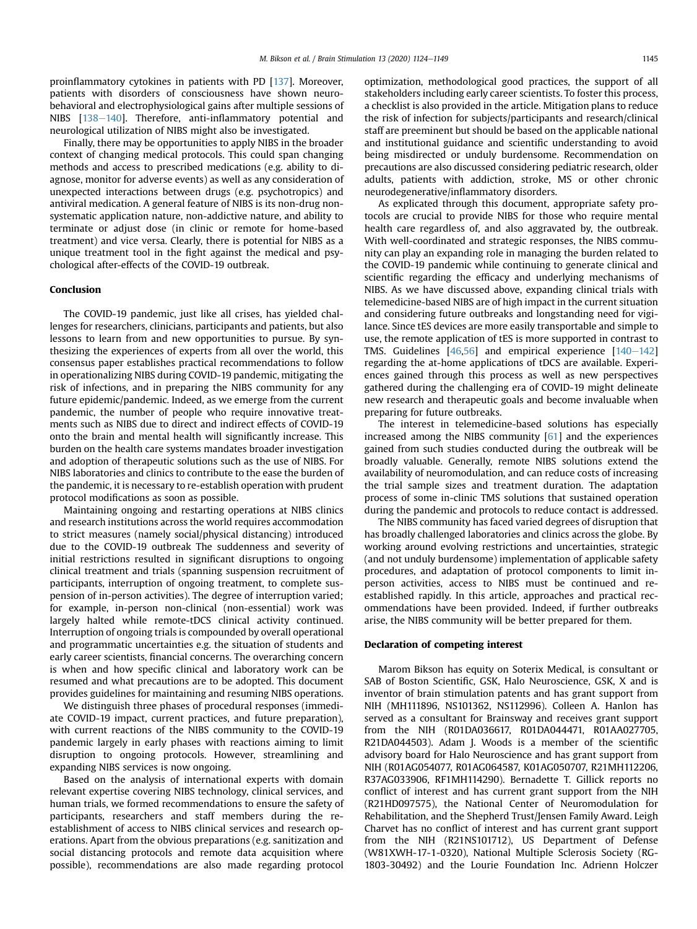proinflammatory cytokines in patients with PD [[137](#page-25-3)]. Moreover, patients with disorders of consciousness have shown neurobehavioral and electrophysiological gains after multiple sessions of NIBS [\[138](#page-25-4)-[140](#page-25-4)]. Therefore, anti-inflammatory potential and neurological utilization of NIBS might also be investigated.

Finally, there may be opportunities to apply NIBS in the broader context of changing medical protocols. This could span changing methods and access to prescribed medications (e.g. ability to diagnose, monitor for adverse events) as well as any consideration of unexpected interactions between drugs (e.g. psychotropics) and antiviral medication. A general feature of NIBS is its non-drug nonsystematic application nature, non-addictive nature, and ability to terminate or adjust dose (in clinic or remote for home-based treatment) and vice versa. Clearly, there is potential for NIBS as a unique treatment tool in the fight against the medical and psychological after-effects of the COVID-19 outbreak.

## Conclusion

The COVID-19 pandemic, just like all crises, has yielded challenges for researchers, clinicians, participants and patients, but also lessons to learn from and new opportunities to pursue. By synthesizing the experiences of experts from all over the world, this consensus paper establishes practical recommendations to follow in operationalizing NIBS during COVID-19 pandemic, mitigating the risk of infections, and in preparing the NIBS community for any future epidemic/pandemic. Indeed, as we emerge from the current pandemic, the number of people who require innovative treatments such as NIBS due to direct and indirect effects of COVID-19 onto the brain and mental health will significantly increase. This burden on the health care systems mandates broader investigation and adoption of therapeutic solutions such as the use of NIBS. For NIBS laboratories and clinics to contribute to the ease the burden of the pandemic, it is necessary to re-establish operation with prudent protocol modifications as soon as possible.

Maintaining ongoing and restarting operations at NIBS clinics and research institutions across the world requires accommodation to strict measures (namely social/physical distancing) introduced due to the COVID-19 outbreak The suddenness and severity of initial restrictions resulted in significant disruptions to ongoing clinical treatment and trials (spanning suspension recruitment of participants, interruption of ongoing treatment, to complete suspension of in-person activities). The degree of interruption varied; for example, in-person non-clinical (non-essential) work was largely halted while remote-tDCS clinical activity continued. Interruption of ongoing trials is compounded by overall operational and programmatic uncertainties e.g. the situation of students and early career scientists, financial concerns. The overarching concern is when and how specific clinical and laboratory work can be resumed and what precautions are to be adopted. This document provides guidelines for maintaining and resuming NIBS operations.

We distinguish three phases of procedural responses (immediate COVID-19 impact, current practices, and future preparation), with current reactions of the NIBS community to the COVID-19 pandemic largely in early phases with reactions aiming to limit disruption to ongoing protocols. However, streamlining and expanding NIBS services is now ongoing.

Based on the analysis of international experts with domain relevant expertise covering NIBS technology, clinical services, and human trials, we formed recommendations to ensure the safety of participants, researchers and staff members during the reestablishment of access to NIBS clinical services and research operations. Apart from the obvious preparations (e.g. sanitization and social distancing protocols and remote data acquisition where possible), recommendations are also made regarding protocol

optimization, methodological good practices, the support of all stakeholders including early career scientists. To foster this process, a checklist is also provided in the article. Mitigation plans to reduce the risk of infection for subjects/participants and research/clinical staff are preeminent but should be based on the applicable national and institutional guidance and scientific understanding to avoid being misdirected or unduly burdensome. Recommendation on precautions are also discussed considering pediatric research, older adults, patients with addiction, stroke, MS or other chronic neurodegenerative/inflammatory disorders.

As explicated through this document, appropriate safety protocols are crucial to provide NIBS for those who require mental health care regardless of, and also aggravated by, the outbreak. With well-coordinated and strategic responses, the NIBS community can play an expanding role in managing the burden related to the COVID-19 pandemic while continuing to generate clinical and scientific regarding the efficacy and underlying mechanisms of NIBS. As we have discussed above, expanding clinical trials with telemedicine-based NIBS are of high impact in the current situation and considering future outbreaks and longstanding need for vigilance. Since tES devices are more easily transportable and simple to use, the remote application of tES is more supported in contrast to TMS. Guidelines  $[46,56]$  $[46,56]$  $[46,56]$  and empirical experience  $[140-142]$  $[140-142]$  $[140-142]$ regarding the at-home applications of tDCS are available. Experiences gained through this process as well as new perspectives gathered during the challenging era of COVID-19 might delineate new research and therapeutic goals and become invaluable when preparing for future outbreaks.

The interest in telemedicine-based solutions has especially increased among the NIBS community [\[61](#page-23-27)] and the experiences gained from such studies conducted during the outbreak will be broadly valuable. Generally, remote NIBS solutions extend the availability of neuromodulation, and can reduce costs of increasing the trial sample sizes and treatment duration. The adaptation process of some in-clinic TMS solutions that sustained operation during the pandemic and protocols to reduce contact is addressed.

The NIBS community has faced varied degrees of disruption that has broadly challenged laboratories and clinics across the globe. By working around evolving restrictions and uncertainties, strategic (and not unduly burdensome) implementation of applicable safety procedures, and adaptation of protocol components to limit inperson activities, access to NIBS must be continued and reestablished rapidly. In this article, approaches and practical recommendations have been provided. Indeed, if further outbreaks arise, the NIBS community will be better prepared for them.

# Declaration of competing interest

Marom Bikson has equity on Soterix Medical, is consultant or SAB of Boston Scientific, GSK, Halo Neuroscience, GSK, X and is inventor of brain stimulation patents and has grant support from NIH (MH111896, NS101362, NS112996). Colleen A. Hanlon has served as a consultant for Brainsway and receives grant support from the NIH (R01DA036617, R01DA044471, R01AA027705, R21DA044503). Adam J. Woods is a member of the scientific advisory board for Halo Neuroscience and has grant support from NIH (R01AG054077, R01AG064587, K01AG050707, R21MH112206, R37AG033906, RF1MH114290). Bernadette T. Gillick reports no conflict of interest and has current grant support from the NIH (R21HD097575), the National Center of Neuromodulation for Rehabilitation, and the Shepherd Trust/Jensen Family Award. Leigh Charvet has no conflict of interest and has current grant support from the NIH (R21NS101712), US Department of Defense (W81XWH-17-1-0320), National Multiple Sclerosis Society (RG-1803-30492) and the Lourie Foundation Inc. Adrienn Holczer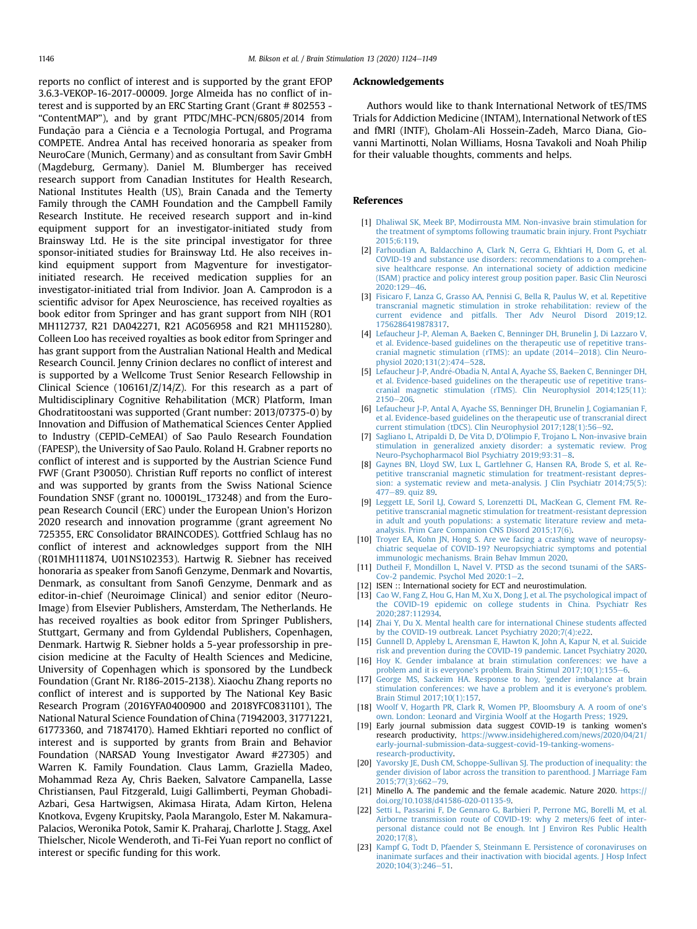reports no conflict of interest and is supported by the grant EFOP 3.6.3-VEKOP-16-2017-00009. Jorge Almeida has no conflict of interest and is supported by an ERC Starting Grant (Grant # 802553 - "ContentMAP"), and by grant PTDC/MHC-PCN/6805/2014 from Fundação para a Ciência e a Tecnologia Portugal, and Programa COMPETE. Andrea Antal has received honoraria as speaker from NeuroCare (Munich, Germany) and as consultant from Savir GmbH (Magdeburg, Germany). Daniel M. Blumberger has received research support from Canadian Institutes for Health Research, National Institutes Health (US), Brain Canada and the Temerty Family through the CAMH Foundation and the Campbell Family Research Institute. He received research support and in-kind equipment support for an investigator-initiated study from Brainsway Ltd. He is the site principal investigator for three sponsor-initiated studies for Brainsway Ltd. He also receives inkind equipment support from Magventure for investigatorinitiated research. He received medication supplies for an investigator-initiated trial from Indivior. Joan A. Camprodon is a scientific advisor for Apex Neuroscience, has received royalties as book editor from Springer and has grant support from NIH (RO1 MH112737, R21 DA042271, R21 AG056958 and R21 MH115280). Colleen Loo has received royalties as book editor from Springer and has grant support from the Australian National Health and Medical Research Council. Jenny Crinion declares no conflict of interest and is supported by a Wellcome Trust Senior Research Fellowship in Clinical Science (106161/Z/14/Z). For this research as a part of Multidisciplinary Cognitive Rehabilitation (MCR) Platform, Iman Ghodratitoostani was supported (Grant number: 2013/07375-0) by Innovation and Diffusion of Mathematical Sciences Center Applied to Industry (CEPID-CeMEAI) of Sao Paulo Research Foundation (FAPESP), the University of Sao Paulo. Roland H. Grabner reports no conflict of interest and is supported by the Austrian Science Fund FWF (Grant P30050). Christian Ruff reports no conflict of interest and was supported by grants from the Swiss National Science Foundation SNSF (grant no. 100019L\_173248) and from the European Research Council (ERC) under the European Union's Horizon 2020 research and innovation programme (grant agreement No 725355, ERC Consolidator BRAINCODES). Gottfried Schlaug has no conflict of interest and acknowledges support from the NIH (R01MH111874, U01NS102353). Hartwig R. Siebner has received honoraria as speaker from Sanofi Genzyme, Denmark and Novartis, Denmark, as consultant from Sanofi Genzyme, Denmark and as editor-in-chief (Neuroimage Clinical) and senior editor (Neuro-Image) from Elsevier Publishers, Amsterdam, The Netherlands. He has received royalties as book editor from Springer Publishers, Stuttgart, Germany and from Gyldendal Publishers, Copenhagen, Denmark. Hartwig R. Siebner holds a 5-year professorship in precision medicine at the Faculty of Health Sciences and Medicine, University of Copenhagen which is sponsored by the Lundbeck Foundation (Grant Nr. R186-2015-2138). Xiaochu Zhang reports no conflict of interest and is supported by The National Key Basic Research Program (2016YFA0400900 and 2018YFC0831101), The National Natural Science Foundation of China (71942003, 31771221, 61773360, and 71874170). Hamed Ekhtiari reported no conflict of interest and is supported by grants from Brain and Behavior Foundation (NARSAD Young Investigator Award #27305) and Warren K. Family Foundation. Claus Lamm, Graziella Madeo, Mohammad Reza Ay, Chris Baeken, Salvatore Campanella, Lasse Christiansen, Paul Fitzgerald, Luigi Gallimberti, Peyman Ghobadi-Azbari, Gesa Hartwigsen, Akimasa Hirata, Adam Kirton, Helena Knotkova, Evgeny Krupitsky, Paola Marangolo, Ester M. Nakamura-Palacios, Weronika Potok, Samir K. Praharaj, Charlotte J. Stagg, Axel Thielscher, Nicole Wenderoth, and Ti-Fei Yuan report no conflict of interest or specific funding for this work.

#### Acknowledgements

Authors would like to thank International Network of tES/TMS Trials for Addiction Medicine (INTAM), International Network of tES and fMRI (INTF), Gholam-Ali Hossein-Zadeh, Marco Diana, Giovanni Martinotti, Nolan Williams, Hosna Tavakoli and Noah Philip for their valuable thoughts, comments and helps.

## <span id="page-22-0"></span>References

- <span id="page-22-17"></span>[1] [Dhaliwal SK, Meek BP, Modirrousta MM. Non-invasive brain stimulation for](http://refhub.elsevier.com/S1935-861X(20)30109-1/sref1) [the treatment of symptoms following traumatic brain injury. Front Psychiatr](http://refhub.elsevier.com/S1935-861X(20)30109-1/sref1) [2015;6:119](http://refhub.elsevier.com/S1935-861X(20)30109-1/sref1).
- [2] [Farhoudian A, Baldacchino A, Clark N, Gerra G, Ekhtiari H, Dom G, et al.](http://refhub.elsevier.com/S1935-861X(20)30109-1/sref2) [COVID-19 and substance use disorders: recommendations to a comprehen](http://refhub.elsevier.com/S1935-861X(20)30109-1/sref2)[sive healthcare response. An international society of addiction medicine](http://refhub.elsevier.com/S1935-861X(20)30109-1/sref2) [\(ISAM\) practice and policy interest group position paper. Basic Clin Neurosci](http://refhub.elsevier.com/S1935-861X(20)30109-1/sref2)  $2020:129-46.$  $2020:129-46.$  $2020:129-46.$
- <span id="page-22-18"></span>[3] [Fisicaro F, Lanza G, Grasso AA, Pennisi G, Bella R, Paulus W, et al. Repetitive](http://refhub.elsevier.com/S1935-861X(20)30109-1/sref3) [transcranial magnetic stimulation in stroke rehabilitation: review of the](http://refhub.elsevier.com/S1935-861X(20)30109-1/sref3) [current evidence and pitfalls. Ther Adv Neurol Disord 2019;12.](http://refhub.elsevier.com/S1935-861X(20)30109-1/sref3) [1756286419878317](http://refhub.elsevier.com/S1935-861X(20)30109-1/sref3).
- <span id="page-22-19"></span>[4] [Lefaucheur J-P, Aleman A, Baeken C, Benninger DH, Brunelin J, Di Lazzaro V,](http://refhub.elsevier.com/S1935-861X(20)30109-1/sref4) [et al. Evidence-based guidelines on the therapeutic use of repetitive trans](http://refhub.elsevier.com/S1935-861X(20)30109-1/sref4)[cranial magnetic stimulation \(rTMS\): an update \(2014](http://refhub.elsevier.com/S1935-861X(20)30109-1/sref4)-[2018\). Clin Neuro](http://refhub.elsevier.com/S1935-861X(20)30109-1/sref4)[physiol 2020;131\(2\):474](http://refhub.elsevier.com/S1935-861X(20)30109-1/sref4)-[528](http://refhub.elsevier.com/S1935-861X(20)30109-1/sref4).
- <span id="page-22-20"></span>[5] Lefaucheur J-P, André-Obadia N, Antal A, Ayache SS, Baeken C, Benninger DH, [et al. Evidence-based guidelines on the therapeutic use of repetitive trans](http://refhub.elsevier.com/S1935-861X(20)30109-1/sref5)[cranial magnetic stimulation \(rTMS\). Clin Neurophysiol 2014;125\(11\):](http://refhub.elsevier.com/S1935-861X(20)30109-1/sref5)  $2150 - 206$  $2150 - 206$ .
- [6] [Lefaucheur J-P, Antal A, Ayache SS, Benninger DH, Brunelin J, Cogiamanian F,](http://refhub.elsevier.com/S1935-861X(20)30109-1/sref6) [et al. Evidence-based guidelines on the therapeutic use of transcranial direct](http://refhub.elsevier.com/S1935-861X(20)30109-1/sref6) [current stimulation \(tDCS\). Clin Neurophysiol 2017;128\(1\):56](http://refhub.elsevier.com/S1935-861X(20)30109-1/sref6)-[92.](http://refhub.elsevier.com/S1935-861X(20)30109-1/sref6)
- <span id="page-22-1"></span>[7] Sagliano L, Atripaldi D, De Vita D, D'[Olimpio F, Trojano L. Non-invasive brain](http://refhub.elsevier.com/S1935-861X(20)30109-1/sref7) [stimulation in generalized anxiety disorder: a systematic review. Prog](http://refhub.elsevier.com/S1935-861X(20)30109-1/sref7) [Neuro-Psychopharmacol Biol Psychiatry 2019;93:31](http://refhub.elsevier.com/S1935-861X(20)30109-1/sref7)-[8](http://refhub.elsevier.com/S1935-861X(20)30109-1/sref7).
- <span id="page-22-2"></span>[8] [Gaynes BN, Lloyd SW, Lux L, Gartlehner G, Hansen RA, Brode S, et al. Re](http://refhub.elsevier.com/S1935-861X(20)30109-1/sref8)[petitive transcranial magnetic stimulation for treatment-resistant depres](http://refhub.elsevier.com/S1935-861X(20)30109-1/sref8)[sion: a systematic review and meta-analysis. J Clin Psychiatr 2014;75\(5\):](http://refhub.elsevier.com/S1935-861X(20)30109-1/sref8) [477](http://refhub.elsevier.com/S1935-861X(20)30109-1/sref8)-[89. quiz 89.](http://refhub.elsevier.com/S1935-861X(20)30109-1/sref8)
- <span id="page-22-3"></span>[9] [Leggett LE, Soril LJ, Coward S, Lorenzetti DL, MacKean G, Clement FM. Re](http://refhub.elsevier.com/S1935-861X(20)30109-1/sref9)[petitive transcranial magnetic stimulation for treatment-resistant depression](http://refhub.elsevier.com/S1935-861X(20)30109-1/sref9) [in adult and youth populations: a systematic literature review and meta](http://refhub.elsevier.com/S1935-861X(20)30109-1/sref9)[analysis. Prim Care Companion CNS Disord 2015;17\(6\).](http://refhub.elsevier.com/S1935-861X(20)30109-1/sref9)
- <span id="page-22-4"></span>[10] [Troyer EA, Kohn JN, Hong S. Are we facing a crashing wave of neuropsy](http://refhub.elsevier.com/S1935-861X(20)30109-1/sref10)[chiatric sequelae of COVID-19? Neuropsychiatric symptoms and potential](http://refhub.elsevier.com/S1935-861X(20)30109-1/sref10) [immunologic mechanisms. Brain Behav Immun 2020.](http://refhub.elsevier.com/S1935-861X(20)30109-1/sref10)
- <span id="page-22-6"></span><span id="page-22-5"></span>[11] [Dutheil F, Mondillon L, Navel V. PTSD as the second tsunami of the SARS-](http://refhub.elsevier.com/S1935-861X(20)30109-1/sref11)Cov-[2](http://refhub.elsevier.com/S1935-861X(20)30109-1/sref11) pandemic. Psychol Med  $2020:1-2$ .
- [12] ISEN :: International society for ECT and neurostimulation.
- <span id="page-22-7"></span>[13] [Cao W, Fang Z, Hou G, Han M, Xu X, Dong J, et al. The psychological impact of](http://refhub.elsevier.com/S1935-861X(20)30109-1/sref13) [the COVID-19 epidemic on college students in China. Psychiatr Res](http://refhub.elsevier.com/S1935-861X(20)30109-1/sref13) [2020;287:112934.](http://refhub.elsevier.com/S1935-861X(20)30109-1/sref13)
- <span id="page-22-8"></span>[14] [Zhai Y, Du X. Mental health care for international Chinese students affected](http://refhub.elsevier.com/S1935-861X(20)30109-1/sref14) [by the COVID-19 outbreak. Lancet Psychiatry 2020;7\(4\):e22.](http://refhub.elsevier.com/S1935-861X(20)30109-1/sref14)
- <span id="page-22-9"></span>[15] [Gunnell D, Appleby L, Arensman E, Hawton K, John A, Kapur N, et al. Suicide](http://refhub.elsevier.com/S1935-861X(20)30109-1/sref15) [risk and prevention during the COVID-19 pandemic. Lancet Psychiatry 2020](http://refhub.elsevier.com/S1935-861X(20)30109-1/sref15).
- <span id="page-22-10"></span>[16] [Hoy K. Gender imbalance at brain stimulation conferences: we have a](http://refhub.elsevier.com/S1935-861X(20)30109-1/sref16) problem and it is everyone'[s problem. Brain Stimul 2017;10\(1\):155](http://refhub.elsevier.com/S1935-861X(20)30109-1/sref16)-[6.](http://refhub.elsevier.com/S1935-861X(20)30109-1/sref16)
- <span id="page-22-11"></span>[17] [George MS, Sackeim HA. Response to hoy,](http://refhub.elsevier.com/S1935-861X(20)30109-1/sref17) 'gender imbalance at brain [stimulation conferences: we have a problem and it is everyone](http://refhub.elsevier.com/S1935-861X(20)30109-1/sref17)'s problem. [Brain Stimul 2017;10\(1\):157](http://refhub.elsevier.com/S1935-861X(20)30109-1/sref17).
- <span id="page-22-12"></span>[18] [Woolf V, Hogarth PR, Clark R, Women PP, Bloomsbury A. A room of one](http://refhub.elsevier.com/S1935-861X(20)30109-1/sref18)'s [own. London: Leonard and Virginia Woolf at the Hogarth Press; 1929](http://refhub.elsevier.com/S1935-861X(20)30109-1/sref18).
- <span id="page-22-13"></span>[19] Early journal submission data suggest COVID-19 is tanking women's research productivity, [https://www.insidehighered.com/news/2020/04/21/](https://www.insidehighered.com/news/2020/04/21/early-journal-submission-data-suggest-covid-19-tanking-womens-research-productivity) [early-journal-submission-data-suggest-covid-19-tanking-womens](https://www.insidehighered.com/news/2020/04/21/early-journal-submission-data-suggest-covid-19-tanking-womens-research-productivity)[research-productivity](https://www.insidehighered.com/news/2020/04/21/early-journal-submission-data-suggest-covid-19-tanking-womens-research-productivity).
- <span id="page-22-14"></span>[20] [Yavorsky JE, Dush CM, Schoppe-Sullivan SJ. The production of inequality: the](http://refhub.elsevier.com/S1935-861X(20)30109-1/sref20) [gender division of labor across the transition to parenthood. J Marriage Fam](http://refhub.elsevier.com/S1935-861X(20)30109-1/sref20)  $2015:77(3):662-79.$  $2015:77(3):662-79.$
- <span id="page-22-15"></span>[21] Minello A. The pandemic and the female academic. Nature 2020. [https://](https://doi.org/10.1038/d41586-020-01135-9) [doi.org/10.1038/d41586-020-01135-9.](https://doi.org/10.1038/d41586-020-01135-9)
- <span id="page-22-16"></span>[22] [Setti L, Passarini F, De Gennaro G, Barbieri P, Perrone MG, Borelli M, et al.](http://refhub.elsevier.com/S1935-861X(20)30109-1/sref22) [Airborne transmission route of COVID-19: why 2 meters/6 feet of inter](http://refhub.elsevier.com/S1935-861X(20)30109-1/sref22)[personal distance could not Be enough. Int J Environ Res Public Health](http://refhub.elsevier.com/S1935-861X(20)30109-1/sref22) [2020;17\(8\)](http://refhub.elsevier.com/S1935-861X(20)30109-1/sref22).
- [23] [Kampf G, Todt D, Pfaender S, Steinmann E. Persistence of coronaviruses on](http://refhub.elsevier.com/S1935-861X(20)30109-1/sref23) [inanimate surfaces and their inactivation with biocidal agents. J Hosp Infect](http://refhub.elsevier.com/S1935-861X(20)30109-1/sref23) [2020;104\(3\):246](http://refhub.elsevier.com/S1935-861X(20)30109-1/sref23)-[51](http://refhub.elsevier.com/S1935-861X(20)30109-1/sref23).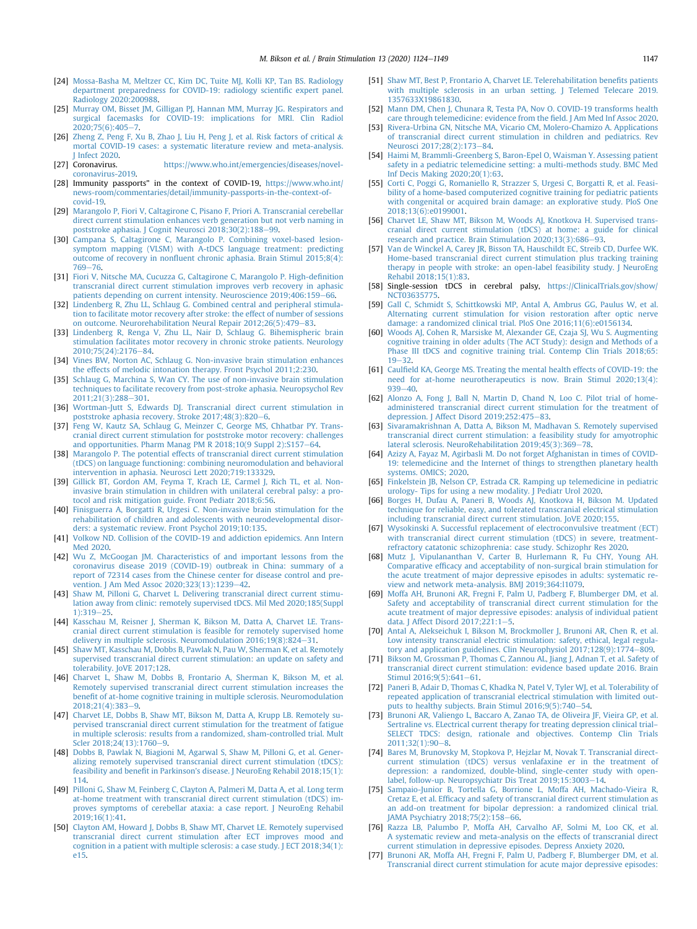- <span id="page-23-0"></span>[24] [Mossa-Basha M, Meltzer CC, Kim DC, Tuite MJ, Kolli KP, Tan BS. Radiology](http://refhub.elsevier.com/S1935-861X(20)30109-1/sref24) [department preparedness for COVID-19: radiology scienti](http://refhub.elsevier.com/S1935-861X(20)30109-1/sref24)fic expert panel. [Radiology 2020:200988.](http://refhub.elsevier.com/S1935-861X(20)30109-1/sref24)
- <span id="page-23-1"></span>[25] Murray OM, Bisset JM, Gilligan PJ, Hannan MM, Murray JG, Respirators and [surgical facemasks for COVID-19: implications for MRI. Clin Radiol](http://refhub.elsevier.com/S1935-861X(20)30109-1/sref25)  $2020.75(6)$  $2020.75(6)$  $2020.75(6)$ :405-7
- <span id="page-23-2"></span>[26] [Zheng Z, Peng F, Xu B, Zhao J, Liu H, Peng J, et al. Risk factors of critical](http://refhub.elsevier.com/S1935-861X(20)30109-1/sref26) & [mortal COVID-19 cases: a systematic literature review and meta-analysis.](http://refhub.elsevier.com/S1935-861X(20)30109-1/sref26) [J Infect 2020](http://refhub.elsevier.com/S1935-861X(20)30109-1/sref26).
- <span id="page-23-3"></span>[27] Coronavirus. [https://www.who.int/emergencies/diseases/novel](https://www.who.int/emergencies/diseases/novel-coronavirus-2019)[coronavirus-2019.](https://www.who.int/emergencies/diseases/novel-coronavirus-2019)
- <span id="page-23-4"></span>[28] Immunity passports" in the context of COVID-19, [https://www.who.int/](https://www.who.int/news-room/commentaries/detail/immunity-passports-in-the-context-of-covid-19) [news-room/commentaries/detail/immunity-passports-in-the-context-of](https://www.who.int/news-room/commentaries/detail/immunity-passports-in-the-context-of-covid-19)[covid-19.](https://www.who.int/news-room/commentaries/detail/immunity-passports-in-the-context-of-covid-19)
- <span id="page-23-5"></span>[29] [Marangolo P, Fiori V, Caltagirone C, Pisano F, Priori A. Transcranial cerebellar](http://refhub.elsevier.com/S1935-861X(20)30109-1/sref29) [direct current stimulation enhances verb generation but not verb naming in](http://refhub.elsevier.com/S1935-861X(20)30109-1/sref29) poststroke aphasia. J Cognit Neurosci  $2018:30(2):188-99$ .
- [30] [Campana S, Caltagirone C, Marangolo P. Combining voxel-based lesion](http://refhub.elsevier.com/S1935-861X(20)30109-1/sref30)[symptom mapping \(VLSM\) with A-tDCS language treatment: predicting](http://refhub.elsevier.com/S1935-861X(20)30109-1/sref30) outcome of recovery in nonfl[uent chronic aphasia. Brain Stimul 2015;8\(4\):](http://refhub.elsevier.com/S1935-861X(20)30109-1/sref30) [769](http://refhub.elsevier.com/S1935-861X(20)30109-1/sref30)-[76](http://refhub.elsevier.com/S1935-861X(20)30109-1/sref30)
- [31] [Fiori V, Nitsche MA, Cucuzza G, Caltagirone C, Marangolo P. High-de](http://refhub.elsevier.com/S1935-861X(20)30109-1/sref31)finition [transcranial direct current stimulation improves verb recovery in aphasic](http://refhub.elsevier.com/S1935-861X(20)30109-1/sref31) [patients depending on current intensity. Neuroscience 2019;406:159](http://refhub.elsevier.com/S1935-861X(20)30109-1/sref31)-[66](http://refhub.elsevier.com/S1935-861X(20)30109-1/sref31).
- [32] [Lindenberg R, Zhu LL, Schlaug G. Combined central and peripheral stimula](http://refhub.elsevier.com/S1935-861X(20)30109-1/sref32)[tion to facilitate motor recovery after stroke: the effect of number of sessions](http://refhub.elsevier.com/S1935-861X(20)30109-1/sref32) [on outcome. Neurorehabilitation Neural Repair 2012;26\(5\):479](http://refhub.elsevier.com/S1935-861X(20)30109-1/sref32)-[83](http://refhub.elsevier.com/S1935-861X(20)30109-1/sref32).
- [33] [Lindenberg R, Renga V, Zhu LL, Nair D, Schlaug G. Bihemispheric brain](http://refhub.elsevier.com/S1935-861X(20)30109-1/sref33) [stimulation facilitates motor recovery in chronic stroke patients. Neurology](http://refhub.elsevier.com/S1935-861X(20)30109-1/sref33) 2010:75(24):2176-[84.](http://refhub.elsevier.com/S1935-861X(20)30109-1/sref33)
- [34] [Vines BW, Norton AC, Schlaug G. Non-invasive brain stimulation enhances](http://refhub.elsevier.com/S1935-861X(20)30109-1/sref34) [the effects of melodic intonation therapy. Front Psychol 2011;2:230](http://refhub.elsevier.com/S1935-861X(20)30109-1/sref34).
- [35] [Schlaug G, Marchina S, Wan CY. The use of non-invasive brain stimulation](http://refhub.elsevier.com/S1935-861X(20)30109-1/sref35) [techniques to facilitate recovery from post-stroke aphasia. Neuropsychol Rev](http://refhub.elsevier.com/S1935-861X(20)30109-1/sref35) [2011;21\(3\):288](http://refhub.elsevier.com/S1935-861X(20)30109-1/sref35)-[301](http://refhub.elsevier.com/S1935-861X(20)30109-1/sref35).
- [36] [Wortman-Jutt S, Edwards DJ. Transcranial direct current stimulation in](http://refhub.elsevier.com/S1935-861X(20)30109-1/sref36) [poststroke aphasia recovery. Stroke 2017;48\(3\):820](http://refhub.elsevier.com/S1935-861X(20)30109-1/sref36)-[6](http://refhub.elsevier.com/S1935-861X(20)30109-1/sref36).
- [37] [Feng W, Kautz SA, Schlaug G, Meinzer C, George MS, Chhatbar PY. Trans](http://refhub.elsevier.com/S1935-861X(20)30109-1/sref37)[cranial direct current stimulation for poststroke motor recovery: challenges](http://refhub.elsevier.com/S1935-861X(20)30109-1/sref37) and opportunities. Pharm Manag PM R  $2018;10(9$  Suppl  $2):S157-64$ .
- <span id="page-23-6"></span>[38] [Marangolo P. The potential effects of transcranial direct current stimulation](http://refhub.elsevier.com/S1935-861X(20)30109-1/sref38) [\(tDCS\) on language functioning: combining neuromodulation and behavioral](http://refhub.elsevier.com/S1935-861X(20)30109-1/sref38) [intervention in aphasia. Neurosci Lett 2020;719:133329](http://refhub.elsevier.com/S1935-861X(20)30109-1/sref38).
- <span id="page-23-7"></span>[39] [Gillick BT, Gordon AM, Feyma T, Krach LE, Carmel J, Rich TL, et al. Non](http://refhub.elsevier.com/S1935-861X(20)30109-1/sref39)[invasive brain stimulation in children with unilateral cerebral palsy: a pro](http://refhub.elsevier.com/S1935-861X(20)30109-1/sref39)[tocol and risk mitigation guide. Front Pediatr 2018;6:56.](http://refhub.elsevier.com/S1935-861X(20)30109-1/sref39)
- <span id="page-23-8"></span>[40] [Finisguerra A, Borgatti R, Urgesi C. Non-invasive brain stimulation for the](http://refhub.elsevier.com/S1935-861X(20)30109-1/sref40) [rehabilitation of children and adolescents with neurodevelopmental disor](http://refhub.elsevier.com/S1935-861X(20)30109-1/sref40)[ders: a systematic review. Front Psychol 2019;10:135.](http://refhub.elsevier.com/S1935-861X(20)30109-1/sref40)
- <span id="page-23-9"></span>[41] [Volkow ND. Collision of the COVID-19 and addiction epidemics. Ann Intern](http://refhub.elsevier.com/S1935-861X(20)30109-1/sref41) [Med 2020](http://refhub.elsevier.com/S1935-861X(20)30109-1/sref41).
- <span id="page-23-10"></span>[42] [Wu Z, McGoogan JM. Characteristics of and important lessons from the](http://refhub.elsevier.com/S1935-861X(20)30109-1/sref42) [coronavirus disease 2019 \(COVID-19\) outbreak in China: summary of a](http://refhub.elsevier.com/S1935-861X(20)30109-1/sref42) [report of 72314 cases from the Chinese center for disease control and pre](http://refhub.elsevier.com/S1935-861X(20)30109-1/sref42)[vention. J Am Med Assoc 2020;323\(13\):1239](http://refhub.elsevier.com/S1935-861X(20)30109-1/sref42)-[42](http://refhub.elsevier.com/S1935-861X(20)30109-1/sref42).
- <span id="page-23-11"></span>[43] [Shaw M, Pilloni G, Charvet L. Delivering transcranial direct current stimu](http://refhub.elsevier.com/S1935-861X(20)30109-1/sref43)[lation away from clinic: remotely supervised tDCS. Mil Med 2020;185\(Suppl](http://refhub.elsevier.com/S1935-861X(20)30109-1/sref43)  $1):319-25$  $1):319-25$
- <span id="page-23-29"></span>[44] [Kasschau M, Reisner J, Sherman K, Bikson M, Datta A, Charvet LE. Trans](http://refhub.elsevier.com/S1935-861X(20)30109-1/sref44)[cranial direct current stimulation is feasible for remotely supervised home](http://refhub.elsevier.com/S1935-861X(20)30109-1/sref44) delivery in multiple sclerosis. Neuromodulation  $2016;19(8):824-31$  $2016;19(8):824-31$ .
- <span id="page-23-33"></span>[45] [Shaw MT, Kasschau M, Dobbs B, Pawlak N, Pau W, Sherman K, et al. Remotely](http://refhub.elsevier.com/S1935-861X(20)30109-1/sref45) [supervised transcranial direct current stimulation: an update on safety and](http://refhub.elsevier.com/S1935-861X(20)30109-1/sref45) [tolerability. JoVE 2017;128](http://refhub.elsevier.com/S1935-861X(20)30109-1/sref45).
- <span id="page-23-12"></span>[46] [Charvet L, Shaw M, Dobbs B, Frontario A, Sherman K, Bikson M, et al.](http://refhub.elsevier.com/S1935-861X(20)30109-1/sref46) [Remotely supervised transcranial direct current stimulation increases the](http://refhub.elsevier.com/S1935-861X(20)30109-1/sref46) benefi[t of at-home cognitive training in multiple sclerosis. Neuromodulation](http://refhub.elsevier.com/S1935-861X(20)30109-1/sref46) 2018:21(4):383-[9](http://refhub.elsevier.com/S1935-861X(20)30109-1/sref46).
- <span id="page-23-13"></span>[47] Charvet LE, Dobbs B, Shaw MT, Bikson M, Datta A, Krupp LB, Remotely su[pervised transcranial direct current stimulation for the treatment of fatigue](http://refhub.elsevier.com/S1935-861X(20)30109-1/sref47) [in multiple sclerosis: results from a randomized, sham-controlled trial. Mult](http://refhub.elsevier.com/S1935-861X(20)30109-1/sref47)  $Scler 2018:24(13):1760-9.$  $Scler 2018:24(13):1760-9.$
- <span id="page-23-14"></span>[48] [Dobbs B, Pawlak N, Biagioni M, Agarwal S, Shaw M, Pilloni G, et al. Gener](http://refhub.elsevier.com/S1935-861X(20)30109-1/sref48)[alizing remotely supervised transcranial direct current stimulation \(tDCS\):](http://refhub.elsevier.com/S1935-861X(20)30109-1/sref48) feasibility and benefit in Parkinson'[s disease. J NeuroEng Rehabil 2018;15\(1\):](http://refhub.elsevier.com/S1935-861X(20)30109-1/sref48) [114.](http://refhub.elsevier.com/S1935-861X(20)30109-1/sref48)
- <span id="page-23-15"></span>[49] [Pilloni G, Shaw M, Feinberg C, Clayton A, Palmeri M, Datta A, et al. Long term](http://refhub.elsevier.com/S1935-861X(20)30109-1/sref49) [at-home treatment with transcranial direct current stimulation \(tDCS\) im](http://refhub.elsevier.com/S1935-861X(20)30109-1/sref49)[proves symptoms of cerebellar ataxia: a case report. J NeuroEng Rehabil](http://refhub.elsevier.com/S1935-861X(20)30109-1/sref49)  $2019:16(1):41.$
- <span id="page-23-16"></span>[50] [Clayton AM, Howard J, Dobbs B, Shaw MT, Charvet LE. Remotely supervised](http://refhub.elsevier.com/S1935-861X(20)30109-1/sref50) [transcranial direct current stimulation after ECT improves mood and](http://refhub.elsevier.com/S1935-861X(20)30109-1/sref50) [cognition in a patient with multiple sclerosis: a case study. J ECT 2018;34\(1\):](http://refhub.elsevier.com/S1935-861X(20)30109-1/sref50) [e15](http://refhub.elsevier.com/S1935-861X(20)30109-1/sref50).
- <span id="page-23-17"></span>[51] [Shaw MT, Best P, Frontario A, Charvet LE. Telerehabilitation bene](http://refhub.elsevier.com/S1935-861X(20)30109-1/sref51)fits patients [with multiple sclerosis in an urban setting. J Telemed Telecare 2019.](http://refhub.elsevier.com/S1935-861X(20)30109-1/sref51) [1357633X19861830.](http://refhub.elsevier.com/S1935-861X(20)30109-1/sref51)
- <span id="page-23-18"></span>[52] [Mann DM, Chen J, Chunara R, Testa PA, Nov O. COVID-19 transforms health](http://refhub.elsevier.com/S1935-861X(20)30109-1/sref52) [care through telemedicine: evidence from the](http://refhub.elsevier.com/S1935-861X(20)30109-1/sref52) field. J Am Med Inf Assoc 2020.
- <span id="page-23-19"></span>[53] [Rivera-Urbina GN, Nitsche MA, Vicario CM, Molero-Chamizo A. Applications](http://refhub.elsevier.com/S1935-861X(20)30109-1/sref53) [of transcranial direct current stimulation in children and pediatrics. Rev](http://refhub.elsevier.com/S1935-861X(20)30109-1/sref53) Neurosci 2017:28(2):173-[84](http://refhub.elsevier.com/S1935-861X(20)30109-1/sref53).
- <span id="page-23-20"></span>[54] [Haimi M, Brammli-Greenberg S, Baron-Epel O, Waisman Y. Assessing patient](http://refhub.elsevier.com/S1935-861X(20)30109-1/sref54) [safety in a pediatric telemedicine setting: a multi-methods study. BMC Med](http://refhub.elsevier.com/S1935-861X(20)30109-1/sref54) [Inf Decis Making 2020;20\(1\):63](http://refhub.elsevier.com/S1935-861X(20)30109-1/sref54).
- <span id="page-23-21"></span>[55] [Corti C, Poggi G, Romaniello R, Strazzer S, Urgesi C, Borgatti R, et al. Feasi](http://refhub.elsevier.com/S1935-861X(20)30109-1/sref55)[bility of a home-based computerized cognitive training for pediatric patients](http://refhub.elsevier.com/S1935-861X(20)30109-1/sref55) [with congenital or acquired brain damage: an explorative study. PloS One](http://refhub.elsevier.com/S1935-861X(20)30109-1/sref55) [2018;13\(6\):e0199001](http://refhub.elsevier.com/S1935-861X(20)30109-1/sref55).
- <span id="page-23-22"></span>[56] [Charvet LE, Shaw MT, Bikson M, Woods AJ, Knotkova H. Supervised trans](http://refhub.elsevier.com/S1935-861X(20)30109-1/sref56)[cranial direct current stimulation \(tDCS\) at home: a guide for clinical](http://refhub.elsevier.com/S1935-861X(20)30109-1/sref56) [research and practice. Brain Stimulation 2020;13\(3\):686](http://refhub.elsevier.com/S1935-861X(20)30109-1/sref56)-[93](http://refhub.elsevier.com/S1935-861X(20)30109-1/sref56).
- <span id="page-23-23"></span>[57] [Van de Winckel A, Carey JR, Bisson TA, Hauschildt EC, Streib CD, Durfee WK.](http://refhub.elsevier.com/S1935-861X(20)30109-1/sref57) [Home-based transcranial direct current stimulation plus tracking training](http://refhub.elsevier.com/S1935-861X(20)30109-1/sref57) [therapy in people with stroke: an open-label feasibility study. J NeuroEng](http://refhub.elsevier.com/S1935-861X(20)30109-1/sref57) [Rehabil 2018;15\(1\):83.](http://refhub.elsevier.com/S1935-861X(20)30109-1/sref57)
- <span id="page-23-24"></span>[58] Single-session tDCS in cerebral palsy, [https://ClinicalTrials.gov/show/](https://ClinicalTrials.gov/show/NCT03635775) [NCT03635775](https://ClinicalTrials.gov/show/NCT03635775).
- <span id="page-23-25"></span>[59] [Gall C, Schmidt S, Schittkowski MP, Antal A, Ambrus GG, Paulus W, et al.](http://refhub.elsevier.com/S1935-861X(20)30109-1/sref59) [Alternating current stimulation for vision restoration after optic nerve](http://refhub.elsevier.com/S1935-861X(20)30109-1/sref59) [damage: a randomized clinical trial. PloS One 2016;11\(6\):e0156134.](http://refhub.elsevier.com/S1935-861X(20)30109-1/sref59)
- <span id="page-23-26"></span>[60] [Woods AJ, Cohen R, Marsiske M, Alexander GE, Czaja SJ, Wu S. Augmenting](http://refhub.elsevier.com/S1935-861X(20)30109-1/sref60) [cognitive training in older adults \(The ACT Study\): design and Methods of a](http://refhub.elsevier.com/S1935-861X(20)30109-1/sref60) [Phase III tDCS and cognitive training trial. Contemp Clin Trials 2018;65:](http://refhub.elsevier.com/S1935-861X(20)30109-1/sref60)  $19 - 32.$  $19 - 32.$  $19 - 32.$  $19 - 32.$
- <span id="page-23-27"></span>[61] Caulfi[eld KA, George MS. Treating the mental health effects of COVID-19: the](http://refhub.elsevier.com/S1935-861X(20)30109-1/sref61) [need for at-home neurotherapeutics is now. Brain Stimul 2020;13\(4\):](http://refhub.elsevier.com/S1935-861X(20)30109-1/sref61)  $939 - 40.$  $939 - 40.$  $939 - 40.$  $939 - 40.$
- <span id="page-23-28"></span>[62] [Alonzo A, Fong J, Ball N, Martin D, Chand N, Loo C. Pilot trial of home](http://refhub.elsevier.com/S1935-861X(20)30109-1/sref62)[administered transcranial direct current stimulation for the treatment of](http://refhub.elsevier.com/S1935-861X(20)30109-1/sref62) [depression. J Affect Disord 2019;252:475](http://refhub.elsevier.com/S1935-861X(20)30109-1/sref62)-[83](http://refhub.elsevier.com/S1935-861X(20)30109-1/sref62).
- <span id="page-23-30"></span>[63] [Sivaramakrishnan A, Datta A, Bikson M, Madhavan S. Remotely supervised](http://refhub.elsevier.com/S1935-861X(20)30109-1/sref63) [transcranial direct current stimulation: a feasibility study for amyotrophic](http://refhub.elsevier.com/S1935-861X(20)30109-1/sref63) lateral sclerosis. NeuroRehabilitation 2019:45(3):369-[78](http://refhub.elsevier.com/S1935-861X(20)30109-1/sref63).
- <span id="page-23-31"></span>[64] [Azizy A, Fayaz M, Agirbasli M. Do not forget Afghanistan in times of COVID-](http://refhub.elsevier.com/S1935-861X(20)30109-1/sref64)[19: telemedicine and the Internet of things to strengthen planetary health](http://refhub.elsevier.com/S1935-861X(20)30109-1/sref64) [systems. OMICS; 2020](http://refhub.elsevier.com/S1935-861X(20)30109-1/sref64).
- <span id="page-23-32"></span>[65] [Finkelstein JB, Nelson CP, Estrada CR. Ramping up telemedicine in pediatric](http://refhub.elsevier.com/S1935-861X(20)30109-1/sref65) [urology- Tips for using a new modality. J Pediatr Urol 2020](http://refhub.elsevier.com/S1935-861X(20)30109-1/sref65).
- <span id="page-23-34"></span>[66] [Borges H, Dufau A, Paneri B, Woods AJ, Knotkova H, Bikson M. Updated](http://refhub.elsevier.com/S1935-861X(20)30109-1/sref66) [technique for reliable, easy, and tolerated transcranial electrical stimulation](http://refhub.elsevier.com/S1935-861X(20)30109-1/sref66) [including transcranial direct current stimulation. JoVE 2020;155](http://refhub.elsevier.com/S1935-861X(20)30109-1/sref66).
- <span id="page-23-35"></span>[67] [Wysokinski A. Successful replacement of electroconvulsive treatment \(ECT\)](http://refhub.elsevier.com/S1935-861X(20)30109-1/sref67) [with transcranial direct current stimulation \(tDCS\) in severe, treatment](http://refhub.elsevier.com/S1935-861X(20)30109-1/sref67)[refractory catatonic schizophrenia: case study. Schizophr Res 2020.](http://refhub.elsevier.com/S1935-861X(20)30109-1/sref67)
- <span id="page-23-36"></span>[68] [Mutz J, Vipulananthan V, Carter B, Hurlemann R, Fu CHY, Young AH.](http://refhub.elsevier.com/S1935-861X(20)30109-1/sref68) Comparative effi[cacy and acceptability of non-surgical brain stimulation for](http://refhub.elsevier.com/S1935-861X(20)30109-1/sref68) [the acute treatment of major depressive episodes in adults: systematic re](http://refhub.elsevier.com/S1935-861X(20)30109-1/sref68)[view and network meta-analysis. BMJ 2019;364:l1079.](http://refhub.elsevier.com/S1935-861X(20)30109-1/sref68)
- <span id="page-23-37"></span>[69] [Moffa AH, Brunoni AR, Fregni F, Palm U, Padberg F, Blumberger DM, et al.](http://refhub.elsevier.com/S1935-861X(20)30109-1/sref69) [Safety and acceptability of transcranial direct current stimulation for the](http://refhub.elsevier.com/S1935-861X(20)30109-1/sref69) [acute treatment of major depressive episodes: analysis of individual patient](http://refhub.elsevier.com/S1935-861X(20)30109-1/sref69) data. J Affect Disord  $2017;221:1-5$  $2017;221:1-5$ .
- [70] [Antal A, Alekseichuk I, Bikson M, Brockmoller J, Brunoni AR, Chen R, et al.](http://refhub.elsevier.com/S1935-861X(20)30109-1/sref70) [Low intensity transcranial electric stimulation: safety, ethical, legal regula](http://refhub.elsevier.com/S1935-861X(20)30109-1/sref70)[tory and application guidelines. Clin Neurophysiol 2017;128\(9\):1774](http://refhub.elsevier.com/S1935-861X(20)30109-1/sref70)-[809](http://refhub.elsevier.com/S1935-861X(20)30109-1/sref70).
- [71] [Bikson M, Grossman P, Thomas C, Zannou AL, Jiang J, Adnan T, et al. Safety of](http://refhub.elsevier.com/S1935-861X(20)30109-1/sref71) [transcranial direct current stimulation: evidence based update 2016. Brain](http://refhub.elsevier.com/S1935-861X(20)30109-1/sref71) [Stimul 2016;9\(5\):641](http://refhub.elsevier.com/S1935-861X(20)30109-1/sref71)-[61](http://refhub.elsevier.com/S1935-861X(20)30109-1/sref71).
- <span id="page-23-38"></span>[72] [Paneri B, Adair D, Thomas C, Khadka N, Patel V, Tyler WJ, et al. Tolerability of](http://refhub.elsevier.com/S1935-861X(20)30109-1/sref72) [repeated application of transcranial electrical stimulation with limited out](http://refhub.elsevier.com/S1935-861X(20)30109-1/sref72)[puts to healthy subjects. Brain Stimul 2016;9\(5\):740](http://refhub.elsevier.com/S1935-861X(20)30109-1/sref72)-[54.](http://refhub.elsevier.com/S1935-861X(20)30109-1/sref72)
- <span id="page-23-39"></span>[73] [Brunoni AR, Valiengo L, Baccaro A, Zanao TA, de Oliveira JF, Vieira GP, et al.](http://refhub.elsevier.com/S1935-861X(20)30109-1/sref73) [Sertraline vs. ELectrical current therapy for treating depression clinical trial](http://refhub.elsevier.com/S1935-861X(20)30109-1/sref73)– [SELECT TDCS: design, rationale and objectives. Contemp Clin Trials](http://refhub.elsevier.com/S1935-861X(20)30109-1/sref73)  $2011:32(1):90-8.$  $2011:32(1):90-8.$
- [74] [Bares M, Brunovsky M, Stopkova P, Hejzlar M, Novak T. Transcranial direct](http://refhub.elsevier.com/S1935-861X(20)30109-1/sref74)[current stimulation \(tDCS\) versus venlafaxine er in the treatment of](http://refhub.elsevier.com/S1935-861X(20)30109-1/sref74) [depression: a randomized, double-blind, single-center study with open](http://refhub.elsevier.com/S1935-861X(20)30109-1/sref74)[label, follow-up. Neuropsychiatr Dis Treat 2019;15:3003](http://refhub.elsevier.com/S1935-861X(20)30109-1/sref74)-[14](http://refhub.elsevier.com/S1935-861X(20)30109-1/sref74).
- [75] [Sampaio-Junior B, Tortella G, Borrione L, Moffa AH, Machado-Vieira R,](http://refhub.elsevier.com/S1935-861X(20)30109-1/sref75) Cretaz E, et al. Effi[cacy and safety of transcranial direct current stimulation as](http://refhub.elsevier.com/S1935-861X(20)30109-1/sref75) [an add-on treatment for bipolar depression: a randomized clinical trial.](http://refhub.elsevier.com/S1935-861X(20)30109-1/sref75) [JAMA Psychiatry 2018;75\(2\):158](http://refhub.elsevier.com/S1935-861X(20)30109-1/sref75)-[66.](http://refhub.elsevier.com/S1935-861X(20)30109-1/sref75)
- <span id="page-23-40"></span>[76] [Razza LB, Palumbo P, Moffa AH, Carvalho AF, Solmi M, Loo CK, et al.](http://refhub.elsevier.com/S1935-861X(20)30109-1/sref76) [A systematic review and meta-analysis on the effects of transcranial direct](http://refhub.elsevier.com/S1935-861X(20)30109-1/sref76) [current stimulation in depressive episodes. Depress Anxiety 2020](http://refhub.elsevier.com/S1935-861X(20)30109-1/sref76).
- <span id="page-23-41"></span>[77] [Brunoni AR, Moffa AH, Fregni F, Palm U, Padberg F, Blumberger DM, et al.](http://refhub.elsevier.com/S1935-861X(20)30109-1/sref77) [Transcranial direct current stimulation for acute major depressive episodes:](http://refhub.elsevier.com/S1935-861X(20)30109-1/sref77)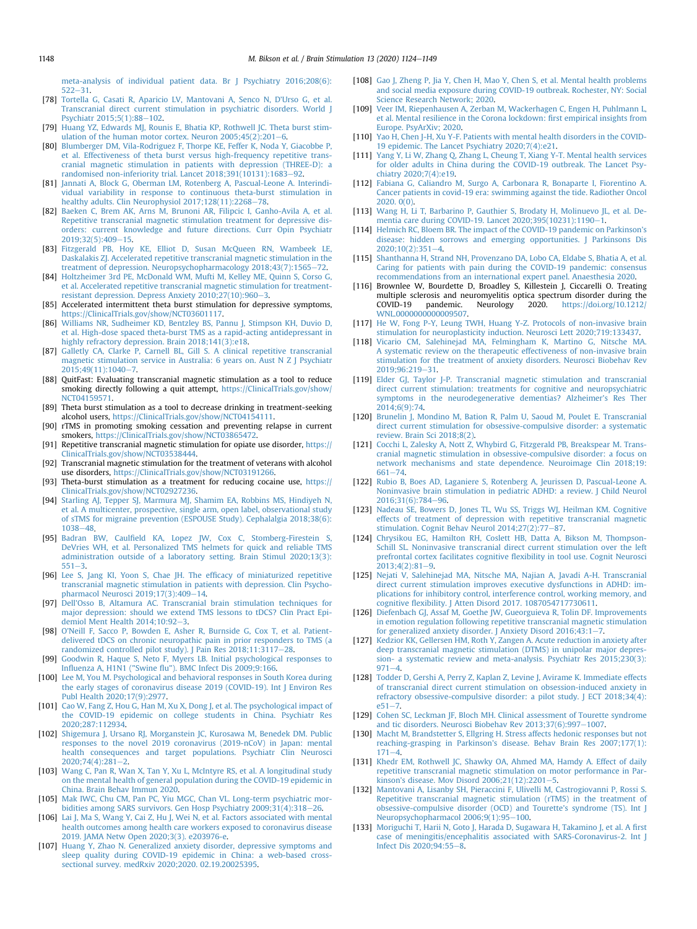[meta-analysis of individual patient data. Br J Psychiatry 2016;208\(6\):](http://refhub.elsevier.com/S1935-861X(20)30109-1/sref77)  $522 - 31$  $522 - 31$ 

- <span id="page-24-0"></span>[78] [Tortella G, Casati R, Aparicio LV, Mantovani A, Senco N, D](http://refhub.elsevier.com/S1935-861X(20)30109-1/sref78)'Urso G, et al. [Transcranial direct current stimulation in psychiatric disorders. World J](http://refhub.elsevier.com/S1935-861X(20)30109-1/sref78) [Psychiatr 2015;5\(1\):88](http://refhub.elsevier.com/S1935-861X(20)30109-1/sref78)-[102.](http://refhub.elsevier.com/S1935-861X(20)30109-1/sref78)
- <span id="page-24-1"></span>[79] [Huang YZ, Edwards MJ, Rounis E, Bhatia KP, Rothwell JC. Theta burst stim](http://refhub.elsevier.com/S1935-861X(20)30109-1/sref79)ulation of the human motor cortex. Neuron  $2005;45(2):201-6$ .
- <span id="page-24-2"></span>[80] [Blumberger DM, Vila-Rodriguez F, Thorpe KE, Feffer K, Noda Y, Giacobbe P,](http://refhub.elsevier.com/S1935-861X(20)30109-1/sref80) [et al. Effectiveness of theta burst versus high-frequency repetitive trans](http://refhub.elsevier.com/S1935-861X(20)30109-1/sref80)[cranial magnetic stimulation in patients with depression \(THREE-D\): a](http://refhub.elsevier.com/S1935-861X(20)30109-1/sref80) randomised non-inferiority trial. Lancet 2018:391(10131):1683-[92.](http://refhub.elsevier.com/S1935-861X(20)30109-1/sref80)
- <span id="page-24-3"></span>[81] [Jannati A, Block G, Oberman LM, Rotenberg A, Pascual-Leone A. Interindi](http://refhub.elsevier.com/S1935-861X(20)30109-1/sref81)[vidual variability in response to continuous theta-burst stimulation in](http://refhub.elsevier.com/S1935-861X(20)30109-1/sref81) healthy adults. Clin Neurophysiol 2017:128(11):2268-[78](http://refhub.elsevier.com/S1935-861X(20)30109-1/sref81).
- <span id="page-24-4"></span>[82] [Baeken C, Brem AK, Arns M, Brunoni AR, Filipcic I, Ganho-Avila A, et al.](http://refhub.elsevier.com/S1935-861X(20)30109-1/sref82) [Repetitive transcranial magnetic stimulation treatment for depressive dis](http://refhub.elsevier.com/S1935-861X(20)30109-1/sref82)[orders: current knowledge and future directions. Curr Opin Psychiatr](http://refhub.elsevier.com/S1935-861X(20)30109-1/sref82)  $2019:32(5):409-15.$  $2019:32(5):409-15.$
- [83] [Fitzgerald PB, Hoy KE, Elliot D, Susan McQueen RN, Wambeek LE,](http://refhub.elsevier.com/S1935-861X(20)30109-1/sref83) [Daskalakis ZJ. Accelerated repetitive transcranial magnetic stimulation in the](http://refhub.elsevier.com/S1935-861X(20)30109-1/sref83) [treatment of depression. Neuropsychopharmacology 2018;43\(7\):1565](http://refhub.elsevier.com/S1935-861X(20)30109-1/sref83)-[72.](http://refhub.elsevier.com/S1935-861X(20)30109-1/sref83)
- [84] [Holtzheimer 3rd PE, McDonald WM, Mufti M, Kelley ME, Quinn S, Corso G,](http://refhub.elsevier.com/S1935-861X(20)30109-1/sref84) [et al. Accelerated repetitive transcranial magnetic stimulation for treatment](http://refhub.elsevier.com/S1935-861X(20)30109-1/sref84)resistant depression. Depress Anxiety  $2010:27(10):960-3$  $2010:27(10):960-3$ .
- <span id="page-24-5"></span>[85] Accelerated intermittent theta burst stimulation for depressive symptoms, [https://ClinicalTrials.gov/show/NCT03601117.](https://ClinicalTrials.gov/show/NCT03601117)
- <span id="page-24-6"></span>[86] [Williams NR, Sudheimer KD, Bentzley BS, Pannu J, Stimpson KH, Duvio D,](http://refhub.elsevier.com/S1935-861X(20)30109-1/sref86) [et al. High-dose spaced theta-burst TMS as a rapid-acting antidepressant in](http://refhub.elsevier.com/S1935-861X(20)30109-1/sref86) [highly refractory depression. Brain 2018;141\(3\):e18.](http://refhub.elsevier.com/S1935-861X(20)30109-1/sref86)
- <span id="page-24-7"></span>[87] [Galletly CA, Clarke P, Carnell BL, Gill S. A clinical repetitive transcranial](http://refhub.elsevier.com/S1935-861X(20)30109-1/sref87) [magnetic stimulation service in Australia: 6 years on. Aust N Z J Psychiatr](http://refhub.elsevier.com/S1935-861X(20)30109-1/sref87)  $2015:49(11):1040-7.$  $2015:49(11):1040-7.$  $2015:49(11):1040-7.$
- <span id="page-24-8"></span>[88] QuitFast: Evaluating transcranial magnetic stimulation as a tool to reduce smoking directly following a quit attempt, [https://ClinicalTrials.gov/show/](https://ClinicalTrials.gov/show/NCT04159571) [NCT04159571](https://ClinicalTrials.gov/show/NCT04159571).
- [89] Theta burst stimulation as a tool to decrease drinking in treatment-seeking alcohol users, https://ClinicalTrials.gov/show/NCT04154111
- [90] rTMS in promoting smoking cessation and preventing relapse in current smokers, [https://ClinicalTrials.gov/show/NCT03865472.](https://ClinicalTrials.gov/show/NCT03865472)
- [91] Repetitive transcranial magnetic stimulation for opiate use disorder, [https://](https://ClinicalTrials.gov/show/NCT03538444) [ClinicalTrials.gov/show/NCT03538444](https://ClinicalTrials.gov/show/NCT03538444).
- [92] Transcranial magnetic stimulation for the treatment of veterans with alcohol use disorders, <https://ClinicalTrials.gov/show/NCT03191266>.
- [93] Theta-burst stimulation as a treatment for reducing cocaine use, [https://](https://ClinicalTrials.gov/show/NCT02927236) [ClinicalTrials.gov/show/NCT02927236](https://ClinicalTrials.gov/show/NCT02927236).
- <span id="page-24-9"></span>[94] [Starling AJ, Tepper SJ, Marmura MJ, Shamim EA, Robbins MS, Hindiyeh N,](http://refhub.elsevier.com/S1935-861X(20)30109-1/sref94) [et al. A multicenter, prospective, single arm, open label, observational study](http://refhub.elsevier.com/S1935-861X(20)30109-1/sref94) [of sTMS for migraine prevention \(ESPOUSE Study\). Cephalalgia 2018;38\(6\):](http://refhub.elsevier.com/S1935-861X(20)30109-1/sref94) [1038](http://refhub.elsevier.com/S1935-861X(20)30109-1/sref94)-[48](http://refhub.elsevier.com/S1935-861X(20)30109-1/sref94)
- <span id="page-24-10"></span>[95] Badran BW, Caulfi[eld KA, Lopez JW, Cox C, Stomberg-Firestein S,](http://refhub.elsevier.com/S1935-861X(20)30109-1/sref95) [DeVries WH, et al. Personalized TMS helmets for quick and reliable TMS](http://refhub.elsevier.com/S1935-861X(20)30109-1/sref95) [administration outside of a laboratory setting. Brain Stimul 2020;13\(3\):](http://refhub.elsevier.com/S1935-861X(20)30109-1/sref95)  $551 - 3$  $551 - 3$
- <span id="page-24-11"></span>[96] [Lee S, Jang KI, Yoon S, Chae JH. The ef](http://refhub.elsevier.com/S1935-861X(20)30109-1/sref96)ficacy of miniaturized repetitive [transcranial magnetic stimulation in patients with depression. Clin Psycho](http://refhub.elsevier.com/S1935-861X(20)30109-1/sref96) $pharmacol Neurosci 2019;17(3):409-14.$  $pharmacol Neurosci 2019;17(3):409-14.$  $pharmacol Neurosci 2019;17(3):409-14.$
- <span id="page-24-12"></span>[97] Dell'[Osso B, Altamura AC. Transcranial brain stimulation techniques for](http://refhub.elsevier.com/S1935-861X(20)30109-1/sref97) [major depression: should we extend TMS lessons to tDCS? Clin Pract Epi](http://refhub.elsevier.com/S1935-861X(20)30109-1/sref97)demiol Ment Health  $2014;10:92-3$  $2014;10:92-3$ .
- <span id="page-24-13"></span>[98] O'[Neill F, Sacco P, Bowden E, Asher R, Burnside G, Cox T, et al. Patient](http://refhub.elsevier.com/S1935-861X(20)30109-1/sref98)[delivered tDCS on chronic neuropathic pain in prior responders to TMS \(a](http://refhub.elsevier.com/S1935-861X(20)30109-1/sref98) randomized controlled pilot study). J Pain Res  $2018;11:3117-28$ .
- <span id="page-24-14"></span>[99] [Goodwin R, Haque S, Neto F, Myers LB. Initial psychological responses to](http://refhub.elsevier.com/S1935-861X(20)30109-1/sref99) Influenza A, H1N1 ("Swine fl[u"\). BMC Infect Dis 2009;9:166.](http://refhub.elsevier.com/S1935-861X(20)30109-1/sref99)
- <span id="page-24-15"></span>[100] [Lee M, You M. Psychological and behavioral responses in South Korea during](http://refhub.elsevier.com/S1935-861X(20)30109-1/sref100) [the early stages of coronavirus disease 2019 \(COVID-19\). Int J Environ Res](http://refhub.elsevier.com/S1935-861X(20)30109-1/sref100) [Publ Health 2020;17\(9\):2977.](http://refhub.elsevier.com/S1935-861X(20)30109-1/sref100)
- [101] [Cao W, Fang Z, Hou G, Han M, Xu X, Dong J, et al. The psychological impact of](http://refhub.elsevier.com/S1935-861X(20)30109-1/sref101) [the COVID-19 epidemic on college students in China. Psychiatr Res](http://refhub.elsevier.com/S1935-861X(20)30109-1/sref101) [2020;287:112934.](http://refhub.elsevier.com/S1935-861X(20)30109-1/sref101)
- <span id="page-24-35"></span>[102] [Shigemura J, Ursano RJ, Morganstein JC, Kurosawa M, Benedek DM. Public](http://refhub.elsevier.com/S1935-861X(20)30109-1/sref102) [responses to the novel 2019 coronavirus \(2019-nCoV\) in Japan: mental](http://refhub.elsevier.com/S1935-861X(20)30109-1/sref102) [health consequences and target populations. Psychiatr Clin Neurosci](http://refhub.elsevier.com/S1935-861X(20)30109-1/sref102)  $2020;74(4):281-2.$  $2020;74(4):281-2.$  $2020;74(4):281-2.$  $2020;74(4):281-2.$
- <span id="page-24-17"></span>[103] [Wang C, Pan R, Wan X, Tan Y, Xu L, McIntyre RS, et al. A longitudinal study](http://refhub.elsevier.com/S1935-861X(20)30109-1/sref103) [on the mental health of general population during the COVID-19 epidemic in](http://refhub.elsevier.com/S1935-861X(20)30109-1/sref103) [China. Brain Behav Immun 2020](http://refhub.elsevier.com/S1935-861X(20)30109-1/sref103).
- <span id="page-24-16"></span>[105] [Mak IWC, Chu CM, Pan PC, Yiu MGC, Chan VL. Long-term psychiatric mor](http://refhub.elsevier.com/S1935-861X(20)30109-1/sref105)bidities among SARS survivors. Gen Hosp Psychiatry  $2009;31(4):318-26$  $2009;31(4):318-26$ .
- <span id="page-24-18"></span>[106] [Lai J, Ma S, Wang Y, Cai Z, Hu J, Wei N, et al. Factors associated with mental](http://refhub.elsevier.com/S1935-861X(20)30109-1/sref106) [health outcomes among health care workers exposed to coronavirus disease](http://refhub.elsevier.com/S1935-861X(20)30109-1/sref106) [2019. JAMA Netw Open 2020;3\(3\). e203976-e.](http://refhub.elsevier.com/S1935-861X(20)30109-1/sref106)
- [107] [Huang Y, Zhao N. Generalized anxiety disorder, depressive symptoms and](http://refhub.elsevier.com/S1935-861X(20)30109-1/sref107) [sleep quality during COVID-19 epidemic in China: a web-based cross](http://refhub.elsevier.com/S1935-861X(20)30109-1/sref107)[sectional survey. medRxiv 2020;2020. 02.19.20025395.](http://refhub.elsevier.com/S1935-861X(20)30109-1/sref107)
- [108] [Gao J, Zheng P, Jia Y, Chen H, Mao Y, Chen S, et al. Mental health problems](http://refhub.elsevier.com/S1935-861X(20)30109-1/sref108) [and social media exposure during COVID-19 outbreak. Rochester, NY: Social](http://refhub.elsevier.com/S1935-861X(20)30109-1/sref108) [Science Research Network; 2020.](http://refhub.elsevier.com/S1935-861X(20)30109-1/sref108)
- <span id="page-24-19"></span>[109] [Veer IM, Riepenhausen A, Zerban M, Wackerhagen C, Engen H, Puhlmann L,](http://refhub.elsevier.com/S1935-861X(20)30109-1/sref109) [et al. Mental resilience in the Corona lockdown:](http://refhub.elsevier.com/S1935-861X(20)30109-1/sref109) first empirical insights from [Europe. PsyArXiv; 2020.](http://refhub.elsevier.com/S1935-861X(20)30109-1/sref109)
- <span id="page-24-20"></span>[110] [Yao H, Chen J-H, Xu Y-F. Patients with mental health disorders in the COVID-](http://refhub.elsevier.com/S1935-861X(20)30109-1/sref110)[19 epidemic. The Lancet Psychiatry 2020;7\(4\):e21](http://refhub.elsevier.com/S1935-861X(20)30109-1/sref110).
- <span id="page-24-21"></span>[111] [Yang Y, Li W, Zhang Q, Zhang L, Cheung T, Xiang Y-T. Mental health services](http://refhub.elsevier.com/S1935-861X(20)30109-1/sref111) [for older adults in China during the COVID-19 outbreak. The Lancet Psy](http://refhub.elsevier.com/S1935-861X(20)30109-1/sref111)[chiatry 2020;7\(4\):e19](http://refhub.elsevier.com/S1935-861X(20)30109-1/sref111).
- <span id="page-24-22"></span>[112] [Fabiana G, Caliandro M, Surgo A, Carbonara R, Bonaparte I, Fiorentino A.](http://refhub.elsevier.com/S1935-861X(20)30109-1/sref112) [Cancer patients in covid-19 era: swimming against the tide. Radiother Oncol](http://refhub.elsevier.com/S1935-861X(20)30109-1/sref112) [2020. 0\(0\)](http://refhub.elsevier.com/S1935-861X(20)30109-1/sref112).
- <span id="page-24-23"></span>[113] [Wang H, Li T, Barbarino P, Gauthier S, Brodaty H, Molinuevo JL, et al. De-](http://refhub.elsevier.com/S1935-861X(20)30109-1/sref113)mentia care during COVID-19. Lancet 2020:395(10231):1190-[1.](http://refhub.elsevier.com/S1935-861X(20)30109-1/sref113)
- <span id="page-24-24"></span>[114] [Helmich RC, Bloem BR. The impact of the COVID-19 pandemic on Parkinson](http://refhub.elsevier.com/S1935-861X(20)30109-1/sref114)'s [disease: hidden sorrows and emerging opportunities. J Parkinsons Dis](http://refhub.elsevier.com/S1935-861X(20)30109-1/sref114)  $2020:10(2):351-4$  $2020:10(2):351-4$
- <span id="page-24-25"></span>[115] [Shanthanna H, Strand NH, Provenzano DA, Lobo CA, Eldabe S, Bhatia A, et al.](http://refhub.elsevier.com/S1935-861X(20)30109-1/sref115) [Caring for patients with pain during the COVID-19 pandemic: consensus](http://refhub.elsevier.com/S1935-861X(20)30109-1/sref115) [recommendations from an international expert panel. Anaesthesia 2020.](http://refhub.elsevier.com/S1935-861X(20)30109-1/sref115)
- <span id="page-24-26"></span>[116] Brownlee W, Bourdette D, Broadley S, Killestein J, Ciccarelli O. Treating multiple sclerosis and neuromyelitis optica spectrum disorder during the COVID-19 pandemic. Neurology 2020. https://doi.org/10.1212/ Neurology 2020. [https://doi.org/10.1212/](https://doi.org/10.1212/WNL.0000000000009507) [WNL.0000000000009507](https://doi.org/10.1212/WNL.0000000000009507).
- <span id="page-24-27"></span>[117] [He W, Fong P-Y, Leung TWH, Huang Y-Z. Protocols of non-invasive brain](http://refhub.elsevier.com/S1935-861X(20)30109-1/sref117) [stimulation for neuroplasticity induction. Neurosci Lett 2020;719:133437](http://refhub.elsevier.com/S1935-861X(20)30109-1/sref117).
- <span id="page-24-28"></span>[118] [Vicario CM, Salehinejad MA, Felmingham K, Martino G, Nitsche MA.](http://refhub.elsevier.com/S1935-861X(20)30109-1/sref118) [A systematic review on the therapeutic effectiveness of non-invasive brain](http://refhub.elsevier.com/S1935-861X(20)30109-1/sref118) [stimulation for the treatment of anxiety disorders. Neurosci Biobehav Rev](http://refhub.elsevier.com/S1935-861X(20)30109-1/sref118)  $2019.96.219 - 31$  $2019.96.219 - 31$
- <span id="page-24-29"></span>[119] [Elder GJ, Taylor J-P. Transcranial magnetic stimulation and transcranial](http://refhub.elsevier.com/S1935-861X(20)30109-1/sref119) [direct current stimulation: treatments for cognitive and neuropsychiatric](http://refhub.elsevier.com/S1935-861X(20)30109-1/sref119) [symptoms in the neurodegenerative dementias? Alzheimer](http://refhub.elsevier.com/S1935-861X(20)30109-1/sref119)'s Res Ther [2014;6\(9\):74.](http://refhub.elsevier.com/S1935-861X(20)30109-1/sref119)
- <span id="page-24-30"></span>[120] [Brunelin J, Mondino M, Bation R, Palm U, Saoud M, Poulet E. Transcranial](http://refhub.elsevier.com/S1935-861X(20)30109-1/sref120) [direct current stimulation for obsessive-compulsive disorder: a systematic](http://refhub.elsevier.com/S1935-861X(20)30109-1/sref120) [review. Brain Sci 2018;8\(2\)](http://refhub.elsevier.com/S1935-861X(20)30109-1/sref120).
- <span id="page-24-31"></span>[121] [Cocchi L, Zalesky A, Nott Z, Whybird G, Fitzgerald PB, Breakspear M. Trans](http://refhub.elsevier.com/S1935-861X(20)30109-1/sref121)[cranial magnetic stimulation in obsessive-compulsive disorder: a focus on](http://refhub.elsevier.com/S1935-861X(20)30109-1/sref121) [network mechanisms and state dependence. Neuroimage Clin 2018;19:](http://refhub.elsevier.com/S1935-861X(20)30109-1/sref121) [661](http://refhub.elsevier.com/S1935-861X(20)30109-1/sref121)-74
- <span id="page-24-32"></span>[122] [Rubio B, Boes AD, Laganiere S, Rotenberg A, Jeurissen D, Pascual-Leone A.](http://refhub.elsevier.com/S1935-861X(20)30109-1/sref122) [Noninvasive brain stimulation in pediatric ADHD: a review. J Child Neurol](http://refhub.elsevier.com/S1935-861X(20)30109-1/sref122) 2016:31(6):784-96
- <span id="page-24-33"></span>[123] [Nadeau SE, Bowers D, Jones TL, Wu SS, Triggs WJ, Heilman KM. Cognitive](http://refhub.elsevier.com/S1935-861X(20)30109-1/sref123) [effects of treatment of depression with repetitive transcranial magnetic](http://refhub.elsevier.com/S1935-861X(20)30109-1/sref123) [stimulation. Cognit Behav Neurol 2014;27\(2\):77](http://refhub.elsevier.com/S1935-861X(20)30109-1/sref123)-[87.](http://refhub.elsevier.com/S1935-861X(20)30109-1/sref123)
- [124] [Chrysikou EG, Hamilton RH, Coslett HB, Datta A, Bikson M, Thompson-](http://refhub.elsevier.com/S1935-861X(20)30109-1/sref124)[Schill SL. Noninvasive transcranial direct current stimulation over the left](http://refhub.elsevier.com/S1935-861X(20)30109-1/sref124) [prefrontal cortex facilitates cognitive](http://refhub.elsevier.com/S1935-861X(20)30109-1/sref124) flexibility in tool use. Cognit Neurosci  $2013;4(2):81-9.$  $2013;4(2):81-9.$  $2013;4(2):81-9.$  $2013;4(2):81-9.$
- [125] [Nejati V, Salehinejad MA, Nitsche MA, Najian A, Javadi A-H. Transcranial](http://refhub.elsevier.com/S1935-861X(20)30109-1/sref125) [direct current stimulation improves executive dysfunctions in ADHD: im](http://refhub.elsevier.com/S1935-861X(20)30109-1/sref125)[plications for inhibitory control, interference control, working memory, and](http://refhub.elsevier.com/S1935-861X(20)30109-1/sref125) cognitive fl[exibility. J Atten Disord 2017. 1087054717730611](http://refhub.elsevier.com/S1935-861X(20)30109-1/sref125).
- <span id="page-24-34"></span>[126] [Diefenbach GJ, Assaf M, Goethe JW, Gueorguieva R, Tolin DF. Improvements](http://refhub.elsevier.com/S1935-861X(20)30109-1/sref126) [in emotion regulation following repetitive transcranial magnetic stimulation](http://refhub.elsevier.com/S1935-861X(20)30109-1/sref126) [for generalized anxiety disorder. J Anxiety Disord 2016;43:1](http://refhub.elsevier.com/S1935-861X(20)30109-1/sref126)-[7](http://refhub.elsevier.com/S1935-861X(20)30109-1/sref126).
- <span id="page-24-36"></span>[127] [Kedzior KK, Gellersen HM, Roth Y, Zangen A. Acute reduction in anxiety after](http://refhub.elsevier.com/S1935-861X(20)30109-1/sref127) [deep transcranial magnetic stimulation \(DTMS\) in unipolar major depres](http://refhub.elsevier.com/S1935-861X(20)30109-1/sref127)[sion- a systematic review and meta-analysis. Psychiatr Res 2015;230\(3\):](http://refhub.elsevier.com/S1935-861X(20)30109-1/sref127)  $971 - 4.$  $971 - 4.$  $971 - 4.$  $971 - 4.$
- <span id="page-24-37"></span>[128] [Todder D, Gershi A, Perry Z, Kaplan Z, Levine J, Avirame K. Immediate effects](http://refhub.elsevier.com/S1935-861X(20)30109-1/sref128) [of transcranial direct current stimulation on obsession-induced anxiety in](http://refhub.elsevier.com/S1935-861X(20)30109-1/sref128) [refractory obsessive-compulsive disorder: a pilot study. J ECT 2018;34\(4\):](http://refhub.elsevier.com/S1935-861X(20)30109-1/sref128)  $e51 - 7.$  $e51 - 7.$  $e51 - 7.$
- <span id="page-24-38"></span>[129] [Cohen SC, Leckman JF, Bloch MH. Clinical assessment of Tourette syndrome](http://refhub.elsevier.com/S1935-861X(20)30109-1/sref129) [and tic disorders. Neurosci Biobehav Rev 2013;37\(6\):997](http://refhub.elsevier.com/S1935-861X(20)30109-1/sref129)-[1007.](http://refhub.elsevier.com/S1935-861X(20)30109-1/sref129)
- <span id="page-24-39"></span>[130] [Macht M, Brandstetter S, Ellgring H. Stress affects hedonic responses but not](http://refhub.elsevier.com/S1935-861X(20)30109-1/sref130) reaching-grasping in Parkinson'[s disease. Behav Brain Res 2007;177\(1\):](http://refhub.elsevier.com/S1935-861X(20)30109-1/sref130)  $171 - 4.$  $171 - 4.$  $171 - 4.$  $171 - 4.$
- <span id="page-24-40"></span>[131] [Khedr EM, Rothwell JC, Shawky OA, Ahmed MA, Hamdy A. Effect of daily](http://refhub.elsevier.com/S1935-861X(20)30109-1/sref131) [repetitive transcranial magnetic stimulation on motor performance in Par](http://refhub.elsevier.com/S1935-861X(20)30109-1/sref131)kinson's disease. Mov Disord  $2006;21(12):2201-5$ .
- <span id="page-24-41"></span>[132] [Mantovani A, Lisanby SH, Pieraccini F, Ulivelli M, Castrogiovanni P, Rossi S.](http://refhub.elsevier.com/S1935-861X(20)30109-1/sref132) [Repetitive transcranial magnetic stimulation \(rTMS\) in the treatment of](http://refhub.elsevier.com/S1935-861X(20)30109-1/sref132) [obsessive-compulsive disorder \(OCD\) and Tourette](http://refhub.elsevier.com/S1935-861X(20)30109-1/sref132)'s syndrome (TS). Int J [Neuropsychopharmacol 2006;9\(1\):95](http://refhub.elsevier.com/S1935-861X(20)30109-1/sref132)-[100](http://refhub.elsevier.com/S1935-861X(20)30109-1/sref132).
- <span id="page-24-42"></span>[133] [Moriguchi T, Harii N, Goto J, Harada D, Sugawara H, Takamino J, et al. A](http://refhub.elsevier.com/S1935-861X(20)30109-1/sref133) first [case of meningitis/encephalitis associated with SARS-Coronavirus-2. Int J](http://refhub.elsevier.com/S1935-861X(20)30109-1/sref133) [Infect Dis 2020;94:55](http://refhub.elsevier.com/S1935-861X(20)30109-1/sref133)-[8.](http://refhub.elsevier.com/S1935-861X(20)30109-1/sref133)